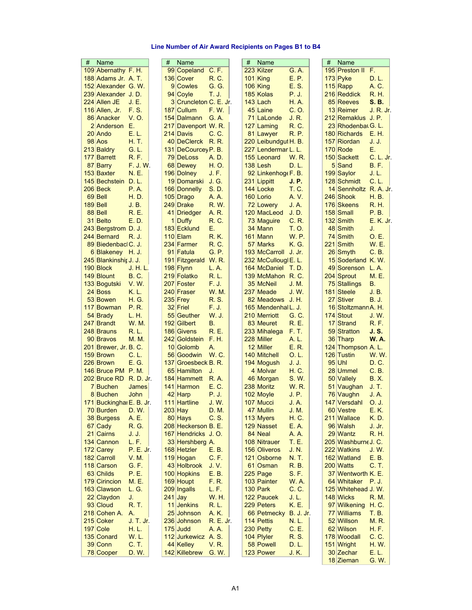## **Line Number of Air Award Recipients on Pages B1 to B4**

| # | Name                     |                  | # | Name                   |                  | # | Name                 |                  | #   | Name                 |                  |
|---|--------------------------|------------------|---|------------------------|------------------|---|----------------------|------------------|-----|----------------------|------------------|
|   | 109 Abernathy F. H.      |                  |   | 99 Copeland C.F.       |                  |   | 223 Kilzer           | G. A.            |     | 195 Preston II F.    |                  |
|   | 188 Adams Jr. A. T.      |                  |   | 136 Cover              | R. C.            |   | $101$ King           | E. P.            |     | 173 Pyke             | D. L.            |
|   |                          |                  |   |                        | G. G.            |   |                      |                  |     |                      |                  |
|   | 152 Alexander G. W.      |                  |   | 9 Cowles               |                  |   | $106$ King           | E. S.            |     | $115$ Rapp           | A. C.            |
|   | 239 Alexander J.D.       |                  |   | 94 Coyle               | T. J.            |   | 185 Kolas            | P. J.            |     | 216 Reddick          | R. H.            |
|   | 224 Allen JE             | J. E.            |   | 3 Cruncleton C. E. Jr. |                  |   | 143 Lach             | H. A.            |     | 85 Reeves            | S. B.            |
|   | 116 Allen, Jr.           | F. S.            |   | 187 Cullum             | <b>F.W.</b>      |   | 45 Laine             | C. O.            |     | 13 Reimer            | <u>J. R. Jr.</u> |
|   | 86 Anacker               | V. O.            |   | 154 Dalmann            | G. A.            |   | 71 LaLonde           | J. R.            |     | 212 Remaklus J. P.   |                  |
|   | 2 Anderson               | Е.               |   | 217 Davenport W. R.    |                  |   |                      | R. C.            |     | 23 Rhodenbat G. L.   |                  |
|   |                          |                  |   |                        |                  |   | 127 Laming           |                  |     |                      |                  |
|   | 20 Ando                  | E. L.            |   | 214 Davis              | C. C.            |   | 81 Lawyer            | R. P.            |     | 180 Richards         | E. H.            |
|   | 98 Aos                   | H. T.            |   | 40 DeClerck            | R. R.            |   | 220 Leibundgut H. B. |                  |     | 157 Riordan          | J. J.            |
|   | 213 Baldry               | G. L.            |   | 131 DeCourcey P. B.    |                  |   | 227 Lendermar L. L.  |                  |     | 170 Rode             | Е.               |
|   | 177 Barrett              | R.F.             |   | 79 DeLoss              | A. D.            |   | 155 Leonard          | W. R.            |     | 150 Sackett          | C. L. Jr.        |
|   | 87 Barry                 | F.J.W.           |   | 68 Dewey               | H. O.            |   | 138 Lesh             | D. L.            |     | 5 Sand               | <b>B.F.</b>      |
|   |                          |                  |   |                        |                  |   |                      |                  |     |                      |                  |
|   | 153 Baxter               | N. E.            |   | 196 Dolney             | J. F.            |   | 92 Linkenhoge F. B.  |                  |     | 199 Saylor           | J. L.            |
|   | 145 Bechstein            | D. L.            |   | <u> 19 Domarski</u>    | J. G.            |   | 231 Lippitt          | J. P.            |     | 128 Schmidt          | C. L.            |
|   | 206 Beck                 | P.A.             |   | 166 Donnelly           | S.D.             |   | 144 Locke            | T. C.            |     | 14 Sennholtz R.A.Jr. |                  |
|   | 69 Bell                  | H. D.            |   | 105 Drago              | A.A.             |   | 160 Lorio            | A. V.            |     | 246 Shook            | H. B.            |
|   | 189 Bell                 | J. B.            |   | 249 Drake              | R.W.             |   | 72 Lowery            | J. A.            |     | 176 Skeens           | R. H.            |
|   |                          | R. E.            |   |                        | A. R.            |   |                      |                  |     | 158 Small            |                  |
|   | 88 Bell                  |                  |   | 41 Driedger            |                  |   | 120 MacLeod          | J.D.             |     |                      | P.B.             |
|   | 31 Belto                 | E. D.            |   | 1 Duffy                | R. C.            |   | 73 Maguire           | C. R.            |     | 132 Smith            | E. K. Jr.        |
|   | 243 Bergstrom D. J.      |                  |   | 183 Ecklund            | Е.               |   | 34 Mann              | T. O.            |     | 48 Smith             | J.               |
|   | 244 Bernard              | R. J.            |   | 110 Elam               | <b>R.K.</b>      |   | 161 Mann             | W. P.            |     | 74 Smith             | 0. E.            |
|   | 89 Biedenbacl C. J.      |                  |   | 234 Farmer             | R. C.            |   | 57 Marks             | K. G.            |     | 221 Smith            | W.E.             |
|   | 6 Blakeney H. J.         |                  |   | 91 Fatula              | G. P.            |   | 193 McCarroll        | J. Jr.           |     | 26 Smyth             | C. B.            |
|   |                          |                  |   |                        |                  |   |                      |                  |     |                      |                  |
|   | 245 Blankinshir J. J.    |                  |   | 191 Fitzgerald W. R.   |                  |   | 232 McCullougl E. L. |                  |     | 15 Soderland K. W.   |                  |
|   | 190 Block                | J. H. L.         |   | 198 Flynn              | L. A.            |   | 164 McDaniel T.D.    |                  |     | 49 Sorenson L.A.     |                  |
|   | 149 Blount               | B. C.            |   | 219 Folatko            | R. L.            |   | 139 McMahon R.C.     |                  |     | 204 Sprout           | M. E.            |
|   | 133 Bogutski             | V.W.             |   | 207 Foster             | F. J.            |   | 35 McNeil            | J. M.            |     | 75 Stallings         | В.               |
|   | 24 Boss                  | K. L.            |   | 240 Fraser             | W. M.            |   | 237 Meade            | J. W.            | 181 | Steele               | J. B.            |
|   | 53 Bowen                 | H. G.            |   | $235$ Frey             | R. S.            |   | 82 Meadows           | J. H.            |     | 27 Stiver            | B. J.            |
|   |                          |                  |   |                        |                  |   |                      |                  |     |                      |                  |
|   | 117 Bowman               | P. R.            |   | 32 Friel               | F. J.            |   | 165 Mendenhal L. J.  |                  |     | 16 Stoltzmann A. H.  |                  |
|   | 54 Brady                 | L. H.            |   | 55 Geuther             | W. J.            |   | 210 Merriott         | G. C.            |     | 174 Stout            | J. W.            |
|   | 247 Brandt               | W. M.            |   | 192 Gilbert            | В.               |   | 83 Meuret            | R. E.            |     | 17 Strand            | R. F.            |
|   | 248 Brauns               | R. L.            |   | 186 Givens             | R. E.            |   | 233 Mihalega         | F. T.            |     | 59 Stratton          | J. S.            |
|   | 90 Bravos                | М. М.            |   | 242 Goldstein          | F. H.            |   | 228 Miller           | A. L.            |     | 36 Tharp             | <b>W.A.</b>      |
|   |                          |                  |   |                        |                  |   |                      |                  |     |                      |                  |
|   | 201 Brewer, Jr. B. C.    |                  |   | 10 Golomb              | А.               |   | 12 Miller            | E. R.            |     | 124 Thompson A. L.   |                  |
|   | 159 Brown                | C. L.            |   | 56 Goodwin             | W. C.            |   | 140 Mitchell         | 0. L.            |     | 126 Tustin           | W.W.             |
|   | 226 Brown                | E. G.            |   | 137 Groesbeck B. R.    |                  |   | 194 Mogush           | J. J.            |     | $95$ Uhl             | D. C.            |
|   | 146 Bruce PM P. M.       |                  |   | 65 Hamilton            | J.               |   | 4 Molvar             | H. C.            |     | 28 Ummel             | C. B.            |
|   | $202$ Bruce RD R. D. Jr. |                  |   | 184 Hammett            | R.A.             |   | 46 Morgan            | S. W.            |     | 50 Vallely           | <b>B.X.</b>      |
|   | 7 Buchen                 | James            |   | 141 Harmon             | E. C.            |   | 238 Moritz           | W. R.            | 51  |                      | J. T.            |
|   |                          |                  |   |                        |                  |   |                      |                  |     | Vaughan              |                  |
|   | 8 Buchen                 | John             |   | 42 Harp                | P. J.            |   | 102 Moyle            | J. P.            |     | 76 Vaughn            | J. A.            |
|   | 171 Buckinghar E. B. Jr. |                  |   | 111 Hartline           | J.W.             |   | 107 Mucci            | J.A.             |     | 147 Versdahl         | O. J.            |
|   | 70 Burden                | D.W.             |   | 203 Hay                | D. M.            |   | 47 Mullin            | J.M.             |     | 60 Vestre            | E. K.            |
|   | 38 Burgess               | A. E.            |   | 80 Hays                | C. S.            |   | 113 Myers            | H. C.            |     | 211 Wallace          | K.D.             |
|   | 67 Cady                  | R. G.            |   | 208 Heckerson B. E.    |                  |   | 129 Nasset           | E.A.             |     | 96 Walsh             | J. Jr.           |
|   | 21 Cairns                | J. J.            |   | 167 Hendricks J.O.     |                  |   | 84 Neal              | A.A.             |     | 29 Wantz             | <b>R.H.</b>      |
|   |                          |                  |   |                        |                  |   |                      |                  |     |                      |                  |
|   | 134 Cannon               | L.F.             |   | 33 Hershberg A.        |                  |   | 108 Nitrauer         | T. E.            |     | 205 Washburne J. C.  |                  |
|   | 172 Carey                | <b>P. E. Jr.</b> |   | 168 Hetzler            | E.B.             |   | 156 Oliveros         | J. N.            |     | 222 Watkins          | J. W.            |
|   | 182 Carroll              | V. M.            |   | 119 Hogan              | C. F.            |   | 121 Osborne          | N. T.            |     | 162 Watland          | E. B.            |
|   | 118 Carson               | G. F.            |   | 43 Holbrook            | J. V.            |   | 61 Osman             | R. B.            |     | 200 Watts            | C. T.            |
|   | 63 Childs                | P. E.            |   | 100 Hopkins            | E. B.            |   | 225 Page             | S.F.             |     | 37 Wentworth K. E.   |                  |
|   |                          |                  |   |                        |                  |   |                      |                  |     |                      |                  |
|   | 179 Cirincion            | M. E.            |   | 169 Houpt              | F. R.            |   | 103 Painter          | <b>W.A.</b>      |     | 64 Whitaker P. J.    |                  |
|   | 163 Clawson              | L. G.            |   | 209 Ingalls            | L. F.            |   | 130 Park             | C. C.            |     | 125 Whitehead J. W.  |                  |
|   | 22 Claydon               | J.               |   | $241$ Jay              | <b>W.H.</b>      |   | 122 Paucek           | J.L.             |     | 148 Wicks            | <b>R. M.</b>     |
|   | 93 Cloud                 | R. T.            |   | 11 Jenkins             | R, L.            |   | 229 Peters           | K. E.            |     | 97 Wilkening H.C.    |                  |
|   | 218 Cohen A.             | А.               |   | 25 Johnson             | A. K.            |   | 66 Petmecky          | <b>B. J. Jr.</b> |     | 77 Williams          | T. B.            |
|   | 215 Coker                | J. T. Jr.        |   | 236 Johnson            | <b>R. E. Jr.</b> |   | 114 Pettis           | N. L.            |     | 52 Willson           | M.R.             |
|   |                          |                  |   |                        |                  |   |                      |                  |     |                      |                  |
|   | 197 Cole                 | H, L             |   | $175$ Judd             | A.A.             |   | 230 Petty            | C. E.            |     | 62 Wilson            | H.F.             |
|   | 135 Conard               | <b>W.L.</b>      |   | 112 Jurkewicz A.S.     |                  |   | 104 Plyler           | R. S.            |     | 178 Woodall          | C. C.            |
|   | 39 Conn                  | C. T.            |   | 44 Kelley              | V.R.             |   | 58 Powell            | D. L.            |     | 151 Wright           | <b>H.W.</b>      |
|   | 78 Cooper                | D.W.             |   | 142 Killebrew          | G. W.            |   | 123 Power            | J.K.             |     | 30 Zechar            | E. L.            |
|   |                          |                  |   |                        |                  |   |                      |                  |     | 18 Zieman            | G. W.            |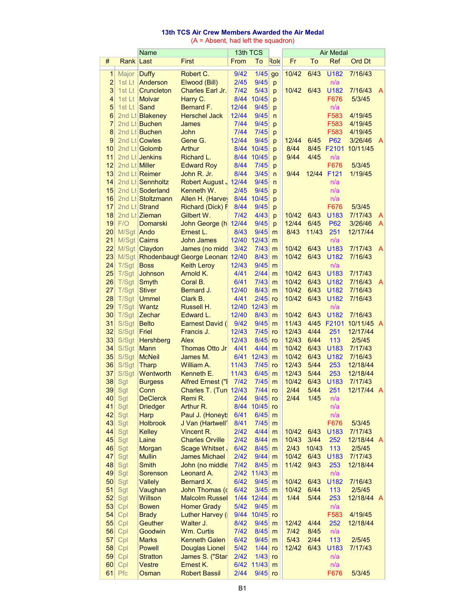# **13th TCS Air Crew Members Awarded the Air Medal**

(A = Absent, had left the squadron)

|                 |                  | Name                      |                                        | 13th TCS       |                  |              |        |        | <b>Air Medal</b> |               |                |
|-----------------|------------------|---------------------------|----------------------------------------|----------------|------------------|--------------|--------|--------|------------------|---------------|----------------|
| #               | <b>Rank Last</b> |                           | First                                  | From           | To               | Role         | Fr     | To     | Ref              | <b>Ord Dt</b> |                |
| $\mathbf{1}$    | Major Duffy      |                           | Robert C.                              | 9/42           | $1/45$           | go           | 10/42  | 6/43   | U182             | 7/16/43       |                |
| $\overline{2}$  | 1st Lt           | Anderson                  | Elwood (Bill)                          | 2/45           | 9/45             | p            |        |        | n/a              |               |                |
| 3               | $1st$ Lt         | <b>Cruncleton</b>         | Charles Earl Jr.                       | $7/42$         | 5/43             | p            | 10/42  | 6/43   | U182             | 7/16/43       | A              |
| 4               | 1st Lt           | <b>Molvar</b>             | Harry C.                               | 8/44           | 10/45            | p            |        |        | F676             | 5/3/45        |                |
| 5               | 1st Lt           | Sand                      | <b>Bernard F.</b>                      | 12/44          | 9/45             | p            |        |        | n/a              |               |                |
| $6\phantom{1}6$ |                  | 2nd Lt Blakeney           | <b>Herschel Jack</b>                   | 12/44          | 9/45             | $\mathsf{n}$ |        |        | F583             | 4/19/45       |                |
| $\overline{7}$  |                  | 2nd Lt Buchen             | James                                  | 7/44           | 9/45             | p            |        |        | F583             | 4/19/45       |                |
| 8               |                  | 2nd Lt Buchen             | John                                   | 7/44           | 7/45             | p            |        |        | F583             | 4/19/45       |                |
| 9               |                  | 2nd Lt Cowles             | Gene G.                                | 12/44          | 9/45             | p            | 12/44  | 6/45   | <b>P62</b>       | 3/26/46       | A              |
| 10              |                  | 2nd Lt Golomb             | <b>Arthur</b>                          |                | 8/44 10/45       | p            | 8/44   |        | 8/45 F2101       | 10/11/45      |                |
| 11              |                  | 2nd Lt Jenkins            | Richard L.                             | 8/44           | 10/45            | p            | 9/44   | 4/45   | n/a              |               |                |
| 12              | 2nd Lt Miller    |                           | <b>Edward Roy</b>                      | 8/44           | 7/45             | p            |        |        | F676             | 5/3/45        |                |
| 13              |                  | 2nd Lt Reimer             | John R. Jr.                            | 8/44           | 3/45             | $\mathsf{n}$ | 9/44   |        | 12/44 F121       | 1/19/45       |                |
| 14              |                  | 2nd Lt Sennholtz          | Robert August 12/44                    |                | 9/45             | $\mathsf{n}$ |        |        | n/a              |               |                |
| 15              |                  | 2nd Lt Soderland          | Kenneth W.                             | 2/45           | 9/45             | p            |        |        | n/a              |               |                |
| 16              |                  | 2nd Lt Stoltzmann         | Allen H. (Harvey                       | 8/44           | 10/45            | p            |        |        | n/a              |               |                |
| 17              |                  | 2nd Lt Strand             | <b>Richard (Dick) F</b>                | 8/44           | 9/45             | p            |        |        | F676             | 5/3/45        |                |
| 18              |                  | 2nd Lt Zieman             | Gilbert W.                             | $7/42$         | 4/43             | p            | 10/42  | 6/43   | U183             | 7/17/43       | A              |
| 19              | F/O              | <b>Domarski</b>           | John George (h 12/44                   |                | 9/45             | p            | 12/44  | 6/45   | P62              | 3/26/46       | A              |
| 20              | M/Sgt Ando       |                           | Ernest L.                              | 8/43           | 9/45             | m            | 8/43   | 11/43  | 251              | 12/17/44      |                |
| 21              |                  | M/Sgt   Cairns            | <b>John James</b>                      | 12/40          | 12/43            | m            |        |        | n/a              |               |                |
| 22              |                  | M/Sgt   Claydon           | James (no midd                         | 3/42           | 7/43             | m            | 10/42  | 6/43   | U183             | 7/17/43       | A              |
| 23              |                  |                           | M/Sgt Rhodenbaugh George Leonard 12/40 |                | 8/43             | m            | 10/42  | 6/43   | U182             | 7/16/43       |                |
| 24              | T/Sgt            | <b>Boss</b>               | <b>Keith Leroy</b>                     | 12/43          | 9/45             | m            |        |        | n/a              |               |                |
| 25              | T/Sgt            | Johnson                   | Arnold K.                              | 4/41           | 2/44             | m            | 10/42  | 6/43   | U183             | 7/17/43       |                |
| 26              | T/Sgt            | Smyth                     | Coral B.                               | 6/41           | $7/43$           | m            | 10/42  | 6/43   | U182             | 7/16/43       | $\overline{A}$ |
| 27              | T/Sgt            | <b>Stiver</b>             | Bernard J.                             | 12/40          | 8/43             | m            | 10/42  | 6/43   | U182             | 7/16/43       |                |
| 28              | T/Sgt            | <b>Ummel</b>              | Clark B.                               | 4/41           | 2/45             | ro           | 10/42  | 6/43   | U182             | 7/16/43       |                |
| 29              | T/Sgt            | Wantz                     | Russell H.                             | 12/40          | 12/43            | m            |        |        | n/a              |               |                |
| 30              | T/Sgt            | Zechar                    | Edward L.                              | 12/40          | 8/43             | m            | 10/42  | 6/43   | U182             | 7/16/43       |                |
| 31              | S/Sgt            | <b>Belto</b>              | <b>Earnest David (I)</b>               | 9/42           | 9/45             | m            | 11/43  |        | 4/45 F2101       | 10/11/45 A    |                |
| 32              | S/Sgt            | Friel                     | Francis J.                             | 12/43          | $7/45$           | ro           | 12/43  | 4/44   | 251              | 12/17/44      |                |
| 33              | S/Sgt            | <b>Hershberg</b>          | Alex                                   | 12/43          | 8/45             | ro           | 12/43  | 6/44   | 113              | 2/5/45        |                |
| 34              | S/Sgt            | <b>Mann</b>               | Thomas Otto Jr.                        | 4/41           | 4/44             | m            | 10/42  | 6/43   | U183             | 7/17/43       |                |
| 35              | S/Sgt            | <b>McNeil</b>             | James M.                               | 6/41           | 12/43            | m            | 10/42  | 6/43   | U182             | 7/16/43       |                |
| 36              | S/Sgt            | Tharp                     | William A.                             | 11/43          | $7/45$           | ro           | 12/43  | $5/44$ | 253              | 12/18/44      |                |
| 37              | S/Sgt            | Wentworth                 | Kenneth E.                             | 11/43          | 6/45             | m            | 12/43  | $5/44$ | 253              | 12/18/44      |                |
| 38              | Sgt              | <b>Burgess</b>            | Alfred Ernest ("I                      | 7/42           | 7/45             | m            | 10/42  | 6/43   | U183             | 7/17/43       |                |
| 39              | Sgt              | Conn                      | Charles T. (Tun 12/43                  |                | 7/44             | ro           | 2/44   | 5/44   | 251              | 12/17/44 A    |                |
| 40              | Sgt              | <b>DeClerck</b>           | Remi R.                                | 2/44           | 9/45             | ro           | 2/44   | 1/45   | n/a              |               |                |
| 41              | Sgt              | <b>Driedger</b>           | Arthur R.                              | 8/44           | 10/45            | ro           |        |        | n/a              |               |                |
| 42              | Sgt              | Harp                      | Paul J. (Honeyb                        | 6/41           | 6/45             | m            |        |        | n/a              |               |                |
| 43              | Sgt              | <b>Holbrook</b>           | J Van (Hartwell'                       | 8/41           | 7/45             | m            |        |        | F676             | 5/3/45        |                |
| 44              | Sgt              | <b>Kelley</b>             | Vincent R.                             | 2/42           | 4/44             | m            | 10/42  | 6/43   | U183             | 7/17/43       |                |
| 45              | Sgt              | Laine                     | <b>Charles Orville</b>                 | 2/42           | 8/44             | m            | 10/43  | 3/44   | 252              | 12/18/44 A    |                |
| 46              | Sgt              | Morgan                    | Scage Whitset .                        | 6/42           | 8/45             | m            | 2/43   | 10/43  | 113              | 2/5/45        |                |
| 47              | Sgt              | <b>Mullin</b>             | <b>James Michael</b>                   | 2/42           | 9/44             | m            | 10/42  | 6/43   | U183             | 7/17/43       |                |
| 48              | Sgt              | Smith                     | John (no middle                        | $7/42$         | 8/45             | m            | 11/42  | 9/43   | 253              | 12/18/44      |                |
| 49              | Sgt              | Sorenson                  | Leonard A.                             |                | 2/42 11/43       | m            |        |        | n/a              |               |                |
| 50              | Sgt              | <b>Vallely</b>            | Bernard X.                             | 6/42           | 9/45             | m            | 10/42  | 6/43   | U182             | 7/16/43       |                |
| 51              | Sgt              | Vaughan                   | John Thomas (c)                        | 6/42           | 3/45             | m            | 10/42  | 6/44   | 113              | 2/5/45        |                |
| 52              | Sgt              | <b>Willson</b>            | <b>Malcolm Russel</b>                  |                | 1/44 12/44       | m            | 1/44   | $5/44$ | 253              | 12/18/44 A    |                |
| 53              | Cpl              | <b>Bowen</b>              | <b>Homer Grady</b>                     | $5/42$         | 9/45             | m            |        |        | n/a              |               |                |
| 54              | Cpl              | <b>Brady</b>              | Luther Harvey (                        | 9/44           | 10/45            | ro           |        |        | F583             | 4/19/45       |                |
| 55              | Cpl              | <b>Geuther</b>            | Walter J.                              | 8/42           | 9/45             | m            | 12/42  | 4/44   | 252              | 12/18/44      |                |
| 56              | Cpl              | Goodwin                   | <b>Wm. Curtis</b>                      | $7/42$         | 8/45             | m            | $7/42$ | 8/45   | n/a              |               |                |
| 57              | Cpl              | <b>Marks</b>              | <b>Kenneth Galen</b>                   | 6/42           | 9/45             | m            | 5/43   | 2/44   | 113              | 2/5/45        |                |
| 58              | Cpl              | <b>Powell</b>             | <b>Douglas Lionel</b>                  | $5/42$<br>2/42 | $1/44$<br>$1/43$ | ro           | 12/42  | 6/43   | U183             | 7/17/43       |                |
| 59<br>60        | Cpl<br>Cpl       | <b>Stratton</b><br>Vestre | James S. ("Star<br>Ernest K.           |                | 6/42 11/43       | ro<br>m      |        |        | n/a<br>n/a       |               |                |
| 61              | Pfc              |                           | <b>Robert Bassil</b>                   | 2/44           |                  |              |        |        |                  | 5/3/45        |                |
|                 |                  | Osman                     |                                        |                | $9/45$ ro        |              |        |        | F676             |               |                |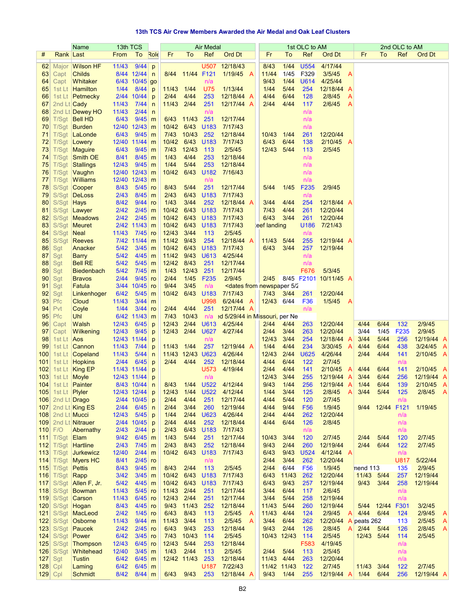### **13th TCS Air Crew Members Awarded the Air Medal and Oak Leaf Clusters**

|                 |                  | Name                            | 13th TCS       |                           |              |                  |                 | Air Medal        |                                                                                                                                                 |   |                      |              | 1st OLC to AM           |                              |              |                              | 2nd OLC to AM    |                           |                |
|-----------------|------------------|---------------------------------|----------------|---------------------------|--------------|------------------|-----------------|------------------|-------------------------------------------------------------------------------------------------------------------------------------------------|---|----------------------|--------------|-------------------------|------------------------------|--------------|------------------------------|------------------|---------------------------|----------------|
| #               | Rank Last        |                                 | From           | To                        | Role         | Fr               | To              | Ref              | Ord Dt                                                                                                                                          |   | Fr                   | To           | Ref                     | Ord Dt                       |              | Fr<br>To                     | Ref              | Ord Dt                    |                |
| 62              | Major            | <b>Wilson HF</b>                | 11/43          | 9/44                      | p            |                  |                 | U507             | 12/18/43                                                                                                                                        |   | 8/43                 | 1/44         | U554                    | 4/17/44                      |              |                              |                  |                           |                |
| 63              | Capt             | Childs                          |                | 8/44 12/44                | $\mathsf{n}$ |                  | 8/44 11/44 F121 |                  | 1/19/45 A                                                                                                                                       |   | 11/44                | 1/45         | F329                    | 3/5/45                       | $\mathsf{A}$ |                              |                  |                           |                |
| 64              | Capt             | <b>Whitaker</b>                 |                | 6/43 10/45 go             |              |                  |                 | n/a              |                                                                                                                                                 |   | 9/43                 | 1/44         | U614                    | 4/25/44                      |              |                              |                  |                           |                |
| 65              | 1st Lt           | Hamilton                        | 1/44           | 8/44                      | p            | 11/43 1/44       |                 | U75              | 1/13/44                                                                                                                                         |   | 1/44                 | $5/44$       | 254                     | 12/18/44 A                   |              |                              |                  |                           |                |
| 66              | 1st Lt           | $P$ etmecky                     |                | 2/44 10/44                | p            | 2/44             | 4/44            | 253              | 12/18/44 A                                                                                                                                      |   | 4/44                 | 6/44         | 128                     | 2/8/45                       | A            |                              |                  |                           |                |
| 67              | 2nd Lt Cady      |                                 | 11/43          | 7/44                      | $\mathsf{n}$ | 11/43 2/44       |                 | 251              | 12/17/44 A                                                                                                                                      |   | 2/44                 | 4/44         | 117                     | 2/6/45                       | A            |                              |                  |                           |                |
| 68              |                  | 2nd Lt Dewey HO                 | 11/43          | 2/44                      | $\mathsf{n}$ |                  |                 | n/a              |                                                                                                                                                 |   |                      |              | n/a                     |                              |              |                              |                  |                           |                |
| 69<br>70        |                  | T/Sgt Bell HD<br>T/Sgt   Burden | 6/43           | 9/45<br>12/40 12/43       | m<br>m       | 10/42 6/43       | 6/43 11/43      | 251<br>U183      | 12/17/44<br>7/17/43                                                                                                                             |   |                      |              | n/a<br>n/a              |                              |              |                              |                  |                           |                |
| 71              | T/Sgt            | LaLonde                         | 6/43           | 9/45                      | m            | 7/43             | 10/43 252       |                  | 12/18/44                                                                                                                                        |   | 10/43                | 1/44         | 261                     | 12/20/44                     |              |                              |                  |                           |                |
| 72              |                  | T/Sgt Lowery                    |                | 12/40 11/44               | m            | 10/42 6/43 U183  |                 |                  | 7/17/43                                                                                                                                         |   | 6/43                 | 6/44         | 138                     | 2/10/45                      | - A          |                              |                  |                           |                |
| 73              |                  | T/Sgt   Maguire                 | 6/43           | 9/45                      | m            | 7/43             | 12/43           | 113              | 2/5/45                                                                                                                                          |   | 12/43                | 5/44         | 113                     | 2/5/45                       |              |                              |                  |                           |                |
| 74              | T/Sgt            | <b>Smith OE</b>                 | 8/41           | 8/45                      | m            | 1/43             | 4/44            | 253              | 12/18/44                                                                                                                                        |   |                      |              | n/a                     |                              |              |                              |                  |                           |                |
| 75              |                  | T/Sgt Stallings                 | 12/43          | 9/45                      | m            | 1/44             | $5/44$          | 253              | 12/18/44                                                                                                                                        |   |                      |              | n/a                     |                              |              |                              |                  |                           |                |
| 76              |                  | T/Sgt Vaughn                    | 12/40 12/43    |                           | m            | 10/42            | 6/43            |                  | U182 7/16/43                                                                                                                                    |   |                      |              | n/a                     |                              |              |                              |                  |                           |                |
| 77<br>78        | T/Sgt            | Williams<br>S/Sgt   Cooper      | 8/43           | 12/40 12/43<br>5/45       | m<br>ro      | 8/43             | 5/44            | n/a<br>251       | 12/17/44                                                                                                                                        |   | 5/44                 | 1/45         | n/a<br>F <sub>235</sub> | 2/9/45                       |              |                              |                  |                           |                |
| 79              |                  | S/Sgt DeLoss                    | 2/43           | 8/45                      | m            | 2/43             | 6/43            | U <sub>183</sub> | 7/17/43                                                                                                                                         |   |                      |              | n/a                     |                              |              |                              |                  |                           |                |
| 80              | S/Sgt            | Hays                            | 8/42           | 9/44                      | ro           | 1/43             | 3/44            | 252              | 12/18/44 A                                                                                                                                      |   | 3/44                 | 4/44         | 254                     | 12/18/44 A                   |              |                              |                  |                           |                |
| 81              |                  | S/Sgt Lawyer                    | 2/42           | 2/45                      | m            | 10/42            | 6/43            | U183             | 7/17/43                                                                                                                                         |   | $7/43$               | 4/44         | 261                     | 12/20/44                     |              |                              |                  |                           |                |
| 82              | S/Sgt            | Meadows                         | 2/42           | 2/45                      | m            | 10/42            | 6/43            | U183             | 7/17/43                                                                                                                                         |   | 6/43                 | 3/44         | 261                     | 12/20/44                     |              |                              |                  |                           |                |
| 83              | S/Sgt            | Meuret                          |                | 2/42 11/43                | m            | 10/42            | 6/43            | U183             | 7/17/43                                                                                                                                         |   | eef landing          |              | U186                    | 7/21/43                      |              |                              |                  |                           |                |
| 84              | S/Sgt            | <b>Neal</b>                     | 11/43          | 7/45                      | ro           | 12/43            | 3/44            | 113              | 2/5/45                                                                                                                                          |   |                      |              | n/a                     |                              |              |                              |                  |                           |                |
| 85              | S/Sgt            | <b>Reeves</b>                   |                | 7/42 11/44                | m            | 11/42            | 9/43            | 254              | 12/18/44 A                                                                                                                                      |   | 11/43 5/44           |              | 255                     | 12/19/44 A                   |              |                              |                  |                           |                |
| 86<br>87        | Sgt<br>Sgt       | Anacker<br><b>Barry</b>         | $5/42$<br>5/42 | 3/45<br>4/45              | m<br>m       | 10/42<br>11/42   | 6/43<br>9/43    | U183<br>U613     | 7/17/43<br>4/25/44                                                                                                                              |   | 6/43                 | 3/44         | 257<br>n/a              | 12/19/44                     |              |                              |                  |                           |                |
| 88              | Sgt              | <b>Bell RE</b>                  | $5/42$         | $5/45$                    | m            | 12/42            | 8/43            | 251              | 12/17/44                                                                                                                                        |   |                      |              | n/a                     |                              |              |                              |                  |                           |                |
| 89              | Sgt              | <b>Biedenbach</b>               | 5/42           | 7/45                      | m            | 1/43             | 12/43           | 251              | 12/17/44                                                                                                                                        |   |                      |              | F676                    | 5/3/45                       |              |                              |                  |                           |                |
| 90 <sub>1</sub> | Sgt              | <b>Bravos</b>                   | 2/44           | 9/45                      | ro           | 2/44             | 1/45            | F <sub>235</sub> | 2/9/45                                                                                                                                          |   |                      |              |                         | 2/45 8/45 F2101 10/11/45 A   |              |                              |                  |                           |                |
| 91              | Sgt              | Fatula                          |                | 3/44 10/45                | ro           | 9/44             | 3/45            | n/a              | <dates 2<="" 5="" from="" newspaper="" th=""><th></th><th></th><th></th><th></th><th></th><th></th><th></th><th></th><th></th><th></th></dates> |   |                      |              |                         |                              |              |                              |                  |                           |                |
| 92              | Sgt              | Linkenhoger                     | 6/42           | 5/45                      | m            | 10/42            | 6/43            | U183             | 7/17/43                                                                                                                                         |   | 7/43                 | 3/44         | 261                     | 12/20/44                     |              |                              |                  |                           |                |
| 93              | Pfc              | Cloud                           | 11/43          | 3/44                      | m            |                  |                 | U998             | $6/24/44$ A                                                                                                                                     |   | 12/43 6/44           |              | F36                     | 1/5/45                       | - A          |                              |                  |                           |                |
| 94              | Pvt<br>Pfc       | Coyle                           | 1/44           | 3/44                      | ro           | 2/44             | 4/44            | 251              | 12/17/44 A                                                                                                                                      |   |                      |              | n/a                     |                              |              |                              |                  |                           |                |
| 95<br>96        | Capt             | Uhl<br>Walsh                    | 12/43          | 6/42 11/43<br>6/45        | m<br>p       | 7/43<br>12/43    | 10/43<br>2/44   |                  | n/a →d 5/29/44 in Missouri, per Ne<br>U613 4/25/44                                                                                              |   | 2/44                 | 4/44         | 263                     | 12/20/44                     |              | 4/44<br>6/44                 | 132              | 2/9/45                    |                |
| 97              | Capt             | Wilkening                       | 12/43          | 9/45                      | p            | 12/43            |                 |                  | 2/44 U627 4/27/44                                                                                                                               |   | 2/44                 | 3/44         | 263                     | 12/20/44                     |              | 3/44<br>1/45                 | F235             | 2/9/45                    |                |
| 98              | 1st Lt           | Aos                             | 12/43 11/44    |                           | p            |                  |                 | n/a              |                                                                                                                                                 |   | 12/43                | 3/44         | 254                     | 12/18/44 A                   |              | 3/44<br>5/44                 | 256              | 12/19/44 A                |                |
| 99              | 1st Lt           | <b>Cannon</b>                   | 11/43          | 7/44                      | p            | 11/43 1/44       |                 | 257              | 12/19/44 A                                                                                                                                      |   | 1/44                 | 4/44         | 234                     | $3/30/45$ A                  |              | 4/44<br>6/44                 | 438              | $3/24/45$ A               |                |
| 100             |                  | 1st Lt   Copeland               | 11/43          | 5/44                      | $\mathsf{n}$ | 11/43 12/43 U623 |                 |                  | 4/26/44                                                                                                                                         |   | 12/43                | 2/44         | U625                    | 4/26/44                      |              | 2/44<br>4/44                 | 141              | 2/10/45 A                 |                |
| 101             |                  | 1st Lt <b>Hopkins</b>           | 2/44           | 6/45                      | p            | 2/44             | 4/44            | 252              | 12/18/44                                                                                                                                        |   | 4/44                 | 6/44         | 122                     | 2/7/45                       |              |                              | n/a              |                           |                |
| 102             | 103 1st Lt Moyle | 1st Lt   King EP                | 11/43 11/44    |                           | p            |                  |                 | U573<br>n/a      | 4/19/44                                                                                                                                         |   | 2/44                 | 4/44<br>3/44 | 141                     | $2/10/45$ A                  |              | 4/44<br>6/44<br>3/44<br>6/44 | 141              | $2/10/45$ A               |                |
|                 |                  | 104 1st Lt Painter              |                | 12/43 11/44<br>8/43 10/44 | p<br>n       | 8/43             |                 |                  | 1/44 U522 4/12/44                                                                                                                               |   | 12/43<br>9/43        | 1/44         | 255<br>256              | $12/19/44$ A<br>$12/19/44$ A |              | 1/44<br>6/44                 | 256<br>139       | 12/19/44 A<br>$2/10/45$ A |                |
| 105             | 1st Lt           | Plyler                          |                | 12/43 12/44               | p            | 12/43            | 1/44            | <b>U522</b>      | 4/12/44                                                                                                                                         |   | 1/44                 | 3/44         | 125                     | 2/8/45                       | A            | 3/44<br>$5/44$               | 125              | 2/8/45                    | - A            |
| 106             | 2nd Lt Drago     |                                 |                | 2/44 10/45                | p            | 2/44             | 4/44            | 251              | 12/17/44                                                                                                                                        |   | 4/44                 | 5/44         | 120                     | 2/7/45                       |              |                              | n/a              |                           |                |
| 107             |                  | 2nd Lt King ES                  | 2/44           | 6/45                      | $\mathsf{n}$ | 2/44             | 3/44            | 260              | 12/19/44                                                                                                                                        |   | 4/44                 | 9/44         | F <sub>56</sub>         | 1/9/45                       |              | 12/44<br>9/44                | F <sub>121</sub> | 1/19/45                   |                |
| 108             | 2nd Lt Mucci     |                                 | 12/43          | $5/45$                    | p            | 1/44             | 2/44            | U623             | 4/26/44                                                                                                                                         |   | 2/44                 | 4/44         | 262                     | 12/20/44                     |              |                              | n/a              |                           |                |
| 109             |                  | 2nd Lt Nitrauer                 | 2/44           | 10/45                     | p            | 2/44             | 4/44            | 252              | 12/18/44                                                                                                                                        |   | 4/44                 | 6/44         | 126                     | 2/8/45                       |              |                              | n/a              |                           |                |
| 110             | F/O              | Abernathy                       | 2/43<br>9/42   | 2/44<br>6/45              | p            | 2/43<br>1/43     | 6/43<br>5/44    | U183<br>251      | 7/17/43<br>12/17/44                                                                                                                             |   |                      | 3/44         | n/a<br>120              | 2/7/45                       |              | 2/44<br>5/44                 | n/a<br>120       | 2/7/45                    |                |
| 111<br>112      | T/Sgt<br>T/Sgt   | Elam<br><b>Hartline</b>         | 2/43           | $7/45$                    | m<br>m       | 2/43             | 8/43            | 252              | 12/18/44                                                                                                                                        |   | 10/43<br>9/43        | 2/44         | 260                     | 12/19/44                     |              | 6/44<br>2/44                 | 122              | 2/7/45                    |                |
| 113             | T/Sgt            | <b>Jurkewicz</b>                | 12/40          | 2/44                      | m            | 10/42            | 6/43            | U183             | 7/17/43                                                                                                                                         |   | 6/43                 | 9/43         | U524                    | $4/12/44$ A                  |              |                              | n/a              |                           |                |
| 114             | T/Sgt            | <b>Myers HC</b>                 | 8/41           | 2/45                      | ro           |                  |                 | n/a              |                                                                                                                                                 |   | 2/44                 | 3/44         | 262                     | 12/20/44                     |              |                              | <b>U817</b>      | 5/22/44                   |                |
| 115             | T/Sgt            | $Pe$ ttis                       | 8/43           | 9/45                      | m            | 8/43             | 2/44            | 113              | 2/5/45                                                                                                                                          |   | 2/44                 | 6/44         | <b>F56</b>              | 1/9/45                       |              | nend 113                     | 135              | 2/9/45                    |                |
| 116             | T/Sgt            | Rapp                            | $3/42$         | 3/45                      | m            | 10/42            | 6/43            | U183             | 7/17/43                                                                                                                                         |   | 6/43                 | 11/43        | 262                     | 12/20/44                     |              | 11/43 5/44                   | 257              | 12/19/44                  |                |
| 117             | S/Sgt            | Allen F, Jr.                    | $5/42$         | 4/45                      | m            | 10/42            | 6/43            | U <sub>183</sub> | 7/17/43                                                                                                                                         |   | 6/43                 | 9/43         | 257                     | 12/19/44                     |              | 9/43<br>3/44                 | 258              | 12/19/44                  |                |
| 118             | S/Sgt            | Bowman                          | 11/43          | 5/45                      | ro           | 11/43            | 2/44            | 251              | 12/17/44                                                                                                                                        |   | 3/44                 | 6/44         | 117                     | 2/6/45                       |              |                              | n/a              |                           |                |
| 119<br>120      | S/Sgt<br>S/Sgt   | <b>Carson</b><br>Hogan          | 11/43<br>8/43  | 6/45<br>4/45              | ro<br>ro     | 12/43<br>9/43    | 2/44<br>11/43   | 251<br>252       | 12/17/44<br>12/18/44                                                                                                                            |   | 3/44<br>11/43        | 5/44<br>5/44 | 258<br>260              | 12/19/44<br>12/19/44         |              | $5/44$<br>12/44              | n/a<br>F301      | 3/2/45                    |                |
| 121             | S/Sgt            | MacLeod                         | 2/42           | 1/45                      | ro           | 6/43             | 8/43            | 113              | 2/5/45                                                                                                                                          | A | 11/43                | 4/44         | 124                     | 2/9/45                       | A            | 4/44<br>6/44                 | 124              | 2/9/45                    | A              |
| 122             | S/Sgt            | Osborne                         | 11/43          | 9/44                      | m            | 11/43            | 3/44            | 113              | 2/5/45                                                                                                                                          | A | 3/44                 | 6/44         | 262                     | 12/20/44 A                   |              | peats 262                    | 113              | 2/5/45                    | A              |
| 123             | S/Sgt            | Paucek                          | 2/42           | 2/45                      | ro           | 6/43             | 9/43            | 253              | 12/18/44                                                                                                                                        |   | 9/43                 | 2/44         | 126                     | 2/8/45                       | A            | 2/44<br>5/44                 | 126              | 2/8/45                    | $\overline{A}$ |
| 124             | S/Sgt            | Power                           | 6/42           | 3/45                      | ro           | $7/43$           | 10/43           | 114              | 2/5/45                                                                                                                                          |   | 10/43                | 12/43        | 114                     | 2/5/45                       |              | 12/43<br>5/44                | 114              | 2/5/45                    |                |
| 125             | S/Sgt            | <b>Thompson</b>                 | 12/43          | 6/45                      | ro           | 12/43            | $5/44$          | 253              | 12/18/44                                                                                                                                        |   |                      |              | F583                    | 4/19/45                      |              |                              | n/a              |                           |                |
| 126             | S/Sgt            | Whitehead                       | 12/40          | 3/45                      | m            | 1/43             | 2/44            | 113              | 2/5/45                                                                                                                                          |   | 2/44                 | $5/44$       | 113                     | 2/5/45                       |              |                              | n/a              |                           |                |
| 127<br>128      | Sgt<br>Cpl       | Tustin<br>Laming                | 6/42<br>6/42   | 6/45<br>6/45              | m<br>m       | 12/42 11/43      |                 | 253<br>U187      | 12/18/44<br>7/22/43                                                                                                                             |   | 11/43<br>11/42 11/43 | 4/44         | 263<br>122              | 12/20/44<br>2/7/45           |              | 3/44<br>11/43                | n/a<br>122       | 2/7/45                    |                |
| $129$ Cpl       |                  | <b>Schmidt</b>                  | 8/42           | $8/44$ m                  |              | 6/43             | 9/43            | 253              | 12/18/44 A                                                                                                                                      |   | 9/43                 | 1/44         | 255                     | 12/19/44 A                   |              | 1/44<br>6/44                 | 256              | 12/19/44 A                |                |
|                 |                  |                                 |                |                           |              |                  |                 |                  |                                                                                                                                                 |   |                      |              |                         |                              |              |                              |                  |                           |                |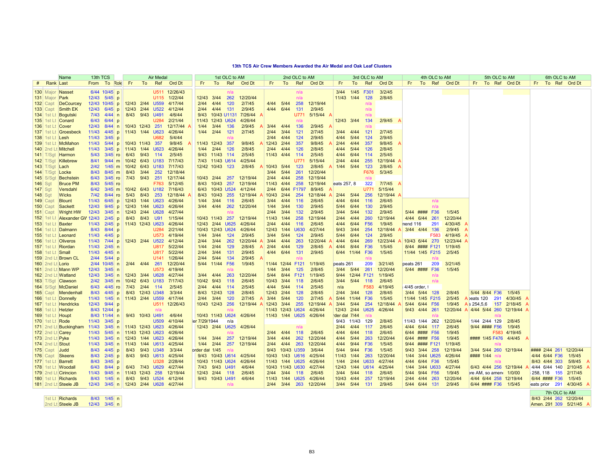#### **13th TCS Air Crew Members Awarded the Air Medal and Oak Leaf Clusters**

|                  | Name                          | 13th TCS       |                                      |                  |      | <b>Air Medal</b> |                         |               |                  | 1st OLC to AM |                         |                  |                  | 2nd OLC to AM |                         |              |                 | 3rd OLC to AM |          |               |                 | 4th OLC to AM   |               |             | 5th OLC to AM                       |              |          | 6th OLC to AM |                        |
|------------------|-------------------------------|----------------|--------------------------------------|------------------|------|------------------|-------------------------|---------------|------------------|---------------|-------------------------|------------------|------------------|---------------|-------------------------|--------------|-----------------|---------------|----------|---------------|-----------------|-----------------|---------------|-------------|-------------------------------------|--------------|----------|---------------|------------------------|
| # Rank Last      |                               |                | From To Role                         | Fr.              | To   |                  | Ref Ord Dt              | Fr.           | To               | Ref           | <b>Ord Dt</b>           | Fr.              | To               |               | Ref Ord Dt              | Fr.          |                 | To Ref        | Ord Dt   | Fr.           |                 |                 | To Ref Ord Dt |             | Fr To Ref Ord Dt                    |              |          |               | Fr To Ref Ord Dt       |
|                  | 130 Major Nasset              |                | 6/44 10/45 p                         |                  |      |                  | U511 12/26/43           |               |                  | n/a           |                         |                  |                  | n/a           |                         |              | 3/44 1/45 F301  |               | 3/2/45   |               |                 |                 |               |             |                                     |              |          |               |                        |
| 131 Major Park   |                               |                | 12/43 5/45 p                         |                  |      |                  | U115 1/22/44            | 12/43 3/44    |                  | 262           | 12/20/44                |                  |                  | n/a           |                         | 11/43 1/44   |                 | 128           | 2/8/45   |               |                 |                 |               |             |                                     |              |          |               |                        |
|                  | 132 Capt DeCourcey            |                | 12/43 10/45 p                        | 12/43 2/44 U559  |      |                  | 4/17/44                 | $2/44$ $4/44$ |                  | 120           | 2/7/45                  | 4/44 5/44        |                  | 258           | 12/19/44                |              |                 | n/a           |          |               |                 |                 |               |             |                                     |              |          |               |                        |
|                  | 133 Capt Smith EK             |                | 12/43 6/45 p                         | 12/43 2/44 U522  |      |                  | 4/12/44                 | 2/44          | 4/44             | 131           | 2/9/45                  | 4/44             | 6/44             | 131           | 2/9/45                  |              |                 | n/a           |          |               |                 |                 |               |             |                                     |              |          |               |                        |
|                  | 134 1st Lt Bogutski           |                | $7/43$ 4/44 n                        | 8/43 9/43 U491   |      |                  | 4/6/44                  | 9/43          | 10/43 U1131      |               | 7/26/44                 |                  |                  | U771          | 5/15/44                 |              |                 | n/a           |          |               |                 |                 |               |             |                                     |              |          |               |                        |
|                  | 135 1st Lt Conard             | 6/43           | 6/44<br>p                            |                  |      | U284             | 2/21/44                 |               | 11/43 12/43 U624 |               | 4/26/44                 |                  |                  | n/a           |                         | 12/43 3/44   |                 | 134           | 2/9/45   |               |                 |                 |               |             |                                     |              |          |               |                        |
|                  | 136 1st Lt Cover              | 12/43          | $8/44$ n                             | 10/43 12/43 251  |      |                  | 12/17/44                | 1/44          | 3/44             | 136           | 2/9/45                  | $3/44$ $4/44$    |                  | 136           | 2/9/45                  |              |                 | n/a           |          |               |                 |                 |               |             |                                     |              |          |               |                        |
|                  | 137 1st Lt Groesbeck          | 11/43          | $4/45$ p                             | 11/43 1/44 U623  |      |                  | 4/26/44                 | 1/44          | 2/44             | 121           | 2/7/45                  | 2/44             | 3/44             | 121           | 2/7/45                  | 3/44         | 4/44            | 121           | 2/7/45   |               |                 |                 |               |             |                                     |              |          |               |                        |
| 138 1st Lt Lesh  |                               | 11/43          | 3/45<br>$\mathbf{D}$                 |                  |      | <b>U682</b>      | 5/4/44                  |               |                  | n/a           |                         | 2/44             | 4/44             | 124           | 2/9/45                  | 4/44         | 5/44            | 124           | 2/9/45   |               |                 |                 |               |             |                                     |              |          |               |                        |
|                  | 139 1st Lt McMahon            | 11/43          | $5/44$ p 10/43 11/43 357             |                  |      |                  | 9/8/45                  | 11/43 12/43   |                  | 357           | 9/8/45                  | 12/43 2/44       |                  | 357           | 9/8/45                  | 2/44         | 4/44            | 357           | 9/8/45   |               |                 |                 |               |             |                                     |              |          |               |                        |
|                  | 140 2nd Lt Mitchell           | 11/43          | $3/45$ p                             | 11/43 1/44 U623  |      |                  | 4/26/44                 | 1/44 2/44     |                  | 126           | 2/8/45                  | 2/44             | 4/44             | 126           | 2/8/45                  | 4/44         | 5/44            | 126           | 2/8/45   |               |                 |                 |               |             |                                     |              |          |               |                        |
|                  | 141 T/Sgt Harmon              | 5/43           | $3/45$ ro                            | 6/43             | 9/43 | 114              | 2/5/45                  |               | 9/43 11/43 114   |               | 2/5/45                  | 11/43 4/44       |                  | 114           | 2/5/45                  | 4/44         | 6/44            | 114           | 2/5/45   |               |                 |                 |               |             |                                     |              |          |               |                        |
|                  | 142 T/Sgt Killebrew           | 8/41           | $9/44$ m                             |                  |      |                  | 10/42 6/43 U183 7/17/43 |               |                  |               | 7/43 11/43 U614 4/25/44 |                  |                  | U771          | 5/15/44                 | 2/44         | 4/44            | 255           | 12/19/44 |               |                 |                 |               |             |                                     |              |          |               |                        |
| 143 T/Sqt Lach   |                               | 2/42           | $1/45$ m                             | 10/42 6/43 U183  |      |                  | 7/17/43                 |               | 12/42 10/43 123  |               | 2/8/45                  | 10/43 5/44       |                  | 123           | 2/8/45                  | 1/44 5/44    |                 | 123           | 2/8/45   |               |                 |                 |               |             |                                     |              |          |               |                        |
|                  | 144 T/Sgt Locke               | 8/43           | $8/45$ m                             | 8/43             | 3/44 | 252              | 12/18/44                |               |                  |               |                         | 3/44             | 5/44             | 261           | 12/20/44                |              |                 | F676          | 5/3/45   |               |                 |                 |               |             |                                     |              |          |               |                        |
| <b>145</b> S/Sqt | Bechstein                     | 6/43           | $3/45$ ro                            | 7/43             | 9/43 | 251              | 12/17/44                | 10/43 2/44    |                  | 257           | 12/19/44                | $2/44$ $4/44$    |                  | 258           | 12/19/44                |              |                 | n/a           |          |               |                 |                 |               |             |                                     |              |          |               |                        |
| $146$ Sqt        | <b>Bruce PM</b>               | 8/43           | $5/45$ ro                            |                  |      |                  | F763 5/12/45            |               | 8/43 10/43 257   |               | 12/19/44                | 11/43 4/44       |                  | 258           | 12/19/44                | eats 257, 8  |                 | 322           | 7/7/45   |               |                 |                 |               |             |                                     |              |          |               |                        |
| $147$ Sgt        | Versdahl                      | 6/42           | $3/45$ m                             |                  |      |                  | 10/42 6/43 U182 7/16/43 |               |                  |               | 6/43 10/43 U524 4/12/44 |                  | 2/44 6/44 F1797  |               | 8/9/45                  |              |                 | <b>U771</b>   | 5/15/44  |               |                 |                 |               |             |                                     |              |          |               |                        |
| $148$ Sgt        | <b>Wicks</b>                  | 7/42           | $8/44$ ro                            | 5/43             | 8/43 | 253              | 12/18/44                | 8/43          | 10/43            | 255           | 12/19/44                | 10/43 2/44       |                  | 254           | 12/18/44                | 2/44         | 5/44            | 256           | 12/19/44 |               |                 |                 |               |             |                                     |              |          |               |                        |
| $149$ Capt       | <b>Blount</b>                 | 11/43          | $6/45$ p                             | 12/43 1/44 U623  |      |                  | 4/26/44                 | 1/44          | 3/44             | 116           | 2/6/45                  | 3/44 4/44        |                  | 116           | 2/6/45                  | 4/44         | 6/44            | 116           | 2/6/45   |               |                 | n/a             |               |             |                                     |              |          |               |                        |
| $150$ Capt       | Sackett                       | 12/43          | $9/45$ p                             | 12/43 1/44 U623  |      |                  | 4/26/44                 | 3/44          | 4/44             | 262           | 12/20/44                | 1/44             | 3/44             | 130           | 2/9/45                  | 5/44         | 6/44            | 130           | 2/9/45   |               |                 | n/a             |               |             |                                     |              |          |               |                        |
| $151$ Capt       | <b>Wright HW</b>              | 12/43          | $3/45$ n                             | 12/43 2/44 U628  |      |                  | 4/27/44                 |               |                  | n/a           |                         | 2/44             | 3/44             | 132           | 2/9/45                  | 3/44         | 5/44            | 132           | 2/9/45   |               | 5/44 ####       | <b>F36</b>      | 1/5/45        |             |                                     |              |          |               |                        |
|                  | 152 1st Lt Alexander GV 12/43 |                | $2/45$ p                             | 8/43 8/43        |      | <b>U91</b>       | 1/15/44                 |               | 10/43 11/43      | 257           | 12/19/44                | 11/43 1/44       |                  | 258           | 12/19/44                | 2/44         | 4/44            | 260           | 12/19/44 |               | 4/44 6/44 261   |                 | 12/20/44      |             |                                     |              |          |               |                        |
|                  | 153 1st Lt Baxter             | 11/43          | $2/45$ p 11/43 12/43 U623            |                  |      |                  | 4/26/44                 |               | 12/43 2/44 U625  |               | 4/26/44                 | 2/44             | 4/44             | 116           | 2/6/45                  | 4/44         | 6/44            | <b>F56</b>    | 1/9/45   | nend 116      |                 | 291             | 4/30/45       |             |                                     |              |          |               |                        |
|                  | 154 1st Lt Dalmann            |                | 8/43 8/44 p                          |                  |      |                  | U284 2/21/44            |               | 10/43 12/43 U624 |               | 4/26/44                 |                  | 12/43 1/44 U630  |               | 4/27/44                 | 9/43         | 3/44            | 254           | 12/18/44 |               | $3/44$ $4/44$   | 136             | 2/9/45        |             |                                     |              |          |               |                        |
|                  | 155 1st Lt Leonard            |                | 11/43 $4/45$ p                       |                  |      | U573             | 4/19/44                 | 1/44          | 3/44             | 124           | 2/9/45                  | 3/44             | 5/44             | 124           | 2/9/45                  | 5/44         | 6/44            | 124           | 2/9/45   |               |                 | F583            | 4/19/45       |             |                                     |              |          |               |                        |
|                  | 156 1st Lt Oliveros           |                | 11/43 7/44 p 12/43 2/44 U522         |                  |      |                  | 4/12/44                 | 2/44          | 3/44             | 262           | 12/20/44                | 3/44             | 4/44             | 263           | 12/20/44                | 4/44         | 6/44            | 269           | 12/23/44 |               | 10/43 6/44 270  |                 | 12/23/44      |             |                                     |              |          |               |                        |
|                  | 157 1st Lt Riordan            |                | 11/43 $2/45$ n                       |                  |      | U817             | 5/22/44                 | 1/44          | 2/44             | 129           | 2/8/45                  | 2/44             | 4/44             | 129           | 2/8/45                  | 4/44         | 8/44            | <b>F36</b>    | 1/5/45   |               | 8/44 #### F121  |                 | 1/19/45       |             |                                     |              |          |               |                        |
| 158 1st Lt Small |                               |                | 11/43 $4/45$ n                       |                  |      |                  | U817 5/22/44            | 2/44          | 3/44             | 131           | 2/9/45                  | 4/44             | 6/44             | 131           | 2/9/45                  |              | 6/44 11/44 F36  |               | 1/5/45   |               | 11/44 1/45 F215 |                 | 2/5/45        |             |                                     |              |          |               |                        |
|                  | 159 2nd Lt Brown CL           | 2/44           | $5/44$ p                             |                  |      | U141             | 1/26/44                 | 2/44          | 5/44             | 134           | 2/9/45                  |                  |                  | n/a           |                         |              |                 | n/a           |          |               |                 | n/a             |               |             |                                     |              |          |               |                        |
| 160 2nd Lt Lorio |                               |                | $2/44$ 10/45 n                       | $2/44$ $4/44$    |      | 261              | 12/20/44                |               | 5/44 11/44 F56   |               | 1/9/45                  | 11/44 12/44 F121 |                  |               | 1/19/45                 | peats 261    |                 | 209           | 3/21/45  | peats 261     |                 | 209             | 3/21/45       |             |                                     |              |          |               |                        |
|                  | 161 2nd Lt Mann WP            |                | 12/43 3/45 n                         |                  |      | <b>U573</b>      | 4/19/44                 |               |                  | n/a           |                         | 1/44             | 3/44             | 125           | 2/8/45                  | 3/44 5/44    |                 | 261           | 12/20/44 |               | 5/44 #### F36   |                 | 1/5/45        |             |                                     |              |          |               |                        |
|                  | 162 2nd Lt Watland            | 12/43          | $3/45$ n                             | 12/43 3/44 U628  |      |                  | 4/27/44                 | 3/44          | 4/44             | 263           | 12/20/44                | 5/44             | 8/44 F121        |               | 1/19/45                 |              | 9/44 12/44 F121 |               | 1/19/45  |               |                 | n/a             |               |             |                                     |              |          |               |                        |
|                  | 163 T/Sqt Clawson             |                | $2/42$ 3/45 m                        | 10/42 6/43 U183  |      |                  | 7/17/43                 | 10/42 9/43    |                  | 118           | 2/6/45                  |                  | 10/43 3/44 118   |               | 2/6/45                  | 3/44         | 5/44 118        |               | 2/6/45   |               |                 | n/a             |               |             |                                     |              |          |               |                        |
|                  | 164 S/Sgt McDaniel            | 6/43           | $4/45$ ro                            | 7/43 2/44 114    |      |                  | 2/5/45                  | $2/44$ $4/44$ |                  | 114           | 2/5/45                  | 4/44             | 5/44 114         |               | 2/5/45                  | n/a          |                 | F583          | 4/19/45  | 4/45 order, 1 |                 |                 |               |             |                                     |              |          |               |                        |
| $165$ Capt       | Mendenhall                    | 8/43           | $4/45$ p                             |                  |      | 8/43 12/43 U348  | 3/3/44                  | 8/43          | 12/43            | 128           | 2/8/45                  | 12/43            | 2/44             | 128           | 2/8/45                  | 2/44         | 3/44            | 128           | 2/8/45   |               | 3/44 5/44 128   |                 | 2/8/45        |             | 5/44 8/44 F36                       | 1/5/45       |          |               |                        |
|                  | 166 1st Lt Donnelly           |                | 11/43 $1/45$ n                       |                  |      |                  | 11/43 2/44 U559 4/17/44 | 2/44          | 3/44             | 120           | 2/7/45                  | 3/44             | 5/44             | 120           | 2/7/45                  |              | 5/44 11/44 F36  |               | 1/5/45   |               | 11/44 1/45 F215 |                 | 2/5/45        | A beats 120 | 291                                 | 4/30/45      |          |               |                        |
|                  | 167 1st Lt Hendricks          |                | 12/43 9/44 p                         |                  |      |                  | U511 12/26/43           |               | 10/43 12/43      | 256           | 12/19/44                | 12/43            | 3/44             | 255           | 12/19/44                | 3/44         | 5/44            | 254           | 12/18/44 |               | 5/44 6/44 F56   |                 | 1/9/45        | A s 254,5,6 | 157                                 | 2/18/45      |          |               |                        |
|                  | 168 1st Lt Hetzler            |                | 8/43 12/44 p                         |                  |      | n/a              |                         |               |                  | n/a           |                         | 11/43 12/43 U624 |                  |               | 4/26/44                 |              | 12/43 2/44 U625 |               | 4/26/44  |               | 9/43 4/44 261   |                 | 12/20/44      |             | 4/44 5/44 260 12/19/44              |              |          |               |                        |
|                  | 169 1st Lt Houpt              |                | $8/43$ 11/44 n                       |                  |      | 9/43 10/43 U491  | 4/6/44                  |               | 10/43 11/43 U624 |               | 4/26/44                 |                  |                  |               | 11/43 1/44 U625 4/26/44 | der dal 7/44 |                 | n/a           |          |               |                 | n/a             |               |             | n/a                                 |              |          |               |                        |
| 170 1st Lt Rode  |                               | $11/43$ $3/45$ | $\mathbf{D}$                         |                  |      | <b>U509</b>      | 4/10/44                 | er 7/29/1944  |                  | n/a           |                         |                  |                  |               |                         |              | 9/43 11/43 129  |               | 2/8/45   |               | 11/43 1/44 262  |                 | 12/20/44      |             | 1/44 2/44 129                       | 2/8/45       |          |               |                        |
|                  | 171 2nd Lt Buckingham         | 11/43          | 3/45<br>$\mathsf{n}$                 | 11/43 12/43 U623 |      |                  | 4/26/44                 | 12/43 2/44    |                  | <b>U625</b>   | 4/26/44                 |                  |                  | n/a           |                         | 2/44         | 4/44            | 117           | 2/6/45   |               | 4/44 6/44 117   |                 | 2/6/45        |             | 9/44 #### F56                       | 1/9/45       |          |               |                        |
|                  | 172 2nd Lt Carey              | 11/43          | 5/45<br>$\mathsf{n}$                 | 11/43 12/43 U623 |      |                  | 4/26/44                 |               |                  | n/a           |                         | 2/44 4/44        |                  | 118           | 2/6/45                  | 4/44         | 6/44            | 118           | 2/6/45   |               | 6/44 #### F56   |                 | 1/9/45        |             |                                     | F583 4/19/45 |          |               |                        |
| 173 2nd Lt Pyke  |                               | 11/43          | $3/45$ n                             | 12/43 1/44 U623  |      |                  | 4/26/44                 | 1/44          | 3/44             |               | 257 12/19/44            |                  | $3/44$ $4/44$    | 262           | 12/20/44                | 4/44         | 5/44            | 263           | 12/20/44 |               | 6/44 #### F56   |                 | 1/9/45        |             | #### 1/45 F476 4/4/45               |              |          |               |                        |
| 174 2nd Lt Stout |                               | 11/43          | 3/45<br>$\mathsf{n}$                 | 11/43 1/44 U613  |      |                  | 4/25/44                 | 1/44 2/44     |                  | 257           | 12/19/44                |                  | $2/44$ $4/44$    | 263           | 12/20/44                | 4/44         | 9/44            | F36           | 1/5/45   |               | 9/44 #### F121  |                 | 1/19/45       |             | n/a                                 |              |          |               |                        |
| 175 Capt Judd    |                               | 8/43           | $4/45$ p                             | 8/43             |      | 9/43 U348        | 3/3/44                  | order da 1/45 |                  | n/a           |                         |                  | 9/43 10/43 U359  |               | 3/6/44                  | 5/44 9/44    |                 | <b>F36</b>    | 1/5/45   |               | 9/43 3/44 258   |                 | 12/19/44      |             | 3/44 5/44 260 12/19/44              |              |          |               | #### 2/44 261 12/20/44 |
| $176$ Capt       | Skeens                        | 8/43           | $2/45$ p                             |                  |      |                  | 8/43 9/43 U613 4/25/44  |               |                  |               | 9/43 10/43 U614 4/25/44 |                  | 10/43 1/43 U616  |               | 4/25/44                 | 11/43 1/44   |                 | 263           | 12/20/44 |               | 1/44 3/44 U625  |                 | 4/26/44       |             | #### 1/44 n/a                       |              |          | 4/44 6/44 F36 | 1/5/45                 |
|                  | 177 1st Lt Barrett            |                | 8/43 3/45 p                          |                  |      |                  | U328 2/28/44            |               | 10/43 11/43 U624 |               | 4/26/44                 | 11/43 1/44 U625  |                  |               | 4/26/44                 |              | 1/44 2/44 U633  |               | 4/27/44  |               | 4/44 6/44 F36   |                 | 1/5/45        |             | n/a                                 |              |          | 8/43 4/44 303 | 5/8/45                 |
|                  | 178 1st Lt Woodall            |                | 6/43 8/44<br>D                       |                  |      | 6/43 7/43 U629   | 4/27/44                 |               | 7/43 9/43 U491   |               | 4/6/44                  |                  | 10/43 11/43 U630 |               | 4/27/44                 |              | 12/43 1/44 U614 |               | 4/25/44  |               | 1/44 3/44 U633  |                 | 4/27/44       |             | 6/43 4/44 256 12/19/44              |              |          | 4/44 6/44 140 | 2/10/45                |
|                  | 179 2nd Lt Cirincion          | 11/43          | $9/45$ n                             | 11/43 12/43      |      | 258              | 12/19/44                | 12/43 2/44    |                  | 118           | 2/6/45                  | 2/44             | 3/44             | 118           | 2/6/45                  | 3/44         | 5/44            | 118           | 2/6/45   | 5/44          | 9/44            | F <sub>56</sub> | 1/9/45        |             | ore AM, so amen <sub>1</sub> 1/0/00 |              | 258, 118 | 155           | 2/17/45                |
|                  | 180 1st Lt Richards           |                | $8/43$ 1/45 n                        |                  |      |                  | 8/43 9/43 U524 4/12/44  |               | 9/43 10/43 U491  |               | 4/6/44                  | 11/43 1/44 U625  |                  |               | 4/26/44                 | 10/43 4/44   |                 | 257           | 12/19/44 |               | 2/44 4/44 263   |                 | 12/20/44      |             | 4/44 6/44 258 12/19/44              |              |          | 6/44 #### F36 | 1/5/45                 |
|                  | 181 2nd Lt Steele JB          |                | 12/43 3/45 n 12/43 2/44 U628 4/27/44 |                  |      |                  |                         |               |                  | n/a           |                         |                  | 2/44 3/44 263    |               | 12/20/44                | 3/44 5/44    |                 | 131           | 2/9/45   |               | 5/44 6/44 131   |                 | 2/9/45        |             | 6/44 #### F36                       | 1/5/45       |          |               | eats prior 291 4/30/45 |

|             |                  | 7th OLC to AM           |
|-------------|------------------|-------------------------|
| Richards    | $1/45$ n<br>8/43 | 8/43 2/44 262 12/20/44  |
| t Steele JB | $12/43$ 3/45 n   | Amen. 291 309 5/21/45 A |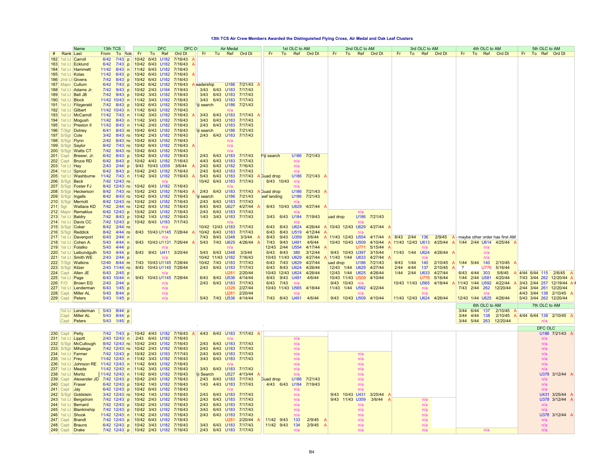#### **13th TCS Air Crew Members Awarded the Distinguished Flying Cross, Air Medal and Oak Leaf Clusters**

|                  | Name                                        | 13th TCS                                                                      |                                 | <b>DFC</b>       | DFC O   |                   | <b>Air Medal</b>                       |              |                  |                  | 1st OLC to AM |              |          |                                    | 2nd OLC to AM |                   |      | 3rd OLC to AM            |            |           | 4th OLC to AM           |                                                 |     | 5th OLC to AM          |                              |  |
|------------------|---------------------------------------------|-------------------------------------------------------------------------------|---------------------------------|------------------|---------|-------------------|----------------------------------------|--------------|------------------|------------------|---------------|--------------|----------|------------------------------------|---------------|-------------------|------|--------------------------|------------|-----------|-------------------------|-------------------------------------------------|-----|------------------------|------------------------------|--|
| <b>Rank Last</b> |                                             | From<br>To Role                                                               | Fr<br>To                        | Ref              | Ord Dt  | Fr.               | To Ref Ord Dt                          |              | Fr               | To               |               | Ref Ord Dt   | Fr       | To                                 | Ref Ord Dt    |                   | Fr.  | To                       | Ref Ord Dt | Fr.       | To Ref Ord Dt           |                                                 | Fr. | To Ref Ord Dt          |                              |  |
|                  | 182 1st Lt Carroll                          | 6/42<br>$7/43$ p                                                              | 10/42<br>6/43                   | U <sub>182</sub> | 7/16/43 |                   |                                        |              |                  |                  |               |              |          |                                    |               |                   |      |                          |            |           |                         |                                                 |     |                        |                              |  |
|                  | 183 1st Lt Ecklund                          | 6/42<br>7/43                                                                  | $p$   10/42                     | 6/43 U182        | 7/16/43 |                   |                                        |              |                  |                  |               |              |          |                                    |               |                   |      |                          |            |           |                         |                                                 |     |                        |                              |  |
|                  | 184   1st Lt   Hammett                      | 11/42                                                                         | 8/43 n 11/42 6/43 U182          |                  | 7/16/43 |                   |                                        |              |                  |                  |               |              |          |                                    |               |                   |      |                          |            |           |                         |                                                 |     |                        |                              |  |
|                  | 185 1st Lt Kolas                            | 11/42                                                                         | 6/43 p 10/42 6/43 U182          |                  | 7/16/43 |                   |                                        |              |                  |                  |               |              |          |                                    |               |                   |      |                          |            |           |                         |                                                 |     |                        |                              |  |
|                  | 186 2nd Lt Givens                           | $7/42$                                                                        | 8/43 p 10/42 6/43 U182          |                  | 7/16/43 |                   |                                        |              |                  |                  |               |              |          |                                    |               |                   |      |                          |            |           |                         |                                                 |     |                        |                              |  |
|                  | 187 Major Cullum                            | 6/42                                                                          | 7/43 p 10/42 6/42 U182 7/16/43  |                  |         | <b>Readership</b> |                                        | U186 7/21/43 |                  |                  |               |              |          |                                    |               |                   |      |                          |            |           |                         |                                                 |     |                        |                              |  |
|                  | 188 1st Lt Adams Jr                         | $7/42$                                                                        | $9/43$ p 10/42 2/43 U184        |                  | 7/19/43 |                   | 3/43 6/43 U183                         | 7/17/43      |                  |                  |               |              |          |                                    |               |                   |      |                          |            |           |                         |                                                 |     |                        |                              |  |
|                  | 189 1st Lt Bell JB                          | 7/42                                                                          | 9/43 p 10/42 3/43 U182 7/16/43  |                  |         | 3/43              | 6/43 U183                              | 7/17/43      |                  |                  |               |              |          |                                    |               |                   |      |                          |            |           |                         |                                                 |     |                        |                              |  |
| 190 1st Lt Block |                                             | 11/42 10/43 n 11/42 3/43 U182                                                 |                                 |                  | 7/16/43 |                   | 3/43 6/43 U183 7/17/43                 |              |                  |                  |               |              |          |                                    |               |                   |      |                          |            |           |                         |                                                 |     |                        |                              |  |
|                  | 191 1st Lt Fitzgerald                       | 7/42                                                                          | 8/43 p 10/42 6/43 U182          |                  | 7/16/43 | iji search        | U186                                   | 7/21/43      |                  |                  |               |              |          |                                    |               |                   |      |                          |            |           |                         |                                                 |     |                        |                              |  |
|                  | 192 1st Lt Gilbert                          | 11/42 10/43 n 11/42 6/43 U182                                                 |                                 |                  | 7/16/43 |                   |                                        |              |                  |                  |               |              |          |                                    |               |                   |      |                          |            |           |                         |                                                 |     |                        |                              |  |
|                  | 193 1st Lt   McCarroll                      | 11/42                                                                         | 7/43 n 1/42 3/43 U182           |                  | 7/16/43 | 3/43              | 6/43 U183 7/17/43                      |              |                  |                  |               |              |          |                                    |               |                   |      |                          |            |           |                         |                                                 |     |                        |                              |  |
|                  | 194 1st Lt Mogush                           | 11/42                                                                         | 8/43 n 1/42 3/43 U182           |                  | 7/16/43 | 3/43              | 6/43 U183                              | 7/17/43      |                  |                  |               |              |          |                                    |               |                   |      |                          |            |           |                         |                                                 |     |                        |                              |  |
|                  | 195 1st Lt Preston II                       | 11/42                                                                         | 8/43 n 1/42 2/43 U182           |                  | 7/16/43 | 2/43              | 6/43 U183                              | 7/17/43      |                  |                  |               |              |          |                                    |               |                   |      |                          |            |           |                         |                                                 |     |                        |                              |  |
|                  | 196 T/Sgt Dolney                            | 6/41                                                                          | 8/43 m 10/42 6/43 U182 7/16/43  |                  |         | iii search        |                                        | U186 7/21/43 |                  |                  |               |              |          |                                    |               |                   |      |                          |            |           |                         |                                                 |     |                        |                              |  |
| 197 S/Sgt Cole   |                                             | 3/42                                                                          | 8/43 ro 10/42 2/43 U182 7/16/43 |                  |         |                   | 2/43 6/43 U183 7/17/43                 |              |                  |                  |               |              |          |                                    |               |                   |      |                          |            |           |                         |                                                 |     |                        |                              |  |
| 198 S/Sgt Flynn  |                                             | 2/42                                                                          | 8/43 ro 10/42 6/43 U182 7/16/43 |                  |         |                   | n/a                                    |              |                  |                  |               |              |          |                                    |               |                   |      |                          |            |           |                         |                                                 |     |                        |                              |  |
|                  | 199 S/Sgt Saylor                            | 8/42                                                                          | 7/43 ro 10/42 6/43 U182 7/16/43 |                  |         |                   | n/a                                    |              |                  |                  |               |              |          |                                    |               |                   |      |                          |            |           |                         |                                                 |     |                        |                              |  |
|                  | 200 S/Sgt Watts CT                          | $7/42$                                                                        | 8/43 ro 10/42 6/43 U182 7/16/43 |                  |         |                   |                                        |              |                  |                  |               |              |          |                                    |               |                   |      |                          |            |           |                         |                                                 |     |                        |                              |  |
|                  | 201 Capt Brewer, Jr.                        | 6/42                                                                          | 8/43 p 10/42 8/43 U182 7/16/43  |                  |         | 2/43              | 6/43 U183                              | 7/17/43      | Fiii search      |                  |               | U186 7/21/43 |          |                                    |               |                   |      |                          |            |           |                         |                                                 |     |                        |                              |  |
|                  | 202 Capt Bruce RD                           | 6/42                                                                          | 8/43 p 10/42 4/43 U182 7/16/43  |                  |         | 4/43              | 6/43 U183                              | 7/17/43      |                  |                  | n/a           |              |          |                                    |               |                   |      |                          |            |           |                         |                                                 |     |                        |                              |  |
| $203$ 1st Lt Hay |                                             | 2/43<br>$2/44$ p                                                              | 9/43 10/43 U359                 |                  | 3/6/44  | 2/43              | 6/43 U182                              | 7/16/43      |                  |                  | n/a           |              |          |                                    |               |                   |      |                          |            |           |                         |                                                 |     |                        |                              |  |
|                  | 204 1st Lt Sprout                           | 6/42                                                                          | 8/43 p 10/42 2/43 U182 7/16/43  |                  |         | 2/43              | 6/43 U183 7/17/43                      |              |                  |                  | n/a           |              |          |                                    |               |                   |      |                          |            |           |                         |                                                 |     |                        |                              |  |
|                  | 205 1st Lt Washburne                        | 11/42                                                                         | 7/43 n 1/42 3/43 U182 7/16/43   |                  |         | 5/43              | 6/43 U183 7/17/43                      |              | <b>Guad drop</b> |                  | U186          | 7/21/43 A    |          |                                    |               |                   |      |                          |            |           |                         |                                                 |     |                        |                              |  |
| 206 S/Sgt Beck   |                                             | 7/42 12/43 ro                                                                 |                                 | n/a              |         | 10/42             | 6/43 U183                              | 7/17/43      |                  | 8/43 10/43       | n/a           |              |          |                                    |               |                   |      |                          |            |           |                         |                                                 |     |                        |                              |  |
|                  | 207 S/Sgt   Foster FJ                       | 8/42 12/43 ro 10/42 6/43 U182 7/16/43<br>8/42 7/43 ro 10/42 2/43 U182 7/16/43 |                                 |                  |         |                   | 6/43 U183 7/17/43                      |              |                  |                  |               | U186 7/21/43 |          |                                    |               |                   |      |                          |            |           |                         |                                                 |     |                        |                              |  |
|                  | 208 S/Sgt Heckerson                         | 8/42 8/43 ro 10/42 6/43 U182 7/16/43                                          |                                 |                  |         | 2/43              |                                        | U186 7/21/43 | A Guad drop      | eef landing      | U186          | 7/21/43      |          |                                    |               |                   |      |                          |            |           |                         |                                                 |     |                        |                              |  |
|                  | 209 S/Sgt Ingalls                           | 8/42 12/43 ro 10/42 2/43 U182 7/16/43                                         |                                 |                  |         | iii search        | 2/43 6/43 U183 7/17/43                 |              |                  |                  |               |              |          |                                    |               |                   |      |                          |            |           |                         |                                                 |     |                        |                              |  |
| $211$ Sgt        | 210 S/Sgt Merriott<br><b>Wallace KD</b>     | 7/42 2/44 ro 12/42 6/43 U182 7/16/43                                          |                                 |                  |         | 6/43              | 8/43 U627 4/27/44                      |              |                  | 8/43 10/43 U629  | n/a           | 4/27/44      |          |                                    |               |                   |      |                          |            |           |                         |                                                 |     |                        |                              |  |
|                  | 212 Major Remaklus                          | 6/42 12/43 p 10/42 2/43 U182 7/16/43                                          |                                 |                  |         | 2/43              | 6/43 U183 7/17/43                      |              |                  |                  | n/a           |              |          |                                    |               |                   |      |                          |            |           |                         |                                                 |     |                        |                              |  |
|                  | 213 1st Lt Baldry                           | 7/42 8/43 p 10/42 1/43 U182 7/16/43                                           |                                 |                  |         | 1/43              | 3/43 U183 7/17/43                      |              | 3/43             |                  | 6/43 U184     |              |          |                                    | U186          | 7/21/43           |      |                          |            |           |                         |                                                 |     |                        |                              |  |
|                  | 214 1st Lt Davis CC                         | 7/42 12/43 p 10/42 6/43 U183 7/17/43                                          |                                 |                  |         |                   |                                        |              |                  |                  |               | 7/19/43      | uad drop |                                    |               |                   |      |                          |            |           |                         |                                                 |     |                        |                              |  |
|                  | 215 S/Sgt Coker                             | 8/42 2/44 ro                                                                  |                                 |                  |         |                   | 10/42 12/43 U183 7/17/43               |              | 6/43             |                  | 8/43 U624     | 4/26/44      |          | 10/43 12/43 U629                   |               | 4/27/44           |      |                          |            |           |                         |                                                 |     |                        |                              |  |
|                  |                                             | 8/42 4/44 ro                                                                  | 8/43 10/43 U1145 7/28/44        |                  |         |                   | 10/42 6/43 U183 7/17/43                |              | 6/43             |                  | 8/43 U519     | 4/12/44      |          |                                    |               |                   |      |                          |            |           |                         |                                                 |     |                        |                              |  |
|                  | 216 S/Sgt Reddick<br>217 1st Lt Davenport   | 6/43<br>$2/44$ n                                                              |                                 | n/a              |         | 7/43              | 8/43 U348                              | 3/3/44       | 8/43             |                  | 9/43 U359     | 3/6/44       |          | 11/43 12/43 U554                   |               | 4/17/44           |      | A 8/43 2/44 136          |            |           |                         | $2/9/45$ A maybe other order has first AM       |     |                        |                              |  |
|                  | 218 1st Lt Cohen A.                         | 5/43<br>$4/44$ n                                                              | 9/43 10/43 U1131 7/26/44        |                  |         | 5/43              | 7/43 U625                              | 4/26/44      | $7/43$           |                  | 9/43 U491     | 4/6/44       |          | 10/43 10/43 U509                   |               | 4/10/44           |      | A 11/43 12/43 U613       |            |           |                         | 4/25/44 A 1/44 2/44 U614 4/25/44 A              |     |                        |                              |  |
|                  | 219 1st Lt Folatko                          | 5/43<br>$4/44$ p                                                              |                                 | n/a              |         |                   |                                        |              | 12/43            |                  | 2/44 U554     | 4/17/44      |          |                                    | U771          | 5/15/44           |      |                          |            |           | n/a                     |                                                 |     |                        |                              |  |
|                  | 220 1st Lt Leibundguth                      | 5/43<br>$4/44$ p                                                              | 8/43 9/43 U411 3/20/44          |                  |         |                   | 5/43 6/43 U348                         | 3/3/44       | 6/43             | 8/43 380         |               | 3/12/44      |          | 9/43 10/43 U397                    |               | 3/15/44           |      | 11/43 1/44 U624          | 4/26/44    |           | n/a                     |                                                 |     |                        |                              |  |
|                  | 221 1st Lt Smith WE                         | 2/43<br>$2/44$ p                                                              |                                 | n/a              |         |                   | 10/42 11/43 U182                       | 7/16/43      | 10/43            |                  | 11/43 U629    | 4/27/44      |          | 11/43 1/44 U633                    |               | 4/27/44           |      |                          |            |           | n/a                     |                                                 |     |                        |                              |  |
|                  | 222 T/Sgt Watkins                           | 12/40<br>$8/44$ m                                                             | 7/43 10/43 U1145 7/28/44        |                  |         |                   | 10/42 7/43 U183                        | 7/17/43      | 6/43             |                  | 7/43 U629     | 4/27/44      | uad drop |                                    | U186          | 7/21/43           | 9/43 | 1/44<br>140              | 2/10/45    | 1/44 5/44 | 140                     | 2/10/45                                         |     |                        |                              |  |
|                  | 223 S/Sqt Kilzer                            | 2/43 11/44 ro                                                                 | 8/43 10/43 U1145 7/28/44        |                  |         | 2/43              | 6/43 U183                              | 7/17/43      | 6/43             |                  | 8/43 U624     | 4/26/44      |          | 12/43 1/44 U629                    |               | 4/27/44           | 2/44 | 4/44<br>137              | 2/10/45    | $\gamma$  | <b>U776</b>             | 5/16/44                                         |     |                        |                              |  |
|                  | 224 Capt Allen JE                           | 6/43<br>$2/45$ p                                                              |                                 |                  |         |                   | U281                                   | 2/20/44      | 10/43            |                  | 12/43 U624    | 4/26/44      |          | 12/43 1/44 U625                    |               | 4/26/44           | 1/44 | 2/44 U633                | 4/27/44    |           | 6/43 4/44 303           | 5/8/45                                          |     | 4/44 6/44 115          | $2/6/45$ A                   |  |
| 225 1st Lt Page  |                                             | $6/43$ 10/44 n                                                                | 9/43 10/43 U1145 7/28/44        |                  |         | 6/43              | 8/43<br><b>U536</b>                    | 4/14/44      | 8/43             |                  | 9/43 U491     | 4/6/44       |          | 10/43 11/43 U509                   |               | 4/10/44           |      | U776                     | 5/16/44    |           | 1/44 2/44 U581          | 4/20/44                                         |     |                        | 7/43 3/44 262 12/20/44 A     |  |
| $226$ F/O        | <b>Brown EG</b>                             | 2/43<br>$2/44$ p                                                              |                                 | n/a              |         | 2/43              | 6/43 U183                              | 7/17/43      | 6/43             | 7/43             | n/a           |              |          | 9/43 10/43                         | n/a           |                   |      | 10/43 11/43 U565         | 4/18/44    |           | 11/43 1/44 U592         | 4/22/44                                         |     |                        | 3/43 2/44 257 12/19/44 A     |  |
|                  | 227 1st Lt Lenderman                        | 6/43<br>$1/45$ p                                                              |                                 | n/a              |         |                   | U326                                   | 2/27/44      |                  | 10/43 11/43 U565 |               | 4/18/44      |          | 11/43 1/44 U592                    |               | 4/22/44           |      | n/a                      |            |           | 7/43 2/44 262           | 12/20/44                                        |     | 2/44 3/44 261 12/20/44 |                              |  |
|                  | 228 Capt Miller AL                          | 5/43 8/44 p                                                                   |                                 | n/a              |         |                   | U281                                   | 2/20/44      |                  |                  |               |              |          |                                    |               |                   |      | n/a                      |            |           |                         |                                                 |     | 4/43 3/44 138 2/10/45  |                              |  |
|                  | 229 Capt Peters                             | 5/43 1/45 p                                                                   |                                 | n/a              |         |                   | 5/43 7/43 U536 4/14/44                 |              |                  | 7/43 8/43 U491   |               | 4/6/44       |          | 9/43 10/43 U509 4/10/44            |               |                   |      | 11/43 12/43 U624 4/26/44 |            |           | 12/43 1/44 U625 4/26/44 |                                                 |     | 5/43 3/44 262 12/20/44 |                              |  |
|                  |                                             |                                                                               |                                 |                  |         |                   |                                        |              |                  |                  |               |              |          |                                    |               |                   |      |                          |            |           |                         |                                                 |     |                        |                              |  |
|                  |                                             |                                                                               |                                 |                  |         |                   |                                        |              |                  |                  |               |              |          |                                    |               |                   |      |                          |            |           | 6th OLC to AM           |                                                 |     | 7th OLC to AM          |                              |  |
|                  | 1st Lt Lenderman<br>Capt Miller AL          | 5/43 8/44 p<br>5/43 8/44 p                                                    |                                 |                  |         |                   |                                        |              |                  |                  |               |              |          |                                    |               |                   |      |                          |            |           | 3/44 6/44 137 2/10/45   | 3/44 4/44 138 2/10/45 A 4/44 6/44 138 2/10/45 / |     |                        |                              |  |
|                  | Capt <b>Peters</b>                          | 5/43 1/45 p                                                                   |                                 |                  |         |                   |                                        |              |                  |                  |               |              |          |                                    |               |                   |      |                          |            |           | 3/44 5/44 263 12/20/44  |                                                 |     | n/a                    |                              |  |
|                  |                                             |                                                                               |                                 |                  |         |                   |                                        |              |                  |                  |               |              |          |                                    |               |                   |      |                          |            |           |                         |                                                 |     |                        |                              |  |
|                  |                                             |                                                                               |                                 |                  |         |                   |                                        |              |                  |                  |               |              |          |                                    |               |                   |      |                          |            |           |                         |                                                 |     | DFC OLC                |                              |  |
| 230 Capt Petty   |                                             | 7/42 7/43 p 10/42 4/43 U182 7/16/43                                           |                                 |                  |         |                   | 4/43 6/43 U183 7/17/43 A               |              |                  |                  |               |              |          |                                    |               |                   |      |                          |            |           |                         |                                                 |     |                        | U186 7/21/43 A               |  |
|                  | 231 1st Lt Lippitt                          | 2/43 12/43 n 2/43 6/43 U182 7/16/43                                           |                                 |                  |         |                   |                                        |              |                  |                  | n/a           |              |          |                                    |               |                   |      |                          |            |           |                         |                                                 |     | n/a                    |                              |  |
|                  | 232 S/Sgt McCullough                        | 8/42 12/43 ro 10/42 2/43 U182 7/16/43                                         |                                 |                  |         | 2/43              | 6/43 U183 7/17/43                      |              |                  |                  | n/a           |              |          |                                    |               |                   |      |                          |            |           |                         |                                                 |     | n/a                    |                              |  |
|                  | 233 S/Sgt Mihalega                          | 7/42 12/43 ro 10/42 2/43 U182 7/16/43                                         |                                 |                  |         | 2/43              | 6/43 U183 7/17/43                      |              |                  |                  | n/a           |              |          |                                    |               |                   |      |                          |            |           |                         |                                                 |     | n/a                    |                              |  |
|                  | 234 1st Lt Farmer                           | 7/42 12/43 p 10/42 2/43 U183 7/17/43                                          |                                 |                  |         | 2/43              | 6/43 U183 7/17/43                      |              |                  |                  | n/a           |              |          |                                    | n/a           |                   |      |                          |            |           |                         |                                                 |     | n/a                    |                              |  |
| 235 1st Lt Frey  |                                             | 11/42 12/43 n 11/42 3/43 U182 7/16/43                                         |                                 |                  |         | 3/43              | 6/43 U183 7/17/43                      |              |                  |                  | n/a           |              |          |                                    | n/a           |                   |      |                          |            |           |                         |                                                 |     | n/a                    |                              |  |
|                  |                                             | 236 1st Lt Johnson RE 11/42 12/43 n 11/42 6/43 U182 7/16/43                   |                                 |                  |         |                   |                                        |              |                  |                  | n/a           |              |          |                                    | n/a           |                   |      |                          |            |           |                         |                                                 |     | n/a                    |                              |  |
|                  | 237 1st Lt Meade                            | 11/42 12/43 n 11/42 3/43 U182 7/16/43                                         |                                 |                  |         | 3/43              | 6/43 U183 7/17/43                      |              |                  |                  | n/a           |              |          |                                    | n/a           |                   |      |                          |            |           |                         |                                                 |     |                        |                              |  |
|                  | 238 1st Lt Moritz                           | 11/42 12/43 n 1/42 6/43 U182 7/16/43                                          |                                 |                  |         | ii Search         |                                        | U527 4/13/44 |                  |                  | n/a           |              |          |                                    | n/a           |                   |      |                          |            |           |                         |                                                 |     |                        | U378 3/12/44                 |  |
| $239$ Capt       |                                             | Alexander JD 7/42 12/43 p 10/42 2/43 U182 7/16/43                             |                                 |                  |         | 2/43              | 6/43 U183 7/17/43                      |              | Guad drop        |                  | U186          | 7/21/43      |          |                                    | n/a           |                   |      |                          |            |           |                         |                                                 |     | n/a                    |                              |  |
| $240$ Capt       | Fraser                                      | 6/42 12/43 p 10/42 1/43 U182 7/16/43                                          |                                 |                  |         | 1/43              | 4/43 U183 7/17/43                      |              |                  | 4/43 6/43        | U184          | 7/19/43      |          |                                    | n/a           |                   |      |                          |            |           |                         |                                                 |     | n/a                    |                              |  |
| $241$ Capt       | $\vert$ Jay                                 | 6/42 12/43 p 10/42 6/43 U182 7/16/43                                          |                                 |                  |         |                   |                                        |              |                  |                  | n/a           |              |          |                                    |               |                   |      |                          |            |           |                         |                                                 |     |                        |                              |  |
|                  | 242 S/Sgt Goldstein<br>243 1st Lt Bergstrom | 3/42 12/43 ro 10/42 1/43 U182 7/16/43<br>7/42 12/43 p 10/42 2/43 U182 7/16/43 |                                 |                  |         | 2/43<br>2/43      | 6/43 U183 7/17/43<br>6/43 U183 7/17/43 |              |                  |                  | n/a           |              |          | 9/43 10/43 U431<br>9/43 11/43 U359 |               | 3/25/44<br>3/6/44 |      | n/a                      |            |           |                         |                                                 |     |                        | U431 3/25/44<br>U378 3/12/44 |  |
|                  | 244 1st Lt Bernard                          | 7/42 12/43 p 10/42 2/43 U182 7/16/43                                          |                                 |                  |         | 2/43              | 6/43 U183 7/17/43                      |              |                  |                  | n/a<br>n/a    |              |          |                                    |               |                   |      | n/a                      |            |           |                         |                                                 |     |                        |                              |  |
|                  | 245 1st Lt Blankinship                      | 7/42 12/43 p 10/42 3/43 U182 7/16/43                                          |                                 |                  |         | 3/43              | 6/43 U183 7/17/43                      |              |                  |                  | n/a           |              |          |                                    | n/a<br>n/a    |                   |      | n/a                      |            |           |                         |                                                 |     | n/a<br>n/a             |                              |  |
|                  | 246 1st Lt Shook                            | 11/42 12/43 n 1/42 2/43 U182 7/16/43                                          |                                 |                  |         | 2/43              | 6/43 U183 7/17/43                      |              |                  |                  | n/a           |              |          |                                    | n/a           |                   |      | n/a                      |            |           |                         |                                                 |     |                        | U378 3/12/44 A               |  |
|                  | 247 Capt Brandt                             | 7/42 12/43 p 10/42 6/43 U182 7/16/43                                          |                                 |                  |         |                   |                                        | U281 2/20/44 |                  | 11/42 9/43       | 133           | 2/9/45       |          |                                    | n/a           |                   |      | n/a                      |            |           |                         |                                                 |     | n/a                    |                              |  |
|                  | 248 Capt Brauns                             | 6/42 12/43 p 10/42 3/43 U182 7/16/43                                          |                                 |                  |         |                   | 3/43 6/43 U183 7/17/43                 |              |                  | 11/42 9/43       | 134           | 2/9/45       |          |                                    | n/a           |                   |      | n/a                      |            |           |                         |                                                 |     | n/a                    |                              |  |
|                  | 249 Capt Drake                              | 7/42 12/43 p 10/42 2/43 U182 7/16/43                                          |                                 |                  |         |                   | 2/43 6/43 U183 7/17/43                 |              |                  |                  | n/a           |              |          |                                    | n/a           |                   |      | n/a                      |            |           | n/a                     |                                                 |     | n/a                    |                              |  |
|                  |                                             |                                                                               |                                 |                  |         |                   |                                        |              |                  |                  |               |              |          |                                    |               |                   |      |                          |            |           |                         |                                                 |     |                        |                              |  |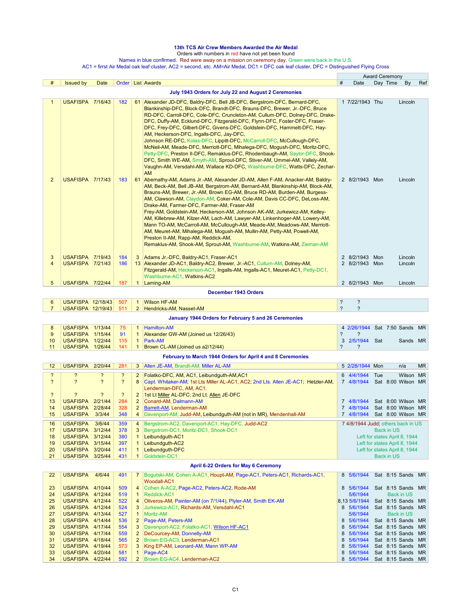## **13th TCS Air Crew Members Awarded the Air Medal**

Orders with numbers in red have not yet been found

Names in blue confirmed. Red were away on a mission on ceremony day. Green were back in the U.S.

AC1 = firrst Air Medal oak leaf cluster, AC2 = second, etc. AM=Air Medal, DC1 = DFC oak leaf cluster, DFC = Distinguished Flying Cross

|                         |                                                    |                |                         |                                  |                                                                                                                                                                                                                                                                                                                                                                                                                                                                                                                                                                                                                                                                                                                                                                                                                                                                                                                                    |                          |                                   |     | <b>Award Ceremony</b>                                          |     |
|-------------------------|----------------------------------------------------|----------------|-------------------------|----------------------------------|------------------------------------------------------------------------------------------------------------------------------------------------------------------------------------------------------------------------------------------------------------------------------------------------------------------------------------------------------------------------------------------------------------------------------------------------------------------------------------------------------------------------------------------------------------------------------------------------------------------------------------------------------------------------------------------------------------------------------------------------------------------------------------------------------------------------------------------------------------------------------------------------------------------------------------|--------------------------|-----------------------------------|-----|----------------------------------------------------------------|-----|
| #                       | <b>Issued by</b>                                   | Date           |                         |                                  | Order   List   Awards                                                                                                                                                                                                                                                                                                                                                                                                                                                                                                                                                                                                                                                                                                                                                                                                                                                                                                              | $\#$                     | Date                              |     | Day Time<br>By                                                 | Ref |
|                         |                                                    |                |                         |                                  | July 1943 Orders for July 22 and August 2 Ceremonies                                                                                                                                                                                                                                                                                                                                                                                                                                                                                                                                                                                                                                                                                                                                                                                                                                                                               |                          |                                   |     |                                                                |     |
| 1<br>$\overline{2}$     | <b>USAFISPA 7/16/43</b><br><b>USAFISPA 7/17/43</b> |                | 182<br>183              | 61                               | 61 Alexander JD-DFC, Baldry-DFC, Bell JB-DFC, Bergstrom-DFC, Bernard-DFC,<br>Blankinship-DFC, Block-DFC, Brandt-DFC, Brauns-DFC, Brewer, Jr.-DFC, Bruce<br>RD-DFC, Carroll-DFC, Cole-DFC, Cruncleton-AM, Cullum-DFC, Dolney-DFC, Drake-<br>DFC, Duffy-AM, Ecklund-DFC, Fitzgerald-DFC, Flynn-DFC, Foster-DFC, Fraser-<br>DFC, Frey-DFC, Gilbert-DFC, Givens-DFC, Goldstein-DFC, Hammett-DFC, Hay-<br>AM, Heckerson-DFC, Ingalls-DFC, Jay-DFC,<br>Johnson RE-DFC, Kolas-DFC, Lippitt-DFC, McCarroll-DFC, McCullough-DFC,<br>McNeil-AM, Meade-DFC, Merriott-DFC, Mihalega-DFC, Mogush-DFC, Moritz-DFC,<br>Petty-DFC, Preston II-DFC, Remaklus-DFC, Rhodenbaugh-AM, Saylor-DFC, Shook-<br>DFC, Smith WE-AM, Smyth-AM, Sprout-DFC, Stiver-AM, Ummel-AM, Vallely-AM,<br>Vaughn-AM, Versdahl-AM, Wallace KD-DFC, Washburne-DFC, Watts-DFC, Zechar-<br>AM<br>Abernathy-AM, Adams Jr.-AM, Alexander JD-AM, Allen F-AM, Anacker-AM, Baldry- |                          | 1 7/22/1943 Thu<br>2 8/2/1943 Mon |     | Lincoln<br>Lincoln                                             |     |
|                         |                                                    |                |                         |                                  | AM, Beck-AM, Bell JB-AM, Bergstrom-AM, Bernard-AM, Blankinship-AM, Block-AM,<br>Brauns-AM, Brewer, Jr.-AM, Brown EG-AM, Bruce RD-AM, Burden-AM, Burgess-<br>AM, Clawson-AM, Claydon-AM, Coker-AM, Cole-AM, Davis CC-DFC, DeLoss-AM,<br>Drake-AM, Farmer-DFC, Farmer-AM, Fraser-AM<br>Frey-AM, Goldstein-AM, Heckerson-AM, Johnson AK-AM, Jurkewicz-AM, Kelley-<br>AM, Killebrew-AM, Kilzer-AM, Lach-AM, Lawyer-AM, Linkenhoger-AM, Lowery-AM,<br>Mann TO-AM, McCarroll-AM, McCullough-AM, Meade-AM, Meadows-AM, Merriott-<br>AM, Meuret-AM, Mihalega-AM, Mogush-AM, Mullin-AM, Petty-AM, Powell-AM,<br>Preston II-AM, Rapp-AM, Reddick-AM,<br>Remaklus-AM, Shook-AM, Sprout-AM, Washburne-AM, Watkins-AM, Zieman-AM                                                                                                                                                                                                                |                          |                                   |     |                                                                |     |
| 3                       | USAFISPA 7/19/43                                   |                | 184                     | 3                                | Adams Jr.-DFC, Baldry-AC1, Fraser-AC1                                                                                                                                                                                                                                                                                                                                                                                                                                                                                                                                                                                                                                                                                                                                                                                                                                                                                              |                          | 2 8/2/1943 Mon                    |     | Lincoln                                                        |     |
| 4                       | <b>USAFISPA 7/21/43</b>                            |                | 186                     |                                  | 13 Alexander JD-AC1, Baldry-AC2, Brewer, Jr.-AC1, Cullum-AM, Dolney-AM,<br>Fitzgerald-AM, Heckerson-AC1, Ingalls-AM, Ingalls-AC1, Meuret-AC1, Petty-DC1,<br>Washburne-AC1, Watkins-AC2                                                                                                                                                                                                                                                                                                                                                                                                                                                                                                                                                                                                                                                                                                                                             |                          | 2 8/2/1943 Mon                    |     | Lincoln                                                        |     |
| 5                       | USAFISPA 7/22/44                                   |                | 187                     | $\mathbf{1}$                     | Laming-AM                                                                                                                                                                                                                                                                                                                                                                                                                                                                                                                                                                                                                                                                                                                                                                                                                                                                                                                          |                          | 2 8/2/1943 Mon                    |     | Lincoln                                                        |     |
|                         |                                                    |                |                         |                                  | December 1943 Orders                                                                                                                                                                                                                                                                                                                                                                                                                                                                                                                                                                                                                                                                                                                                                                                                                                                                                                               |                          |                                   |     |                                                                |     |
| 6                       | USAFISPA 12/18/43                                  |                | 507                     | $\mathbf{1}$                     | <b>Wilson HF-AM</b>                                                                                                                                                                                                                                                                                                                                                                                                                                                                                                                                                                                                                                                                                                                                                                                                                                                                                                                | ?                        | $\ddot{\phantom{0}}$              |     |                                                                |     |
| $\overline{7}$          | <b>USAFISPA 12/19/43</b>                           |                | 511                     |                                  | 2 Hendricks-AM, Nasset-AM                                                                                                                                                                                                                                                                                                                                                                                                                                                                                                                                                                                                                                                                                                                                                                                                                                                                                                          | $\overline{?}$           | $\overline{?}$                    |     |                                                                |     |
|                         |                                                    |                |                         |                                  | January 1944 Orders for February 5 and 26 Ceremonies                                                                                                                                                                                                                                                                                                                                                                                                                                                                                                                                                                                                                                                                                                                                                                                                                                                                               |                          |                                   |     |                                                                |     |
|                         |                                                    |                |                         |                                  |                                                                                                                                                                                                                                                                                                                                                                                                                                                                                                                                                                                                                                                                                                                                                                                                                                                                                                                                    |                          |                                   |     |                                                                |     |
| 8<br>9                  | USAFISPA 1/13/44<br>USAFISPA 1/15/44               |                | 75<br>91                | $\mathbf{1}$<br>$\mathbf{1}$     | <b>Hamilton-AM</b><br>Alexander GW-AM (Joined us 12/26/43)                                                                                                                                                                                                                                                                                                                                                                                                                                                                                                                                                                                                                                                                                                                                                                                                                                                                         | $\overline{\phantom{0}}$ | $\overline{\phantom{0}}$          |     | 4 2/26/1944 Sat 7:50 Sands MR                                  |     |
| 10                      | USAFISPA 1/22/44                                   |                | 115                     | $\mathbf{1}$                     | Park-AM                                                                                                                                                                                                                                                                                                                                                                                                                                                                                                                                                                                                                                                                                                                                                                                                                                                                                                                            |                          | 3 2/5/1944 Sat                    |     | Sands MR                                                       |     |
| 11                      | USAFISPA 1/26/44                                   |                | 141                     | $\mathbf{1}$                     | Brown CL-AM (Joined us a2/12/44)                                                                                                                                                                                                                                                                                                                                                                                                                                                                                                                                                                                                                                                                                                                                                                                                                                                                                                   | ?                        | ?                                 |     |                                                                |     |
|                         |                                                    |                |                         |                                  | February to March 1944 Orders for April 4 and 8 Ceremonies                                                                                                                                                                                                                                                                                                                                                                                                                                                                                                                                                                                                                                                                                                                                                                                                                                                                         |                          |                                   |     |                                                                |     |
| 12                      | USAFISPA 2/20/44                                   |                | 281                     | 3                                | Allen JE-AM, Brandt-AM, Miller AL-AM                                                                                                                                                                                                                                                                                                                                                                                                                                                                                                                                                                                                                                                                                                                                                                                                                                                                                               |                          | 5 2/28/1944 Mon                   |     | n/a                                                            | MR. |
| ?                       | ?                                                  | ?              | ?                       | $\overline{2}$                   | Folatko-DFC, AM, AC1, Leibundguth-AM, AC1                                                                                                                                                                                                                                                                                                                                                                                                                                                                                                                                                                                                                                                                                                                                                                                                                                                                                          |                          | 6 4/4/1944                        | Tue | Wilson MR                                                      |     |
| ?                       | ?                                                  | $\overline{?}$ | $\overline{?}$          | 8                                | Capt. Whitaker-AM; 1st Lts Miller AL-AC1, AC2; 2nd Lts. Allen JE-AC1; Hetzler-AM,<br>Lenderman-DFC, AM, AC1,                                                                                                                                                                                                                                                                                                                                                                                                                                                                                                                                                                                                                                                                                                                                                                                                                       |                          | 7 4/8/1944                        |     | Sat 8:00 Wilson MR                                             |     |
| $\overline{\mathbf{?}}$ | ?                                                  | $\overline{?}$ | $\overline{\mathbf{?}}$ | $\overline{c}$                   | 1st Lt Miller AL-DFC; 2nd Lt. Allen JE-DFC                                                                                                                                                                                                                                                                                                                                                                                                                                                                                                                                                                                                                                                                                                                                                                                                                                                                                         |                          |                                   |     |                                                                |     |
| 13                      | <b>USAFISPA 2/21/44</b>                            |                | 284                     | $\overline{2}$                   | Conard-AM, Dalmann-AM                                                                                                                                                                                                                                                                                                                                                                                                                                                                                                                                                                                                                                                                                                                                                                                                                                                                                                              |                          | 7 4/8/1944                        |     | Sat 8:00 Wilson MR                                             |     |
| 14<br>15                | USAFISPA 2/28/44<br><b>USAFISPA</b>                | 3/3/44         | 328<br>348              | $\overline{2}$<br>$\overline{4}$ | Barrett-AM, Lenderman-AM<br>Davenport-AM, Judd-AM, Leibundguth-AM (not in MR), Mendenhall-AM                                                                                                                                                                                                                                                                                                                                                                                                                                                                                                                                                                                                                                                                                                                                                                                                                                       |                          | 7 4/8/1944<br>7 4/8/1944          |     | Sat 8:00 Wilson MR<br>Sat 8:00 Wilson MR                       |     |
| 16                      | <b>USAFISPA</b>                                    | 3/6/44         | 359                     | 4                                | Bergstrom-AC2, Davenport-AC1, Hay-DFC, Judd-AC2                                                                                                                                                                                                                                                                                                                                                                                                                                                                                                                                                                                                                                                                                                                                                                                                                                                                                    |                          |                                   |     | 7 4/8/1944 Judd; others back in US                             |     |
| 17                      | USAFISPA 3/12/44                                   |                | 378                     | 3                                | Bergstrom-DC1, Moritz-DC1, Shook-DC1                                                                                                                                                                                                                                                                                                                                                                                                                                                                                                                                                                                                                                                                                                                                                                                                                                                                                               |                          |                                   |     | <b>Back in US</b>                                              |     |
| 18                      | USAFISPA 3/12/44                                   |                | 380                     | $\mathbf{1}$                     | Leibundguth-AC1                                                                                                                                                                                                                                                                                                                                                                                                                                                                                                                                                                                                                                                                                                                                                                                                                                                                                                                    |                          |                                   |     | Left for states April 8, 1944                                  |     |
| 19<br>20                | USAFISPA 3/15/44<br>USAFISPA 3/20/44               |                | 397<br>411              | $\mathbf{1}$<br>$\mathbf{1}$     | Leibundguth-AC2<br>Leibundguth-DFC                                                                                                                                                                                                                                                                                                                                                                                                                                                                                                                                                                                                                                                                                                                                                                                                                                                                                                 |                          |                                   |     | Left for states April 8, 1944<br>Left for states April 8, 1944 |     |
| 21                      | USAFISPA 3/25/44                                   |                | 431                     | $\mathbf{1}$                     | Goldstein-DC1                                                                                                                                                                                                                                                                                                                                                                                                                                                                                                                                                                                                                                                                                                                                                                                                                                                                                                                      |                          |                                   |     | Back in US                                                     |     |
|                         |                                                    |                |                         |                                  | April 6-22 Orders for May 6 Ceremony                                                                                                                                                                                                                                                                                                                                                                                                                                                                                                                                                                                                                                                                                                                                                                                                                                                                                               |                          |                                   |     |                                                                |     |
|                         |                                                    |                |                         |                                  |                                                                                                                                                                                                                                                                                                                                                                                                                                                                                                                                                                                                                                                                                                                                                                                                                                                                                                                                    |                          |                                   |     |                                                                |     |
| 22                      | <b>USAFISPA</b>                                    | 4/6/44         | 491                     | $\overline{7}$                   | Bogutski-AM, Cohen A-AC1, Houpt-AM, Page-AC1, Peters-AC1, Richards-AC1,<br>Woodall-AC1                                                                                                                                                                                                                                                                                                                                                                                                                                                                                                                                                                                                                                                                                                                                                                                                                                             |                          | 8 5/6/1944                        |     | Sat 8:15 Sands MR                                              |     |
| 23                      | USAFISPA 4/10/44                                   |                | 509                     | $\overline{4}$                   | Cohen A-AC2, Page-AC2, Peters-AC2, Rode-AM                                                                                                                                                                                                                                                                                                                                                                                                                                                                                                                                                                                                                                                                                                                                                                                                                                                                                         |                          | 8 5/6/1944                        |     | Sat 8:15 Sands MR                                              |     |
| 24                      | USAFISPA 4/12/44                                   |                | 519                     | $\mathbf{1}$                     | Reddick-AC1                                                                                                                                                                                                                                                                                                                                                                                                                                                                                                                                                                                                                                                                                                                                                                                                                                                                                                                        |                          | 5/6/1944                          |     | <b>Back in US</b>                                              |     |
| 25<br>26                | USAFISPA 4/12/44<br>USAFISPA 4/12/44               |                | 522<br>524              | 4<br>3                           | Oliveros-AM, Painter-AM (on 7/1/44), Plyler-AM, Smith EK-AM<br>Jurkewicz-AC1, Richards-AM, Versdahl-AC1                                                                                                                                                                                                                                                                                                                                                                                                                                                                                                                                                                                                                                                                                                                                                                                                                            |                          | 8,13 5/6/1944<br>8 5/6/1944       |     | Sat 8:15 Sands MR<br>Sat 8:15 Sands MR                         |     |
| 27                      | USAFISPA 4/13/44                                   |                | 527                     | $\mathbf{1}$                     | <b>Moritz-AM</b>                                                                                                                                                                                                                                                                                                                                                                                                                                                                                                                                                                                                                                                                                                                                                                                                                                                                                                                   |                          | 5/6/1944                          |     | <b>Back in US</b>                                              |     |
| 28                      | USAFISPA 4/14/44                                   |                | 536                     | $\overline{2}$                   | Page-AM, Peters-AM                                                                                                                                                                                                                                                                                                                                                                                                                                                                                                                                                                                                                                                                                                                                                                                                                                                                                                                 |                          | 8 5/6/1944                        |     | Sat 8:15 Sands MR                                              |     |
| 29<br>30                | USAFISPA 4/17/44                                   |                | 554<br>559              | 3<br>$\overline{2}$              | Davenport-AC2, Folatko-AC1, Wilson HF-AC1                                                                                                                                                                                                                                                                                                                                                                                                                                                                                                                                                                                                                                                                                                                                                                                                                                                                                          |                          | 8 5/6/1944<br>8 5/6/1944          |     | Sat 8:15 Sands MR<br>Sat 8:15 Sands MR                         |     |
| 31                      | USAFISPA 4/17/44<br>USAFISPA 4/18/44               |                | 565                     | $\overline{2}$                   | DeCourcey-AM, Donnelly-AM<br>Brown EG-AC3, Lenderman-AC1                                                                                                                                                                                                                                                                                                                                                                                                                                                                                                                                                                                                                                                                                                                                                                                                                                                                           |                          | 8 5/6/1944                        |     | Sat 8:15 Sands MR                                              |     |
| 32                      | USAFISPA 4/19/44                                   |                | 573                     | 3                                | King EP-AM, Leonard-AM, Mann WP-AM                                                                                                                                                                                                                                                                                                                                                                                                                                                                                                                                                                                                                                                                                                                                                                                                                                                                                                 |                          | 8 5/6/1944                        |     | Sat 8:15 Sands MR                                              |     |
| 33                      | USAFISPA 4/20/44                                   |                | 581                     | $\mathbf{1}$                     | Page-AC4                                                                                                                                                                                                                                                                                                                                                                                                                                                                                                                                                                                                                                                                                                                                                                                                                                                                                                                           |                          | 8 5/6/1944                        |     | Sat 8:15 Sands MR                                              |     |
| 34                      | USAFISPA 4/22/44                                   |                | 592                     |                                  | 2 Brown EG-AC4, Lenderman-AC2                                                                                                                                                                                                                                                                                                                                                                                                                                                                                                                                                                                                                                                                                                                                                                                                                                                                                                      |                          | 8 5/6/1944                        |     | Sat 8:15 Sands MR                                              |     |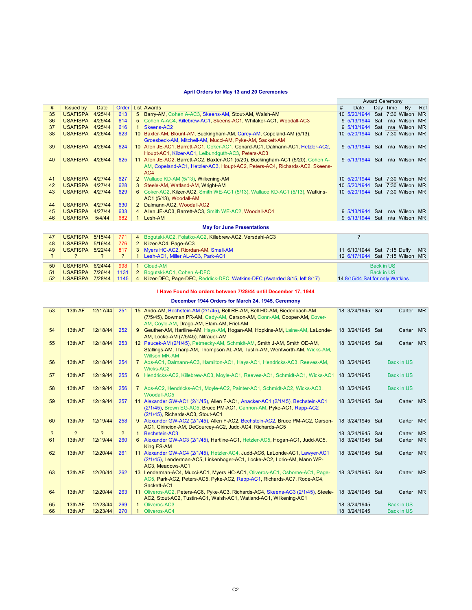### **April Orders for May 13 and 20 Ceremonies**

|    |                  |         |       |                |                                                                                  |   |                                 |     | <b>Award Ceremony</b> |               |           |
|----|------------------|---------|-------|----------------|----------------------------------------------------------------------------------|---|---------------------------------|-----|-----------------------|---------------|-----------|
| #  | <b>Issued by</b> | Date    | Order |                | <b>List Awards</b>                                                               | # | Date                            |     | Day Time              | By            | Ref       |
| 35 | <b>USAFISPA</b>  | 4/25/44 | 613   | 5 <sup>5</sup> | Barry-AM, Cohen A-AC3, Skeens-AM, Stout-AM, Walsh-AM                             |   | 10 5/20/1944 Sat 7:30 Wilson    |     |                       |               | <b>MR</b> |
| 36 | <b>USAFISPA</b>  | 4/25/44 | 614   |                | 5 Cohen A-AC4, Killebrew-AC1, Skeens-AC1, Whitaker-AC1, Woodall-AC3              |   | 9 5/13/1944 Sat                 |     |                       | n/a Wilson    | <b>MR</b> |
| 37 | <b>USAFISPA</b>  | 4/25/44 | 616   | 1              | Skeens-AC2                                                                       |   | 9 5/13/1944 Sat n/a Wilson MR   |     |                       |               |           |
| 38 | <b>USAFISPA</b>  | 4/26/44 | 623   |                | 10 Baxter-AM, Blount-AM, Buckingham-AM, Carey-AM, Copeland-AM (5/13),            |   | 10 5/20/1944 Sat 7:30 Wilson MR |     |                       |               |           |
|    |                  |         |       |                | Groesbeck-AM, Mitchell-AM, Mucci-AM, Pyke-AM, Sackett-AM                         |   |                                 |     |                       |               |           |
| 39 | USAFISPA 4/26/44 |         | 624   |                | 10 Allen JE-AC1, Barrett-AC1, Coker-AC1, Conard-AC1, Dalmann-AC1, Hetzler-AC2,   |   | 9 5/13/1944 Sat n/a Wilson MR   |     |                       |               |           |
|    |                  |         |       |                | Houpt-AC1, Kilzer-AC1, Leibundguth-AC3, Peters-AC3                               |   |                                 |     |                       |               |           |
| 40 | <b>USAFISPA</b>  | 4/26/44 | 625   |                | 11 Allen JE-AC2, Barrett-AC2, Baxter-AC1 (5/20), Buckingham-AC1 (5/20), Cohen A- |   | 9 5/13/1944 Sat n/a Wilson MR   |     |                       |               |           |
|    |                  |         |       |                | AM, Copeland-AC1, Hetzler-AC3, Houpt-AC2, Peters-AC4, Richards-AC2, Skeens-      |   |                                 |     |                       |               |           |
|    |                  |         |       |                | AC4                                                                              |   |                                 |     |                       |               |           |
| 41 | USAFISPA 4/27/44 |         | 627   | $\overline{2}$ | Wallace KD-AM (5/13), Wilkening-AM                                               |   | 10 5/20/1944 Sat 7:30 Wilson    |     |                       |               | <b>MR</b> |
| 42 | USAFISPA 4/27/44 |         | 628   | 3              | Steele-AM, Watland-AM, Wright-AM                                                 |   | 10 5/20/1944 Sat 7:30 Wilson    |     |                       |               | MR.       |
| 43 | USAFISPA 4/27/44 |         | 629   | 6              | Coker-AC2, Kilzer-AC2, Smith WE-AC1 (5/13), Wallace KD-AC1 (5/13), Watkins-      |   | 10 5/20/1944 Sat 7:30 Wilson MR |     |                       |               |           |
|    |                  |         |       |                | AC1 (5/13), Woodall-AM                                                           |   |                                 |     |                       |               |           |
| 44 | <b>USAFISPA</b>  | 4/27/44 | 630   | $\overline{2}$ | Dalmann-AC2, Woodall-AC2                                                         |   |                                 |     |                       |               |           |
| 45 | <b>USAFISPA</b>  | 4/27/44 | 633   |                | 4 Allen JE-AC3, Barrett-AC3, Smith WE-AC2, Woodall-AC4                           |   | 9 5/13/1944                     | Sat |                       | n/a Wilson    | MR.       |
| 46 | <b>USAFISPA</b>  | 5/4/44  | 682   |                | Lesh-AM                                                                          |   | 9 5/13/1944                     | Sat |                       | n/a Wilson MR |           |
|    |                  |         |       |                | <b>May for June Presentations</b>                                                |   |                                 |     |                       |               |           |

| 47 | USAFISPA 5/15/44 771 |     | 4 Bogutski-AC2, Folatko-AC2, Killebrew-AC2, Versdahl-AC3                                               |                                 |
|----|----------------------|-----|--------------------------------------------------------------------------------------------------------|---------------------------------|
| 48 |                      |     | USAFISPA 5/16/44   776   2   Kilzer-AC4, Page-AC3                                                      |                                 |
| 49 | USAFISPA 5/22/44     |     | 817 3 Myers HC-AC2, Riordan-AM, Small-AM                                                               | 11 6/10/1944 Sat 7:15 Duffy MR  |
|    |                      |     | Lesh-AC1, Miller AL-AC3, Park-AC1                                                                      | 12 6/17/1944 Sat 7:15 Wilson MR |
|    |                      |     |                                                                                                        |                                 |
| 50 | USAFISPA 6/24/44     | 998 | $\vert$ 1 $\vert$ Cloud-AM                                                                             | Back in US                      |
| 51 |                      |     | USAFISPA 7/26/44   1131   2   Bogutski-AC1, Cohen A-DFC                                                | Back in US                      |
| 52 |                      |     | USAFISPA 7/28/44   1145   4   Kilzer-DFC, Page-DFC, Reddick-DFC, Watkins-DFC (Awarded 8/15, left 8/17) | 14 8/15/44 Sat for only Watkins |

### **I Have Found No orders between 7/28/44 until December 17, 1944**

### **December 1944 Orders for March 24, 1945, Ceremony**

| 53             | 13th AF | 12/17/44      | 251 |                | 15 Ando-AM, Bechstein-AM (2/1/45), Bell RE-AM, Bell HD-AM, Biedenbach-AM                                                                 | 18 3/24/1945 Sat | Carter MR         |           |
|----------------|---------|---------------|-----|----------------|------------------------------------------------------------------------------------------------------------------------------------------|------------------|-------------------|-----------|
|                |         |               |     |                | (7/5/45), Bowman PR-AM, Cady-AM, Carson-AM, Conn-AM, Cooper-AM, Cover-                                                                   |                  |                   |           |
|                |         |               |     |                | AM, Coyle-AM, Drago-AM, Elam-AM, Friel-AM                                                                                                |                  |                   |           |
| 54             | 13th AF | 12/18/44      | 252 | 9              | Geuther-AM, Hartline-AM, Hays-AM, Hogan-AM, Hopkins-AM, Laine-AM, LaLonde-                                                               | 18 3/24/1945 Sat | Carter            | <b>MR</b> |
|                |         |               |     |                | AM, Locke-AM (7/5/45), Nitrauer-AM                                                                                                       |                  |                   |           |
| 55             | 13th AF | 12/18/44      | 253 |                | 12 Paucek-AM (2/1/45), Petmecky-AM, Schmidt-AM, Smith J-AM, Smith OE-AM,                                                                 | 18 3/24/1945 Sat | Carter MR         |           |
|                |         |               |     |                | Stallings-AM, Tharp-AM, Thompson AL-AM, Tustin-AM, Wentworth-AM, Wicks-AM,<br><b>Willson MR-AM</b>                                       |                  |                   |           |
| 56             | 13th AF | 12/18/44      | 254 | $7^{\circ}$    | Aos-AC1, Dalmann-AC3, Hamilton-AC1, Hays-AC1, Hendricks-AC3, Reeves-AM,<br>Wicks-AC2                                                     | 18 3/24/1945     | <b>Back in US</b> |           |
| 57             | 13th AF | 12/19/44      | 255 | $6^{\circ}$    | Hendricks-AC2, Killebrew-AC3, Moyle-AC1, Reeves-AC1, Schmidt-AC1, Wicks-AC1                                                              | 18 3/24/1945     | <b>Back in US</b> |           |
|                |         |               |     |                |                                                                                                                                          |                  |                   |           |
| 58             | 13th AF | 12/19/44      | 256 | $\overline{7}$ | Aos-AC2, Hendricks-AC1, Moyle-AC2, Painter-AC1, Schmidt-AC2, Wicks-AC3,<br>Woodall-AC5                                                   | 18 3/24/1945     | <b>Back in US</b> |           |
| 59             | 13th AF | 12/19/44      | 257 |                | 11 Alexander GW-AC1 (2/1/45), Allen F-AC1, Anacker-AC1 (2/1/45), Bechstein-AC1                                                           | 18 3/24/1945 Sat | Carter MR         |           |
|                |         |               |     |                | (2/1/45), Brown EG-AC5, Bruce PM-AC1, Cannon-AM, Pyke-AC1, Rapp-AC2                                                                      |                  |                   |           |
|                |         |               |     |                | (2/1/45), Richards-AC3, Stout-AC1                                                                                                        |                  |                   |           |
| 60             | 13th AF | 12/19/44      | 258 | 9              | Alexander GW-AC2 (2/1/45), Allen F-AC2, Bechstein-AC2, Bruce PM-AC2, Carson-<br>AC1, Cirincion-AM, DeCourcey-AC2, Judd-AC4, Richards-AC5 | 18 3/24/1945 Sat | Carter MR         |           |
| $\overline{?}$ | 2       | $\mathcal{P}$ | ?   | $\mathbf{1}$   | Bechstein-AC3                                                                                                                            | 18 3/24/1945 Sat | Carter            | <b>MR</b> |
| 61             | 13th AF | 12/19/44      | 260 | 6              | Alexander GW-AC3 (2/1/45), Hartline-AC1, Hetzler-AC5, Hogan-AC1, Judd-AC5,                                                               | 18 3/24/1945 Sat | Carter            | <b>MR</b> |
|                |         |               |     |                | King ES-AM                                                                                                                               |                  |                   |           |
| 62             | 13th AF | 12/20/44      | 261 |                | 11 Alexander GW-AC4 (2/1/45), Hetzler-AC4, Judd-AC6, LaLonde-AC1, Lawyer-AC1                                                             | 18 3/24/1945 Sat | Carter MR         |           |
|                |         |               |     |                | (2/1/45), Lenderman-AC5, Linkenhoger-AC1, Locke-AC2, Lorio-AM, Mann WP-                                                                  |                  |                   |           |
|                |         |               |     |                | AC3. Meadows-AC1                                                                                                                         |                  |                   |           |
| 63             | 13th AF | 12/20/44      | 262 |                | 13 Lenderman-AC4, Mucci-AC1, Myers HC-AC1, Oliveros-AC1, Osborne-AC1, Page-                                                              | 18 3/24/1945 Sat | Carter MR         |           |
|                |         |               |     |                | AC5, Park-AC2, Peters-AC5, Pyke-AC2, Rapp-AC1, Richards-AC7, Rode-AC4,                                                                   |                  |                   |           |
|                |         |               |     |                | Sackett-AC1                                                                                                                              |                  |                   |           |
| 64             | 13th AF | 12/20/44      | 263 |                | 11 Oliveros-AC2, Peters-AC6, Pyke-AC3, Richards-AC4, Skeens-AC3 (2/1/45), Steele-                                                        | 18 3/24/1945 Sat | Carter MR         |           |
|                |         |               |     |                | AC2, Stout-AC2, Tustin-AC1, Walsh-AC1, Watland-AC1, Wilkening-AC1                                                                        |                  |                   |           |
| 65             | 13th AF | 12/23/44      | 269 | $\mathbf{1}$   | Oliveros-AC3                                                                                                                             | 18 3/24/1945     | <b>Back in US</b> |           |
| 66             | 13th AF | 12/23/44      | 270 | 1              | Oliveros-AC4                                                                                                                             | 18 3/24/1945     | <b>Back in US</b> |           |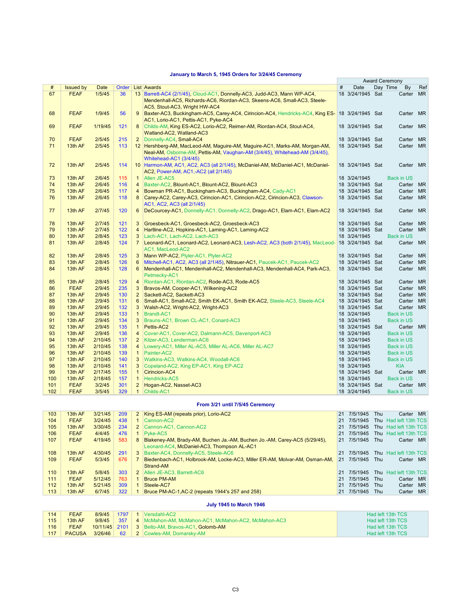## **January to March 5, 1945 Orders for 3/24/45 Ceremony**

|     |                  |                  |       |                |                                                                                                  |   |                                      | <b>Award Ceremony</b> |           |
|-----|------------------|------------------|-------|----------------|--------------------------------------------------------------------------------------------------|---|--------------------------------------|-----------------------|-----------|
| #   | <b>Issued by</b> | Date             | Order |                | <b>List Awards</b>                                                                               | # | Date                                 | Day Time<br>By        | Ref       |
| 67  | <b>FEAF</b>      | 1/5/45           | 36    |                | 13 Barrett-AC4 (2/1/45), Cloud-AC1, Donnelly-AC3, Judd-AC3, Mann WP-AC4,                         |   | 18 3/24/1945 Sat                     | Carter                | <b>MR</b> |
|     |                  |                  |       |                | Mendenhall-AC5, Richards-AC6, Riordan-AC3, Skeens-AC6, Small-AC3, Steele-                        |   |                                      |                       |           |
|     |                  |                  |       |                | AC5, Stout-AC3, Wright HW-AC4                                                                    |   |                                      |                       |           |
| 68  | <b>FEAF</b>      | 1/9/45           | 56    | 9              | Baxter-AC3, Buckingham-AC5, Carey-AC4, Cirincion-AC4, Hendricks-AC4, King ES- 18 3/24/1945 Sat   |   |                                      | Carter MR             |           |
|     |                  |                  |       |                | AC1, Lorio-AC1, Pettis-AC1, Pyke-AC4                                                             |   |                                      |                       |           |
| 69  | <b>FEAF</b>      | 1/19/45          | 121   | 8              | Childs-AM, King ES-AC2, Lorio-AC2, Reimer-AM, Riordan-AC4, Stout-AC4,                            |   | 18 3/24/1945 Sat                     | Carter MR             |           |
|     |                  |                  |       |                | Watland-AC2, Watland-AC3                                                                         |   |                                      |                       |           |
| 70  | <b>FEAF</b>      | 2/5/45           | 215   | $\overline{2}$ | Donnelly-AC4, Small-AC4                                                                          |   | 18 3/24/1945 Sat                     | Carter                | <b>MR</b> |
| 71  | 13th AF          | 2/5/45           | 113   |                | 12 Hershberg-AM, MacLeod-AM, Maguire-AM, Maguire-AC1, Marks-AM, Morgan-AM,                       |   | 18 3/24/1945 Sat                     | Carter                | <b>MR</b> |
|     |                  |                  |       |                | Neal-AM, Osborne-AM, Pettis-AM, Vaughan-AM (3/4/45), Whitehead-AM (3/4/45),                      |   |                                      |                       |           |
|     |                  |                  |       |                | Whitehead-AC1 (3/4/45)                                                                           |   |                                      |                       |           |
| 72  | 13th AF          | 2/5/45           | 114   |                | 10 Harmon-AM, AC1, AC2, AC3 (all 2/1/45), McDaniel-AM, McDaniel-AC1, McDaniel-                   |   | 18 3/24/1945 Sat                     | Carter MR             |           |
|     |                  |                  |       |                | AC2, Power-AM, AC1,-AC2 (all 2/1/45)                                                             |   |                                      |                       |           |
| 73  | 13th AF          | 2/6/45           | 115   | $\mathbf{1}$   | Allen JE-AC5                                                                                     |   | 18 3/24/1945                         | <b>Back in US</b>     |           |
| 74  | 13th AF          | 2/6/45           | 116   | $\overline{4}$ | Baxter-AC2, Blount-AC1, Blount-AC2, Blount-AC3                                                   |   | 18 3/24/1945 Sat                     | Carter                | <b>MR</b> |
| 75  | 13th AF          | 2/6/45           | 117   | $\overline{4}$ | Bowman PR-AC1, Buckingham-AC3, Buckingham-AC4, Cady-AC1                                          |   | 18 3/24/1945 Sat                     | Carter                | <b>MR</b> |
| 76  | 13th AF          | 2/6/45           | 118   | 8              | Carey-AC2, Carey-AC3, Cirincion-AC1, Cirincion-AC2, Cirincion-AC3, Clawson-                      |   | 18 3/24/1945 Sat                     | Carter                | <b>MR</b> |
|     |                  |                  |       |                | AC1, AC2, AC3 (all 2/1/45)                                                                       |   |                                      |                       |           |
| 77  | 13th AF          | 2/7/45           | 120   | 6              | DeCourcey-AC1, Donnelly-AC1, Donnelly-AC2, Drago-AC1, Elam-AC1, Elam-AC2                         |   | 18 3/24/1945 Sat                     | Carter MR             |           |
| 78  | 13th AF          |                  | 121   | 3              |                                                                                                  |   |                                      |                       | <b>MR</b> |
| 79  | 13th AF          | 2/7/45<br>2/7/45 | 122   | $\overline{4}$ | Groesbeck-AC1, Groesbeck-AC2, Groesbeck-AC3<br>Hartline-AC2, Hopkins-AC1, Laming-AC1, Laming-AC2 |   | 18 3/24/1945 Sat<br>18 3/24/1945 Sat | Carter<br>Carter      | <b>MR</b> |
| 80  | 13th AF          | 2/8/45           | 123   | 3              | Lach-AC1, Lach-AC2, Lach-AC3                                                                     |   | 18 3/24/1945                         | <b>Back in US</b>     |           |
| 81  | 13th AF          | 2/8/45           | 124   | $\overline{7}$ | Leonard-AC1, Leonard-AC2, Leonard-AC3, Lesh-AC2, AC3 (both 2/1/45), MacLeod-                     |   | 18 3/24/1945 Sat                     | Carter MR             |           |
|     |                  |                  |       |                | AC1, MacLeod-AC2                                                                                 |   |                                      |                       |           |
| 82  | 13th AF          | 2/8/45           | 125   | 3              | Mann WP-AC2, Plyler-AC1, Plyler-AC2                                                              |   | 18 3/24/1945 Sat                     | Carter                | <b>MR</b> |
| 83  | 13th AF          | 2/8/45           | 126   | 6              | Mitchell-AC1, AC2, AC3 (all 2/1/45), Nitrauer-AC1, Paucek-AC1, Paucek-AC2                        |   | 18 3/24/1945 Sat                     | Carter                | <b>MR</b> |
| 84  | 13th AF          | 2/8/45           | 128   | 6              | Mendenhall-AC1, Mendenhall-AC2, Mendenhall-AC3, Mendenhall-AC4, Park-AC3,                        |   | 18 3/24/1945 Sat                     | Carter                | <b>MR</b> |
|     |                  |                  |       |                | Petmecky-AC1                                                                                     |   |                                      |                       |           |
| 85  | 13th AF          | 2/8/45           | 129   | 4              | Riordan-AC1, Riordan-AC2, Rode-AC3, Rode-AC5                                                     |   | 18 3/24/1945 Sat                     | Carter                | <b>MR</b> |
| 86  | <b>FEAF</b>      | 2/9/45           | 235   | 3              | Bravos-AM, Cooper-AC1, Wilkening-AC2                                                             |   | 18 3/24/1945 Sat                     | Carter                | <b>MR</b> |
| 87  | 13th AF          | 2/9/45           | 130   | $\overline{2}$ | Sackett-AC2, Sackett-AC3                                                                         |   | 18 3/24/1945 Sat                     | Carter                | <b>MR</b> |
| 88  | 13th AF          | 2/9/45           | 131   | 6              | Small-AC1, Small-AC2, Smith EK-AC1, Smith EK-AC2, Steele-AC3, Steele-AC4                         |   | 18 3/24/1945 Sat                     | Carter MR             |           |
| 89  | 13th AF          | 2/9/45           | 132   | 3              | Walsh-AC2, Wright-AC2, Wright-AC3                                                                |   | 18 3/24/1945 Sat                     | Carter MR             |           |
| 90  | 13th AF          | 2/9/45           | 133   | 1              | Brandt-AC1                                                                                       |   | 18 3/24/1945                         | <b>Back in US</b>     |           |
| 91  | 13th AF          | 2/9/45           | 134   | 3              | Brauns-AC1, Brown CL-AC1, Conard-AC3                                                             |   | 18 3/24/1945                         | <b>Back in US</b>     |           |
| 92  | 13th AF          | 2/9/45           | 135   | $\mathbf{1}$   | Pettis-AC2                                                                                       |   | 18 3/24/1945 Sat                     | Carter MR             |           |
| 93  | 13th AF          | 2/9/45           | 136   | $\overline{4}$ | Cover-AC1, Cover-AC2, Dalmann-AC5, Davenport-AC3                                                 |   | 18 3/24/1945                         | <b>Back in US</b>     |           |
| 94  | 13th AF          | 2/10/45          | 137   | $\overline{2}$ | Kilzer-AC3, Lenderman-AC6                                                                        |   | 18 3/24/1945                         | <b>Back in US</b>     |           |
| 95  | 13th AF          | 2/10/45          | 138   | $\overline{4}$ | Lowery-AC1, Miller AL-AC5, Miller AL-AC6, Miller AL-AC7                                          |   | 18 3/24/1945                         | <b>Back in US</b>     |           |
| 96  | 13th AF          | 2/10/45          | 139   | $\mathbf{1}$   | Painter-AC2                                                                                      |   | 18 3/24/1945                         | <b>Back in US</b>     |           |
| 97  | 13th AF          | 2/10/45          | 140   | 3              | Watkins-AC3, Watkins-AC4, Woodall-AC6                                                            |   | 18 3/24/1945                         | <b>Back in US</b>     |           |
| 98  | 13th AF          | 2/10/45          | 141   | 3              | Copeland-AC2, King EP-AC1, King EP-AC2                                                           |   | 18 3/24/1945                         | <b>KIA</b>            |           |
| 99  | 13th AF          | 2/17/45          | 155   | $\mathbf{1}$   | Cirincion-AC4                                                                                    |   | 18 3/24/1945 Sat                     | Carter MR             |           |
| 100 | 13th AF          | 2/18/45          | 157   | $\mathbf{1}$   | Hendricks-AC5                                                                                    |   | 18 3/24/1945                         | <b>Back in US</b>     |           |
| 101 | <b>FEAF</b>      | 3/2/45           | 301   | $\overline{2}$ | Hogan-AC2, Nasset-AC3                                                                            |   | 18 3/24/1945 Sat                     | Carter                | <b>MR</b> |
| 102 | <b>FEAF</b>      | 3/5/45           | 329   | 1              | Childs-AC1                                                                                       |   | 18 3/24/1945                         | <b>Back in US</b>     |           |

#### **From 3/21 until 7/5/45 Ceremony**

| 103 | 13th AF     | 3/21/45 | 209 |    | 2 King ES-AM (repeats prior), Lorio-AC2                                      | 21 | 7/5/1945 | Thu | <b>MR</b><br>Carter   |  |
|-----|-------------|---------|-----|----|------------------------------------------------------------------------------|----|----------|-----|-----------------------|--|
| 104 | <b>FEAF</b> | 3/24/45 | 438 |    | 1 Cannon-AC2                                                                 | 21 | 7/5/1945 |     | Thu Had left 13th TCS |  |
| 105 | 13th AF     | 3/30/45 | 234 |    | 2 Cannon-AC1, Cannon-AC2                                                     | 21 | 7/5/1945 |     | Thu Had left 13th TCS |  |
| 106 | <b>FEAF</b> | 4/4/45  | 476 |    | 1 Pyke-AC5                                                                   | 21 | 7/5/1945 |     | Thu Had left 13th TCS |  |
| 107 | <b>FEAF</b> | 4/19/45 | 583 |    | 8 Blakeney-AM, Brady-AM, Buchen Ja.-AM, Buchen Jo.-AM, Carey-AC5 (5/29/45),  | 21 | 7/5/1945 | Thu | MR.<br>Carter         |  |
|     |             |         |     |    | Leonard-AC4, McDaniel-AC3, Thompson AL-AC1                                   |    |          |     |                       |  |
| 108 | 13th AF     | 4/30/45 | 291 |    | 3 Baxter-AC4, Donnelly-AC5, Steele-AC6                                       | 21 | 7/5/1945 |     | Thu Had left 13th TCS |  |
| 109 | <b>FEAF</b> | 5/3/45  | 676 |    | 7 Biedenbach-AC1, Holbrook-AM, Locke-AC3, Miller ER-AM, Molvar-AM, Osman-AM, | 21 | 7/5/1945 | Thu | <b>MR</b><br>Carter   |  |
|     |             |         |     |    | Strand-AM                                                                    |    |          |     |                       |  |
| 110 | 13th AF     | 5/8/45  | 303 |    | 2 Allen JE-AC3, Barrett-AC6                                                  | 21 | 7/5/1945 | Thu | Had left 13th TCS     |  |
| 111 | <b>FEAF</b> | 5/12/45 | 763 | 1. | <b>Bruce PM-AM</b>                                                           | 21 | 7/5/1945 | Thu | <b>MR</b><br>Carter   |  |
| 112 | 13th AF     | 5/21/45 | 309 | 1  | Steele-AC7                                                                   | 21 | 7/5/1945 | Thu | <b>MR</b><br>Carter   |  |
| 113 | 13th AF     | 6/7/45  | 322 | 1  | <b>Bruce PM-AC-1, AC-2 (repeats 1944's 257 and 258)</b>                      | 21 | 7/5/1945 | Thu | <b>MR</b><br>Carter   |  |
|     |             |         |     |    |                                                                              |    |          |     |                       |  |

### **July 1945 to March 1946**

| 114 | <b>FEAF</b>   | 8/9/45  | 1797 | VersdahLAC2                                             | Had left 13th TCS |
|-----|---------------|---------|------|---------------------------------------------------------|-------------------|
| 115 | 13th AF       | 9/8/45  |      | 357 4 McMahon-AM. McMahon-AC1. McMahon-AC2. McMahon-AC3 | Had left 13th TCS |
| 116 | <b>FEAF</b>   |         |      | 10/11/45 2101 3 Belto-AM, Bravos-AC1, Golomb-AM         | Had left 13th TCS |
| 117 | <b>PACUSA</b> | 3/26/46 | 62   | 2 Cowles-AM, Domarsky-AM                                | Had left 13th TCS |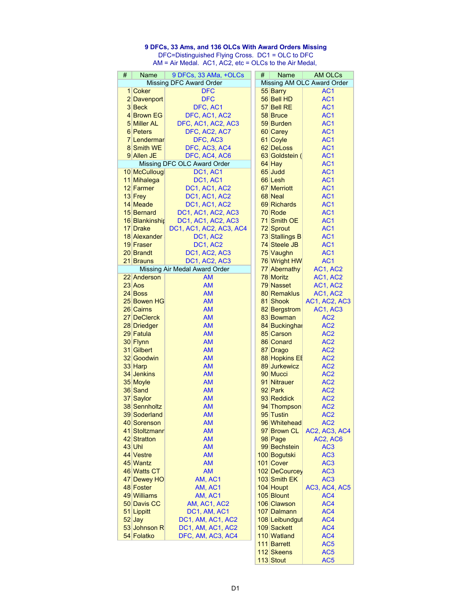## **9 DFCs, 33 Ams, and 136 OLCs With Award Orders Missing** DFC=Distinguished Flying Cross. DC1 = OLC to DFC

AM = Air Medal. AC1, AC2, etc = OLCs to the Air Medal,

| # | <b>Name</b>        | 9 DFCs, 33 AMa, +OLCs          | # | <b>Name</b>    | <b>AM OLCs</b>             |
|---|--------------------|--------------------------------|---|----------------|----------------------------|
|   |                    | <b>Missing DFC Award Order</b> |   |                | Missing AM OLC Award Order |
|   | 1 Coker            | <b>DFC</b>                     |   | 55 Barry       | AC <sub>1</sub>            |
|   | 2 Davenport        | <b>DFC</b>                     |   | 56 Bell HD     | AC <sub>1</sub>            |
|   | 3 Beck             | DFC, AC1                       |   | 57 Bell RE     | AC <sub>1</sub>            |
|   | 4 Brown EG         | DFC, AC1, AC2                  |   | 58 Bruce       | AC <sub>1</sub>            |
|   | 5 Miller AL        | DFC, AC1, AC2, AC3             |   | 59 Burden      | AC <sub>1</sub>            |
|   | 6 Peters           |                                |   | 60 Carey       | AC <sub>1</sub>            |
|   |                    | DFC, AC2, AC7                  |   |                |                            |
|   | <b>7</b> Lendermar | DFC, AC3                       |   | 61 Coyle       | AC <sub>1</sub>            |
|   | 8 Smith WE         | DFC, AC3, AC4                  |   | 62 DeLoss      | AC <sub>1</sub>            |
|   | 9 Allen JE         | DFC, AC4, AC6                  |   | 63 Goldstein ( | AC <sub>1</sub>            |
|   |                    | Missing DFC OLC Award Order    |   | 64 Hay         | AC <sub>1</sub>            |
|   | 10 McCullougl      | DC1, AC1                       |   | 65 Judd        | AC <sub>1</sub>            |
|   | 11 Mihalega        | DC1, AC1                       |   | 66 Lesh        | AC <sub>1</sub>            |
|   | 12 Farmer          | DC1, AC1, AC2                  |   | 67 Merriott    | AC <sub>1</sub>            |
|   | 13 Frey            | DC1, AC1, AC2                  |   | 68 Neal        | AC <sub>1</sub>            |
|   | 14 Meade           | DC1, AC1, AC2                  |   | 69 Richards    | AC <sub>1</sub>            |
|   | 15 Bernard         | DC1, AC1, AC2, AC3             |   | 70 Rode        | AC <sub>1</sub>            |
|   | 16 Blankinshir     | DC1, AC1, AC2, AC3             |   | 71 Smith OE    | AC <sub>1</sub>            |
|   | 17 Drake           | DC1, AC1, AC2, AC3, AC4        |   | 72 Sprout      | AC <sub>1</sub>            |
|   | 18 Alexander       | DC1, AC2                       |   | 73 Stallings B | AC <sub>1</sub>            |
|   | 19 Fraser          | DC1, AC2                       |   | 74 Steele JB   | AC <sub>1</sub>            |
|   | 20 Brandt          | <b>DC1, AC2, AC3</b>           |   | 75 Vaughn      | AC <sub>1</sub>            |
|   | 21 Brauns          | DC1, AC2, AC3                  |   | 76 Wright HW   | AC <sub>1</sub>            |
|   |                    |                                |   |                |                            |
|   |                    | Missing Air Medal Award Order  |   | 77 Abernathy   | AC1, AC2                   |
|   | 22 Anderson        | <b>AM</b>                      |   | 78 Moritz      | AC1, AC2                   |
|   | 23 Aos             | <b>AM</b>                      |   | 79 Nasset      | AC1, AC2                   |
|   | 24 Boss            | AM                             |   | 80 Remaklus    | AC1, AC2                   |
|   | 25 Bowen HG        | <b>AM</b>                      |   | 81 Shook       | AC1, AC2, AC3              |
|   | 26 Cairns          | <b>AM</b>                      |   | 82 Bergstrom   | AC1, AC3                   |
|   | 27 DeClerck        | <b>AM</b>                      |   | 83 Bowman      | AC <sub>2</sub>            |
|   | 28 Driedger        | <b>AM</b>                      |   | 84 Buckinghal  | AC <sub>2</sub>            |
|   | 29 Fatula          | <b>AM</b>                      |   | 85 Carson      | AC <sub>2</sub>            |
|   | 30 Flynn           | <b>AM</b>                      |   | 86 Conard      | AC <sub>2</sub>            |
|   | 31 Gilbert         | <b>AM</b>                      |   | 87 Drago       | AC <sub>2</sub>            |
|   | 32 Goodwin         | <b>AM</b>                      |   | 88 Hopkins EE  | AC <sub>2</sub>            |
|   | 33 Harp            | <b>AM</b>                      |   | 89 Jurkewicz   | AC <sub>2</sub>            |
|   | 34 Jenkins         | <b>AM</b>                      |   | 90 Mucci       | AC <sub>2</sub>            |
|   | 35 Moyle           | <b>AM</b>                      |   | 91 Nitrauer    | AC <sub>2</sub>            |
|   | 36 Sand            | <b>AM</b>                      |   | 92 Park        | AC <sub>2</sub>            |
|   | 37 Saylor          | <b>AM</b>                      |   | 93 Reddick     | AC <sub>2</sub>            |
|   | 38 Sennholtz       | AM                             |   | 94 Thompson    | AC <sub>2</sub>            |
|   | 39 Soderland       | <b>AM</b>                      |   | 95 Tustin      | AC <sub>2</sub>            |
|   | 40 Sorenson        | АM                             |   | 96 Whitehead   | AC <sub>2</sub>            |
|   | 41 Stoltzmanr      | <b>AM</b>                      |   | 97 Brown CL    |                            |
|   | 42 Stratton        |                                |   |                | AC2, AC3, AC4              |
|   |                    | <b>AM</b>                      |   | 98 Page        | AC2, AC6                   |
|   | $43$ Uhl           | <b>AM</b>                      |   | 99 Bechstein   | AC <sub>3</sub>            |
|   | 44 Vestre          | <b>AM</b>                      |   | 100 Bogutski   | AC <sub>3</sub>            |
|   | 45 Wantz           | <b>AM</b>                      |   | 101 Cover      | AC <sub>3</sub>            |
|   | 46 Watts CT        | <b>AM</b>                      |   | 102 DeCourcey  | AC <sub>3</sub>            |
|   | 47 Dewey HO        | AM, AC1                        |   | 103 Smith EK   | AC <sub>3</sub>            |
|   | 48 Foster          | AM, AC1                        |   | 104 Houpt      | AC3, AC4, AC5              |
|   | 49 Williams        | AM, AC1                        |   | 105 Blount     | AC4                        |
|   | 50 Davis CC        | AM, AC1, AC2                   |   | 106 Clawson    | AC4                        |
|   | 51 Lippitt         | DC1, AM, AC1                   |   | 107 Dalmann    | AC4                        |
|   | $52$ Jay           | DC1, AM, AC1, AC2              |   | 108 Leibundgut | AC4                        |
|   | 53 Johnson R       | DC1, AM, AC1, AC2              |   | 109 Sackett    | AC4                        |
|   | 54 Folatko         | DFC, AM, AC3, AC4              |   | 110 Watland    | AC4                        |
|   |                    |                                |   | 111 Barrett    | AC <sub>5</sub>            |
|   |                    |                                |   | 112 Skeens     | AC <sub>5</sub>            |
|   |                    |                                |   | 113 Stout      | AC <sub>5</sub>            |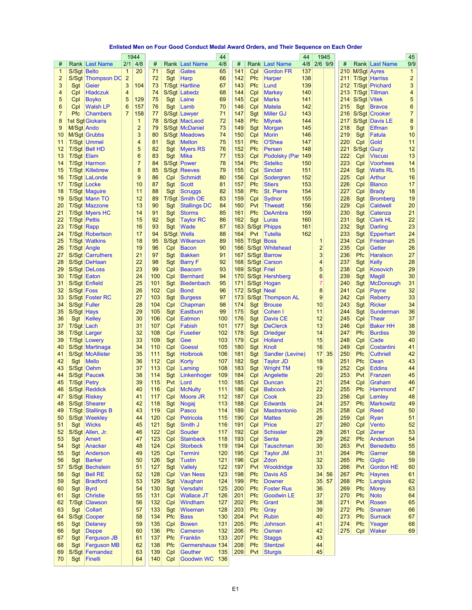## **Enlisted Men on Four Good Conduct Medal Award Orders, and Their Sequence on Each Order**

|                |              |                          |                | 1944           |     |             |                       | 44  |     |             |                       | 44  | 1945           |    |     |             |                       | 45             |
|----------------|--------------|--------------------------|----------------|----------------|-----|-------------|-----------------------|-----|-----|-------------|-----------------------|-----|----------------|----|-----|-------------|-----------------------|----------------|
| #              |              | Rank Last Name           | 2/1            | 4/8            | #   |             | <b>Rank Last Name</b> | 4/8 | #   |             | <b>Rank Last Name</b> | 4/8 | $2/6$ 9/9      |    | #   |             | <b>Rank Last Name</b> | 9/9            |
| $\mathbf{1}$   | S/Sgt Belto  |                          | $\mathbf{1}$   | 20             | 71  | Sgt         | Gates                 | 65  | 141 | Cpl         | <b>Gordon FR</b>      | 137 |                |    | 210 | M/Sgt Ayres |                       | $\mathbf{1}$   |
| $\overline{c}$ |              | S/Sgt Thompson DC        | $\overline{2}$ |                | 72  | Sgt         | Harp                  | 66  | 142 | Pfc         | <b>Harper</b>         | 138 |                |    | 211 |             | <b>T/Sgt Harriss</b>  | 2              |
| 3              | Sgt          | Geier                    | 3              | 104            | 73  |             | <b>T/Sgt Hartline</b> | 67  | 143 | <b>Pfc</b>  | Lund                  | 139 |                |    | 212 |             | <b>T/Sgt Prichard</b> | 3              |
| 4              | Cpl          | <b>Hladczuk</b>          | 4              |                | 74  |             | S/Sgt Labedz          | 68  | 144 | Cpl         | <b>Markey</b>         | 140 |                |    | 213 |             | <b>T/Sgt Tillman</b>  | 4              |
| 5              | Cpl          | <b>Boyko</b>             | 5              | 129            | 75  | Sgt         | Laine                 | 69  | 145 | Cpl         | <b>Marks</b>          | 141 |                |    | 214 | S/Sgt Vitek |                       | 5              |
| 6              | Cpl          | <b>Walsh LP</b>          | 6              | 157            | 76  | Sgt         | ∣Lamb                 | 70  | 146 | Cpl         | Matela                | 142 |                |    | 215 | Sgt         | <b>Bravos</b>         | 6              |
| $\overline{7}$ | <b>Pfc</b>   | <b>Chambers</b>          | $\overline{7}$ | 158            | 77  |             | S/Sgt Lawyer          | 71  | 147 | Sgt         | <b>Miller GJ</b>      | 143 |                |    | 216 |             | <b>S/Sgt Crooker</b>  | $\overline{7}$ |
| 8              |              | 1st Sgl Giokaris         |                | $\mathbf{1}$   | 78  |             | S/Sgt MacLeod         | 72  | 148 | <b>Pfc</b>  | <b>Mlynek</b>         | 144 |                |    | 217 |             | S/Sgt Davis LE        | 8              |
| 9              | M/Sgt Ando   |                          |                | $\overline{2}$ | 79  |             | <b>S/Sqt McDaniel</b> | 73  | 149 | Sgt         | Morgan                | 145 |                |    | 218 | Sgt         | <b>Elfman</b>         | 9              |
| 10             |              | M/Sgt Grubbs             |                | 3              | 80  |             | <b>S/Sqt Meadows</b>  | 74  | 150 | Cpl         | <b>Morin</b>          | 146 |                |    | 219 | Sgt         | Fatula                | 10             |
| 11             |              | T/Sgt Ummel              |                | $\overline{4}$ | 81  | Sgt         | Melton                | 75  | 151 | Pfc         | O'Shea                | 147 |                |    | 220 | Cpl         | Gold                  | 11             |
| 12             |              | T/Sgt Bell HD            |                | 5              | 82  | Sgt         | <b>Myers RS</b>       | 76  | 152 | Pfc         | Persen                | 148 |                |    | 221 |             | <b>S/Sqt Guzy</b>     | 12             |
| 13             | T/Sgt Elam   |                          |                | 6              | 83  | Sgt         | ∣Mika                 | 77  | 153 | Cpl         | Podolsky (Par 149     |     |                |    | 222 | Cpl         | <b>Viscusi</b>        | 13             |
| 14             |              | T/Sgt Harmon             |                | $\overline{7}$ | 84  |             | <b>S/Sgt Power</b>    | 78  | 154 | Pfc         | <b>Sidelko</b>        | 150 |                |    | 223 | Cpl         | <b>Voorhees</b>       | 14             |
| 15             |              | <b>T/Sqt Killebrew</b>   |                | 8              | 85  |             | <b>S/Sgt Reeves</b>   | 79  | 155 | Cpl         | <b>Sinclair</b>       | 151 |                |    | 224 | Sgt         | <b>Watts RL</b>       | 15             |
| 16             |              | <b>T/Sgt LaLonde</b>     |                | 9              | 86  | Cpl         | <b>Schmidt</b>        | 80  | 156 | Cpl         | Sodergren             | 152 |                |    | 225 | Cpl         | Arthur                | 16             |
| 17             |              | <b>T/Sgt Locke</b>       |                | 10             | 87  | Sgt         | Scott                 | 81  | 157 | Pfc         | <b>Stiers</b>         | 153 |                |    | 226 | Cpl         | <b>Blanco</b>         | 17             |
| 18             |              | T/Sgt   Maguire          |                | 11             | 88  | Sgt         | Scruggs               | 82  | 158 | Pfc         | <b>St. Pierre</b>     | 154 |                |    | 227 | Cpl         | <b>Brady</b>          | 18             |
| 19             |              | S/Sgt Mann TO            |                | 12             | 89  |             | T/Sgt Smith OE        | 83  | 159 | Cpl         | Sydnor                | 155 |                |    | 228 | Sgt         | <b>Bromberg</b>       | 19             |
| 20             |              | T/Sqt Mazzone            |                | 13             | 90  | Sgt         | <b>Stallings DC</b>   | 84  | 160 | Pyt         | <b>Thweatt</b>        | 156 |                |    | 229 | Cpl         | <b>Caldwell</b>       | 20             |
| 21             |              | <b>T/Sgt Myers HC</b>    |                | 14             | 91  | Sgt         | Storms                | 85  | 161 | Pfc         | <b>DeAmbra</b>        | 159 |                |    | 230 | Sgt         | Catenza               | 21             |
| 22             |              | <b>T/Sgt Pettis</b>      |                | 15             | 92  | Sgt         | Taylor RC             | 86  | 162 | Sgt         | Luras                 | 160 |                |    | 231 | Sgt         | <b>Clark HL</b>       | 22             |
| 23             |              | T/Sqt Rapp               |                | 16             | 93  | Sgt         | Wade                  | 87  | 163 |             | S/Sgt Phipps          | 161 |                |    | 232 | Sgt         | Darling               | 23             |
| 24             |              | T/Sgt Robertson          |                | 17             | 94  | S/Sgt Wells |                       | 88  | 164 | Pvt         | Tutella               | 162 |                |    | 233 | Sgt         | Epperhart             | 24             |
| 25             |              | <b>T/Sgt Watkins</b>     |                | 18             | 95  |             | S/Sgt Wilkerson       | 89  | 165 | T/Sgt Boss  |                       |     | 1              |    | 234 | Cpl         | Friedman              | 25             |
| 26             |              | T/Sgt Angle              |                | 19             | 96  | Cpl         | <b>Bacon</b>          | 90  | 166 |             | S/Sgt Whitehead       |     | $\overline{2}$ |    | 235 | Cpl         | Getter                | 26             |
| 27             |              | S/Sgt Carruthers         |                | 21             | 97  |             | <b>Bakken</b>         | 91  | 167 |             | <b>S/Sgt Barrow</b>   |     | 3              |    | 236 | Pfc         | <b>Haralson</b>       | 27             |
|                |              |                          |                |                | 98  | Sgt         |                       |     |     |             |                       |     |                |    | 237 |             |                       | 28             |
| 28             |              | S/Sgt DeHaan             |                | 22<br>23       |     | Sgt         | <b>Barry F</b>        | 92  | 168 |             | S/Sgt Carson          |     | 4              |    |     | Sgt         | <b>Kelly</b>          |                |
| 29             |              | S/Sgt DeLoss             |                |                | 99  | Cpl         | <b>Beacorn</b>        | 93  | 169 | S/Sgt Friel |                       |     | 5              |    | 238 | Cpl         | <b>Kosovich</b>       | 29             |
| 30             |              | T/Sgt Eaton              |                | 24             | 100 | Cpl         | <b>Bernhard</b>       | 94  | 170 |             | S/Sgt Hershberg       |     | 6              |    | 239 | Sgt         | <b>Magill</b>         | 30             |
| 31             |              | S/Sgt Enfield            |                | 25             | 101 | Sgt         | <b>Biedenbach</b>     | 95  | 171 |             | S/Sgt Hogan           |     |                |    | 240 | Sgt         | <b>McDonough</b>      | 31             |
| 32             | S/Sgt   Foss |                          |                | 26             | 102 | Cpl         | <b>Bond</b>           | 96  | 172 | S/Sgt Neal  |                       |     | 8              |    | 241 | Cpl         | Payne                 | 32             |
| 33             |              | S/Sgt Foster RC          |                | 27             | 103 | Sgt         | <b>Burgess</b>        | 97  | 173 |             | S/Sgt Thompson AL     |     | 9              |    | 242 | Cpl         | <b>Reberry</b>        | 33             |
| 34             |              | S/Sgt Fuller             |                | 28             | 104 | Cpl         | Chapman               | 98  | 174 | Sgt         | <b>Brouse</b>         |     | 10             |    | 243 | Sgt         | <b>Ricker</b>         | 34             |
| 35             |              | S/Sgt Hays               |                | 29             | 105 | Sgt         | <b>Eastburn</b>       | 99  | 175 | Sgt         | Cohen I               |     | 11             |    | 244 | Sgt         | Sunderman             | 36             |
| 36             |              | Sgt Kelley               |                | 30             | 106 | Cpl         | Eatmon                | 100 | 176 | Sgt         | <b>Davis CE</b>       |     | 12             |    | 245 | Cpl         | Thear                 | 37             |
| 37             | T/Sgt Lach   |                          |                | 31             | 107 | Cpl         | Fabish                | 101 | 177 | Sgt         | <b>DeClerck</b>       |     | 13             |    | 246 | Cpl         | <b>Baker HH</b>       | 38             |
| 38             |              | T/Sgt Larger             |                | 32             | 108 | Cpl         | <b>Fuselier</b>       | 102 | 178 | Sgt         | <b>Driedger</b>       |     | 14             |    | 247 | Pfc         | <b>Burdiss</b>        | 39             |
| 39             |              | T/Sgt Lowery             |                | 33             | 109 | Sgt         | Gee                   | 103 | 179 | Cpl         | <b>Holland</b>        |     | 15             |    | 248 | Cpl         | Cade                  | 40             |
| 40             |              | S/Sgt Martinaga          |                | 34             | 110 | Cpl         | <b>Goessl</b>         | 105 | 180 | Sgt         | Knoll                 |     | 16             |    | 249 | Cpl         | Costantini            | 41             |
| 41             |              | S/Sgt McAllister         |                | 35             | 111 | Sgt         | <b>Holbrook</b>       | 106 | 181 | Sgt         | Sandler (Levine)      |     | 17             | 35 | 250 | Pfc         | <b>Cuthriell</b>      | 42             |
| 42             |              | Sgt   Mello              |                | 36             | 112 | Cpl         | Korty                 | 107 | 182 | Sgt         | Taylor JD             |     | 18             |    | 251 | Pfc         | <b>Dean</b>           | 43             |
| 43             |              | S/Sgt Oehm               |                | 37             | 113 | Cpl         | Laming                | 108 | 183 | Sgt         | <b>Wright TM</b>      |     | 19             |    | 252 | Cpl         | <b>Eddins</b>         | 44             |
| 44             |              | S/Sgt Paucek             |                | 38             | 114 | Sgt         | Linkenhoger           | 109 | 184 | Cpl         | Angelette             |     | 20             |    | 253 | Pvt         | Franzen               | 45             |
| 45             |              | <b>T/Sgt Petry</b>       |                | 39             | 115 | Pvt         | Lord                  | 110 | 185 | Cpl         | <b>Duncan</b>         |     | 21             |    | 254 | Cpl         | Graham                | 46             |
| 46             |              | S/Sgt Reddick            |                | 40             | 116 | Cpl         | <b>McNulty</b>        | 111 | 186 | Cpl         | <b>Babcock</b>        |     | 22             |    | 255 | Pfc         | <b>Hammond</b>        | 47             |
| 47             |              | S/Sgt Riskey             |                | 41             | 117 |             | Cpl Moore JR          | 112 | 187 | Cpl         | Cook                  |     | 23             |    | 256 | Cpl         | Lemley                | 48             |
| 48             |              | S/Sgt Shearer            |                | 42             | 118 | Sgt         | Nogaj                 | 113 | 188 | Cpl         | <b>Edwards</b>        |     | 24             |    | 257 | Pfc         | <b>Markowitz</b>      | 49             |
| 49             |              | <b>T/Sgt Stallings B</b> |                | 43             | 119 | Cpl         | Pasco                 | 114 | 189 | Cpl         | Mastrantonio          |     | 25             |    | 258 | Cpl         | <b>Reed</b>           | 50             |
| 50             |              | S/Sgt Weekley            |                | 44             | 120 | Cpl         | Petricola             | 115 | 190 | Cpl         | <b>Mattes</b>         |     | 26             |    | 259 | Cpl         | Ryan                  | 51             |
| 51             |              | Sgt Wicks                |                | 45             | 121 | Sgt         | Smith J               | 116 | 191 | Cpl         | <b>Price</b>          |     | 27             |    | 260 | Cpl         | Vento                 | 52             |
| 52             |              | S/Sgt Allen, Jr.         |                | 46             | 122 | Cpl         | <b>Souder</b>         | 117 | 192 | Cpl         | <b>Schissler</b>      |     | 28             |    | 261 | Cpl         | Zener                 | 53             |
| 53             | Sgt          | Amert                    |                | 47             | 123 | Cpl         | <b>Stainback</b>      | 118 | 193 | Cpl         | <b>Senta</b>          |     | 29             |    | 262 | Pfc         | Anderson              | 54             |
| 54             | Sgt          | Anacker                  |                | 48             | 124 | Cpl         | <b>Storbeck</b>       | 119 | 194 | Cpl         | <b>Tauschman</b>      |     | 30             |    | 263 | Pvt         | <b>Benedetto</b>      | 55             |
| 55             | Sgt          | Anderson                 |                | 49             | 125 | Cpl         | Termini               | 120 | 195 | Cpl         | <b>Taylor JM</b>      |     | 31             |    | 264 | Pfc         | Garner                | 58             |
| 56             |              | Sgt Barker               |                | 50             | 126 | Sgt         | Tustin                | 121 | 196 | Cpl         | Zdon                  |     | 32             |    | 265 | Pfc         | <b>Giglio</b>         | 59             |
| 57             |              | S/Sgt Bechstein          |                | 51             | 127 | Sgt         | <b>Vallely</b>        | 122 | 197 | Pvt         | Wooldridge            |     | 33             |    | 266 | Pvt         | <b>Gordon HE</b>      | 60             |
| 58             | Sgt          | <b>Bell RE</b>           |                | 52             | 128 | Cpl         | <b>Van Ness</b>       | 123 | 198 | Pfc         | <b>Davis AS</b>       |     | 34             | 56 | 267 | Pfc         | <b>Haynes</b>         | 61             |
| 59             | Sgt          | <b>Bradford</b>          |                | 53             | 129 | Sgt         | Vaughan               | 124 | 199 | Pfc         | <b>Downer</b>         |     | 35             | 57 | 268 | Pfc         | Langlois              | 62             |
| 60             | Sgt          | <b>Byrd</b>              |                | 54             | 130 | Sgt         | Versdahl              | 125 | 200 | Pfc         | <b>Foster Rus</b>     |     | 36             |    | 269 | Pfc         | <b>Morey</b>          | 63             |
| 61             | Sgt          | <b>Christie</b>          |                | 55             | 131 | Cpl         | <b>Wallace JT</b>     | 126 | 201 | Pfc         | <b>Goodwin LE</b>     |     | 37             |    | 270 | Pfc         | <b>Noto</b>           | 64             |
| 62             |              | T/Sgt Clawson            |                | 56             | 132 | Cpl         | Windham               | 127 | 202 | Pfc         | Grant                 |     | 38             |    | 271 | Pvt         | Rosen                 | 65             |
| 63             | Sgt          | <b>Collart</b>           |                | 57             | 133 | Sgt         | Wiseman               | 128 | 203 | Pfc         | Gray                  |     | 39             |    | 272 | Pfc         | <b>Snaman</b>         | 66             |
| 64             |              | S/Sgt Cooper             |                | 58             | 134 | Pfc         | <b>Bass</b>           | 130 | 204 | Pvt         | <b>Rubin</b>          |     | 40             |    | 273 | Pfc         | <b>Surnack</b>        | 67             |
| 65             | Sgt          | <b>Delaney</b>           |                | 59             | 135 | Cpl         | <b>Bowen</b>          | 131 | 205 | Pfc         | <b>Johnson</b>        |     | 41             |    | 274 | Pfc         | Yeager                | 68             |
| 66             | Sgt          | Deppe                    |                | 60             | 136 | Pfc         | Cameron               | 132 | 206 | Pfc         | Osman                 |     | 42             |    | 275 | Cpl         | <b>Waker</b>          | 69             |
| 67             | Sgt          | <b>Ferguson JB</b>       |                | 61             | 137 | Pfc         | Franklin              | 133 | 207 | Pfc         | <b>Staggs</b>         |     | 43             |    |     |             |                       |                |
| 68             | Sgt          | <b>Ferguson MB</b>       |                | 62             | 138 | Pfc         | Germershaus t134      |     | 208 | Pfc         | <b>Stentzel</b>       |     | 44             |    |     |             |                       |                |
| 69             |              | S/Sgt Fernandez          |                | 63             | 139 | Cpl         | <b>Geuther</b>        | 135 | 209 |             | Pvt Sturgis           |     | 45             |    |     |             |                       |                |
| 70             |              | Sgt Finelli              |                | 64             | 140 | Cpl         | Goodwin WC 136        |     |     |             |                       |     |                |    |     |             |                       |                |
|                |              |                          |                |                |     |             |                       |     |     |             |                       |     |                |    |     |             |                       |                |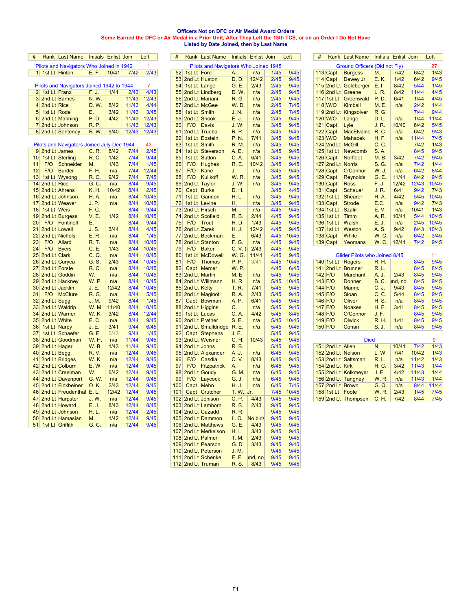#### **Officers Not on DFC or Air Medal Award Orders Some Earned the DFC or Air Medal in a Prior Unit, After They Left the 13th TCS, or on an Order I Do Not Have Listed by Date Joined, then by Last Name**

| #               |               | Rank Last Name                             |              | Initials Enlist Join |       | Left           | #               |     |      | Rank Last Name                        |             | Initials Enlist Join |        | Left   | # |                       | Rank Last Name                | Initials Enlist Join |         |        | Left         |
|-----------------|---------------|--------------------------------------------|--------------|----------------------|-------|----------------|-----------------|-----|------|---------------------------------------|-------------|----------------------|--------|--------|---|-----------------------|-------------------------------|----------------------|---------|--------|--------------|
|                 |               | Pilots and Navigators Who Joined in 1942   |              |                      |       | 1              |                 |     |      | Pilots and Navigators Who Joined 1945 |             |                      |        |        |   |                       | Ground Officers (Did not Fly) |                      |         |        | 27           |
|                 |               | 1 1st Lt Hinton                            | E. F.        | 10/41                | 7/42  | 2/43           |                 |     |      | 52 1st Lt Ford                        | Α.          | n/a                  | 1/45   | 9/45   |   | 113 Capt              | <b>Burgess</b>                | M.                   | 7/42    | 6/42   | 1/43         |
|                 |               |                                            |              |                      |       |                |                 |     |      | 53 2nd Lt Huston                      | <b>D.D.</b> | 12/42                | 2/45   | 9/45   |   | $114$ Capt            | Dewey Jr.                     | E.K.                 | $1/42$  | 6/42   | 9/45         |
|                 |               | Pilots and Navigators Joined 1942 to 1944  |              |                      |       | $\overline{7}$ | 54              |     |      | 1st Lt Lange                          | G. E.       | 2/43                 | 2/45   | 9/45   |   |                       | 115 2nd Lt Goldberger         | E. I.                | 8/42    | $5/44$ | 1/45         |
|                 |               | 2 1st Lt Franz                             | F.J.         | 1/41                 | 2/43  | 4/43           | 55              |     |      | 2nd Lt Lindberg                       | D.W.        | n/a                  | 2/45   | 9/45   |   |                       | 116 2nd Lt Greene             | L. R.                | 8/42    | 11/44  | 4/45         |
|                 |               | 3 2nd Lt Barnes                            | N.W.         |                      | 11/43 | 12/43          |                 |     |      | 56 2nd Lt Mariani                     | R. G.       | n/a                  | 2/45   | 9/45   |   | 117 $1st$ Lt          | Greenwald                     | P. D.                | 6/41    | 1/44   | 4/45         |
|                 | 4 2nd Lt Rice |                                            | D. W.        | 8/42                 | 11/43 | 4/44           | 57              |     |      | 2nd Lt McGee                          | <b>W.D.</b> | n/a                  | 2/45   | 7/45   |   | 118 W/O               | Kimball                       | <b>M.E.</b>          | n/a     | 2/42   | 1/44         |
| 5 <sup>1</sup>  | 1st Lt Rode   |                                            | Ε.           | 3/42                 | 11/43 | 3/45           | 58              |     |      | 1st Lt Smith                          | J. N.       | n/a                  | 2/45   | $7/45$ |   |                       | 119 2nd Lt Kingsolver         | <b>R.G.</b>          |         | 7/44   | 9/44         |
|                 |               | 6 2nd Lt Manning                           | P.D.         | 4/42                 | 11/43 | 12/43          | 59 <sub>1</sub> |     |      | 2nd Lt Snook                          | E. J.       | n/a                  | 2/45   | 9/45   |   | 120 W/O               | Lange                         | D. L.                | n/a     | 1/44   | 11/44        |
|                 |               |                                            | <b>R.P.</b>  |                      | 11/43 | 12/43          | 60              | F/O |      |                                       | J.W.        |                      | 3/45   | 9/45   |   |                       |                               |                      | 10/40   | 6/42   | 5/45         |
|                 |               | 7 2nd Lt Johnson                           |              |                      |       |                |                 |     |      | Davis                                 |             | n/a                  |        |        |   | $121$ Capt            | Lyle                          | J. R.                |         |        |              |
|                 |               | 8 2nd Lt Senteney                          | <b>R.W.</b>  | 9/40                 | 12/43 | 12/43          | 61              |     |      | 2nd Lt Trueba                         | <b>R.P.</b> | n/a<br>7/41          | 3/45   | 9/45   |   | $122$ Capt<br>123 W/O | MacElvaine R.C.               |                      | n/a     | 6/42   | 9/43<br>7/45 |
|                 |               |                                            |              |                      |       |                | 62              |     |      | 1st Lt Epstein                        | <b>P.N.</b> |                      | 3/45   | 9/45   |   |                       | <b>Mahacek</b>                | H. F.                | n/a     | 11/44  |              |
|                 |               | Pilots and Navigators Joined July-Dec 1944 |              |                      |       | 43             | 63              |     |      | 1st Lt Smith                          | <b>R.M.</b> | n/a                  | 3/45   | 9/45   |   | 124 2nd Lt McGill     |                               | C. C.                |         | $7/42$ | 1/43         |
|                 |               | 9 2nd Lt James                             | C. R.        | 8/42                 | 7/44  | 2/45           | 64              |     |      | 1st Lt Steverson                      | A. E.       | n/a                  | 3/45   | 9/45   |   | 125 1st Lt            | Newcomb                       | S.A.                 |         | 8/45   | 9/45         |
| 10 <sup>1</sup> |               | 1st Lt Sterling                            | R. C.        | 1/42                 | 7/44  | 9/44           | 65              |     |      | 1st Lt Sutton                         | C. A.       | 6/41                 | 3/45   | 9/45   |   | $126$ Capt            | Norfleet                      | M. B.                | 3/42    | 7/42   | 9/45         |
| 11              | F/O           | Schneider                                  | M.           | 1/43                 | 7/44  | 1/45           | 66              |     | F/O  | <b>Hughes</b>                         | <b>R.E.</b> | 10/42                | 3/45   | 9/45   |   | 127 2nd Lt Norris     |                               | S. G.                | n/a     | $7/42$ | 1/44         |
| 12              | F/O           | <b>Burder</b>                              | F. H.        | n/a                  | 7/44  | 12/44          | 67              | F/O |      | Kane                                  | J.          | n/a                  | 3/45   | 9/45   |   | $128$ Capt            | O'Connor                      | W. J.                | n/a     | 6/42   | 8/44         |
| 13              |               | 1st Lt Wysong                              | <b>R.C.</b>  | 9/42                 | 7/44  | 7/45           | 68              | F/O |      | Kulikoff                              | <b>W.R.</b> | n/a                  | 3/45   | 9/45   |   | 129 Capt              | <b>Reynolds</b>               | G. E.                | 11/41   | 8/42   | 9/45         |
| 14              | 2nd Lt Rice   |                                            | G. C.        | n/a                  | 8/44  | 9/45           | 69              |     |      | 2nd Lt Taylor                         | <b>J.W.</b> | n/a                  | 3/45   | 9/45   |   | $130$ Capt            | <b>Ross</b>                   | F. J.                | 12/42   | 12/43  | 10/45        |
|                 |               | 15 2nd Lt Ahrens                           | K. H.        | 10/42                | 8/44  | 2/45           | 70              |     |      | Capt Burks                            | D. H.       |                      | 3/45   | 4/45   |   | $131$ Capt            | <b>Schauer</b>                | J. R.                | 6/41    | 9/42   | 7/43         |
| 16              |               | 2nd Lt Johnson                             | <b>H.A.</b>  | n/a                  | 8/44  | 10/45          | 71              |     |      | 1st Lt Gannon                         | H. L.       | n/a                  | 3/45   | 9/45   |   | 132 1st Lt            | <b>Shearer</b>                | <b>H.A.</b>          | 4/42    | $5/45$ | 10/45        |
| 17              |               | 2nd Lt Weaver                              | J. P.        | n/a                  | 8/44  | 10/45          | 72              |     |      | 1st Lt Levine                         | Η.          | n/a                  | 3/45   | 9/45   |   | $133$ Capt            | <b>Strode</b>                 | E.C.                 | n/a     | 9/42   | 7/43         |
| 18              | 1st Lt Weis   |                                            | F. C.        |                      | 8/44  | 9/44           | 73              |     |      | 2nd Lt Hirsch                         | M.          | n/a                  | 4/45   | 9/45   |   | 134 1st Lt            | <b>Szafir</b>                 | E. V.                | n/a     | 10/41  | 1/43         |
| 19              |               | 2nd Lt Burgess                             | <b>V.E.</b>  | 1/42                 | 8/44  | 10/45          | 74              |     |      | 2nd Lt Scofield                       | <b>R.B.</b> | 2/44                 | 4/45   | 9/45   |   | 135 1st Lt            | Timm                          | A. R.                | 10/41   | $5/44$ | 10/45        |
| 20              | F/O           | Fontinell                                  | Е.           |                      | 8/44  | 9/44           | 75              |     | F/O  | Trout                                 | H.D.        | 1/43                 | 4/45   | 9/45   |   | 136 1st Lt            | <b>Walsh</b>                  | E. J.                | n/a     | 2/45   | 10/45        |
| 21              |               | 2nd Lt Lowell                              | J.S.         | 3/44                 | 8/44  | 4/45           |                 |     |      | 76 2nd Lt Zarek                       | H. J.       | 12/42                | 4/45   | 9/45   |   | 137 1st Lt            | Weston                        | A. S.                | 9/42    | 6/43   | 10/43        |
| 22              |               | 2nd Lt Nichols                             | E. R.        | n/a                  | 8/44  | $1/45$         | 77              |     |      | 2nd Lt Beckman                        | Ε.          | 6/43                 | 4/45   | 10/45  |   | 138 Capt              | White                         | <b>W.C.</b>          | n/a     | 6/42   | 3/45         |
| 23              | F/O           | Allard                                     | <b>R.T.</b>  | n/a                  | 8/44  | 10/45          | 78              |     |      | 2nd Lt Stanton                        | F. G.       | n/a                  | 4/45   | 9/45   |   | $139$ Capt            | Yeomans                       | W.C.                 | 12/41   | 7/42   | 9/45         |
| 24              | F/O           | <b>Byers</b>                               | C. E.        | 1/43                 | 8/44  | 10/45          | 79              |     | F/O  | <b>Baker</b>                          | $C. V.$ (a  | 2/43                 | 4/45   | 9/45   |   |                       |                               |                      |         |        |              |
| 25              | 2nd Lt Clark  |                                            | C. Q.        | n/a                  | 8/44  | 10/45          | 80              |     |      | 1st Lt McDowell                       | W. G.       | 11/41                | 4/45   | 9/45   |   |                       | Glider Pilots who Joined 8/45 |                      |         |        | 11           |
| 26              |               | 2nd Lt Curyea                              | G. S.        | 2/43                 | 8/44  | 10/45          | 81              | F/O |      | Thomas                                | <b>P.P.</b> | 3/41                 | 4/45   | 10/45  |   |                       | 140 1st Lt Rogers             | <b>R.H.</b>          |         | 8/45   | 9/45         |
| 27              |               | 2nd Lt Forste                              | R. C.        |                      | 8/44  | 10/45          | 82              |     |      | Capt Mercer                           | <b>W.P.</b> |                      | 4/45   | 6/45   |   |                       | 141 2nd Lt Brunner            | R. L.                |         | 8/45   | 8/45         |
| 28              |               | 2nd Lt Goddin                              | W.           | n/a<br>n/a           | 8/44  |                | 83              |     |      | 2nd Lt Martin                         |             |                      | 5/45   | 9/45   |   | 142 F/O               | <b>Marchant</b>               |                      | 2/43    | 8/45   | 9/45         |
|                 |               |                                            |              |                      |       | 10/45          |                 |     |      |                                       | M. E.       | n/a                  |        |        |   |                       |                               | A. J.                |         |        |              |
| 29 <sup>1</sup> |               | 2nd Lt Hackney                             | <b>W.P.</b>  | n/a                  | 8/44  | 10/45          |                 |     |      | 84 2nd Lt Willmann                    | H. R.       | n/a                  | $5/45$ | 10/45  |   | 143 F/O               | <b>Donner</b>                 | <b>B.C.</b>          | ind, no | 8/45   | 9/45         |
| 30              |               | 2nd Lt Jacklin                             | J. E.        | 12/42                | 8/44  | 10/45          | 85              |     |      | 2nd Lt Kelty                          | T. R.       | 7/41                 | $5/45$ | 9/45   |   | $144$ F/O             | <b>Manne</b>                  | C. J.                | 9/43    | 8/45   | 9/45         |
| 31              | F/O           | McClure                                    | R.G          | n/a                  | 8/44  | 5/45           | 86              |     |      | 2nd Lt Maginot                        | <b>R.A.</b> | 2/43                 | 5/45   | 9/45   |   | 145 F/O               | Sloan                         | C. C.                | 5/44    | 8/45   | 9/45         |
| 32              | 2nd Lt Sugg   |                                            | J. M.        | 9/42                 | 8/44  | $1/45$         | 87              |     |      | Capt Bowman                           | A. P.       | 6/41                 | $5/45$ | 9/45   |   | 146 F/O               | Oliver                        | H. S.                | n/a     | 8/45   | 9/45         |
|                 |               | 33 2nd Lt Waldrip                          | <b>W. M.</b> | 11/40                | 8/44  | 10/45          | 88              |     |      | 2nd Lt Higgins                        | C.          | n/a                  | 5/45   | 9/45   |   | 147 F/O               | <b>Noakes</b>                 | H. E.                | 3/41    | 8/45   | 9/45         |
| 34              |               | 2nd Lt Warner                              | <b>W.K.</b>  | 3/42                 | 8/44  | 12/44          | 89              |     |      | 1st Lt Lucas                          | C. A.       | 4/42                 | $5/45$ | 8/45   |   | 148 F/O               | O'Connor                      | J. F.                |         | 8/45   | 9/45         |
|                 |               | 35 2nd Lt White                            | E. C.        | n/a                  | 8/44  | 9/45           | 90 <sub>1</sub> |     |      | 2nd Lt Prather                        | S. E.       | n/a                  | $5/45$ | 10/45  |   | 149 F/O               | <b>Olwick</b>                 | R. H.                | 1/41    | 8/45   | 9/45         |
| 36              |               | 1st Lt Narey                               | J. E.        | 3/41                 | 9/44  | 6/45           | 91              |     |      | 2nd Lt Smalldridge R. E.              |             | n/a                  | 5/45   | 9/45   |   | 150 F/O               | Cohan                         | S. J.                | n/a     | 8/45   | 9/45         |
| 37              |               | 1st Lt Schaefer                            | G. E.        | 2/43                 | 9/44  | 1/45           | 92              |     |      | Capt Stephens                         | J. E.       |                      | $5/45$ | 9/45   |   |                       |                               |                      |         |        |              |
|                 |               | 38 2nd Lt Goodman                          | <b>W.H.</b>  | n/a                  | 11/44 | 9/45           |                 |     |      | 93 2nd Lt Weisner                     | C. H.       | 10/43                | 5/45   | 9/45   |   |                       | <b>Died</b>                   |                      |         |        | 9            |
|                 |               | 39 2nd Lt Hager                            | <b>W.B.</b>  | 1/43                 | 11/44 | 9/45           |                 |     |      | 94 2nd Lt Johns                       | <b>R.B.</b> |                      | 5/45   | 8/45   |   | 151 2nd Lt Allen      |                               | N.                   | 10/41   | 7/42   | 1/43         |
| 40              | 2nd Lt Begg   |                                            | <b>R.V.</b>  | n/a                  | 12/44 | 9/45           | 95              |     |      | 2nd Lt Alexander                      | A. J.       | n/a                  | 6/45   | 9/45   |   |                       | 152 2nd Lt Nelson             | L. W.                | 7/41    | 10/42  | 1/43         |
| 41              |               | 2nd Lt Bridges                             | <b>W.K.</b>  | n/a                  | 12/44 | 9/45           | 96              | F/O |      | Casdia                                | C.V.        | 8/43                 | 6/45   | 9/45   |   |                       | 153 2nd Lt Saltsman           | R. L.                | n/a     | 11/42  | 1/43         |
| 421             |               | 2nd Lt Colburn                             | E. W.        | n/a                  | 12/44 | 9/45           | 97              | F/O |      | Fitzpatrick                           | A.          | n/a                  | 6/45   | 9/45   |   | 154 2nd Lt Kirk       |                               | H. C.                | 3/42    | 11/43  | 1/44         |
| 43              |               | 2nd Lt Creelman                            | W.           | 6/42                 | 12/44 | 9/45           | 98              |     |      | 2nd Lt Goudy                          | G. M.       | n/a                  | 6/45   | 9/45   |   |                       | 155 2nd Lt Kolkmeyer          | J. E.                | 4/42    | 11/43  | 1/44         |
| 44              |               | 2nd Lt Davenport                           | G. W.        | n/a                  | 12/44 | 9/45           | 99              |     | F/O  | Laycock                               | G. J.       | n/a                  | 6/45   | 9/45   |   |                       | 156 2nd Lt Tangney            | <b>W.R.</b>          | n/a     | 11/43  | 1/44         |
| 45              |               | 2nd Lt Finkbeiner                          | 0.K.         | 2/43                 | 12/44 | 9/45           | 100             |     | Capt | Mehn                                  | H. J.       | n/a                  | 6/45   | 7/45   |   | 157 2nd Lt Brown      |                               | G. Q.                | n/a     | 8/44   | 11/44        |
| 46              |               | 2nd Lt Freudenthal E. L.                   |              | 12/42                | 12/44 | 9/45           | 101             |     |      | Capt Crutcher                         | T. W., Jr.  |                      | 7/45   | 10/45  |   | 158 1st Lt Foote      |                               | <b>W.R.</b>          | 2/43    | 1/45   | 7/45         |
| 47              |               | 2nd Lt Harpster                            | J. W.        | n/a                  | 12/44 | 9/45           | 102             |     |      | 2nd Lt Jenison                        | C. P.       | 4/43                 | 9/45   | 9/45   |   |                       | 159 2nd Lt Thompson           | C. H.                | 7/42    | 8/44   | 7/45         |
|                 |               | 48 2nd Lt Howard                           | E. J.        | 8/43                 | 12/44 | 8/45           |                 |     |      | 103 2nd Lt Lamborn                    | R. B.       | 2/43                 | 9/45   | 9/45   |   |                       |                               |                      |         |        |              |
| 49              |               | 2nd Lt Johnson                             | H. L.        | n/a                  | 12/44 | 2/45           |                 |     |      | 104 2nd Lt Cazadd                     | <b>R.R.</b> |                      | 9/45   | 9/45   |   |                       |                               |                      |         |        |              |
|                 |               |                                            | M.           | 1/42                 | 12/44 | 9/45           |                 |     |      |                                       |             | No birls             | 9/45   | 9/45   |   |                       |                               |                      |         |        |              |
| 50              |               | 2nd Lt Hamasian                            |              |                      |       |                |                 |     |      | 105 2nd Lt Dammon                     | L. O.       |                      |        |        |   |                       |                               |                      |         |        |              |
|                 |               | 51 1st Lt Griffith                         | G, C         | n/a                  | 12/44 | 9/45           |                 |     |      | 106 2nd Lt Matthews                   | G. E.       | 4/43                 | 9/45   | 9/45   |   |                       |                               |                      |         |        |              |

|   |                   | <b>Rank Last Name</b>                      | Initials Enlist Join |        |       | Left   | #   |                | <b>Rank Last Name</b>                 |              | <b>Initials Enlist Join</b> |        | Left  | # |                   | <b>Rank Last Name</b>              | Initials Enlist Join |         |        | Left           |
|---|-------------------|--------------------------------------------|----------------------|--------|-------|--------|-----|----------------|---------------------------------------|--------------|-----------------------------|--------|-------|---|-------------------|------------------------------------|----------------------|---------|--------|----------------|
|   |                   |                                            |                      |        |       |        |     |                |                                       |              |                             |        |       |   |                   |                                    |                      |         |        |                |
|   |                   | Pilots and Navigators Who Joined in 1942   |                      |        |       | 1      |     |                | Pilots and Navigators Who Joined 1945 |              |                             |        |       |   |                   | Ground Officers (Did not Fly)      |                      |         |        | 27             |
|   | 1 1st Lt Hinton   |                                            | E. F.                | 10/41  | 7/42  | 2/43   |     | 52 1st Lt Ford |                                       | А.           | n/a                         | 1/45   | 9/45  |   | 113 Capt          | <b>Burgess</b>                     | М.                   | 7/42    | 6/42   | 1/             |
|   |                   |                                            |                      |        |       |        | 53  |                |                                       | D. D.        | 12/42                       | 2/45   | 9/45  |   |                   | Dewey Jr.                          |                      | 1/42    | 6/42   | 9 <sub>l</sub> |
|   |                   |                                            |                      |        |       |        |     |                | 2nd Lt Huston                         |              |                             |        |       |   | $114$ Capt        |                                    | E.K.                 |         |        |                |
|   |                   | Pilots and Navigators Joined 1942 to 1944  |                      |        |       | 7      | 54  |                | 1st Lt Lange                          | G. E.        | 2/43                        | 2/45   | 9/45  |   |                   | 115 2nd Lt Goldberger E. I.        |                      | 8/42    | 5/44   | 1/             |
|   | 2 1st Lt Franz    |                                            | F. J.                | 1/41   | 2/43  | 4/43   | 55  |                | 2nd Lt Lindberg                       | D.W.         | n/a                         | 2/45   | 9/45  |   |                   | 116 2nd Lt Greene                  | L. R.                | 8/42    | 11/44  | 4/             |
|   |                   | 3 2nd Lt Barnes                            | N.W.                 |        | 11/43 | 12/43  |     |                | 56 2nd Lt Mariani                     | R. G.        | n/a                         | 2/45   | 9/45  |   | 117 $1st$ Lt      | Greenwald                          | P. D.                | 6/41    | 1/44   | 4/             |
|   | 4 2nd Lt Rice     |                                            | D. W.                | 8/42   | 11/43 | 4/44   | 57  |                | 2nd Lt McGee                          | <b>W.D.</b>  | n/a                         | 2/45   | 7/45  |   | 118 W/O           | Kimball                            | M. E.                | n/a     | 2/42   | 1/             |
|   |                   |                                            |                      |        |       |        |     |                |                                       |              |                             |        |       |   |                   |                                    |                      |         |        |                |
|   | 5 1st Lt Rode     |                                            | Е.                   | 3/42   | 11/43 | 3/45   | 58  |                | 1st Lt Smith                          | J. N.        | n/a                         | 2/45   | 7/45  |   |                   | 119 2nd Lt Kingsolver              | <b>R.G.</b>          |         | 7/44   | 9 <sub>l</sub> |
|   |                   | 6 2nd Lt Manning                           | P.D.                 | 4/42   | 11/43 | 12/43  | 59  |                | 2nd Lt Snook                          | E. J.        | n/a                         | 2/45   | 9/45  |   | 120 W/O           | Lange                              | D. L.                | n/a     | 1/44   | 11/            |
|   |                   | 7 2nd Lt Johnson                           | <b>R.P.</b>          |        | 11/43 | 12/43  | 60  | F/O            | Davis                                 | J.W.         | n/a                         | 3/45   | 9/45  |   | $121$ Capt        | Lyle                               | J. R.                | 10/40   | 6/42   | 5/4            |
|   |                   | 8 2nd Lt Senteney                          | R. W.                | 9/40   | 12/43 | 12/43  | 61  |                | 2nd Lt Trueba                         | <b>R.P.</b>  | n/a                         | 3/45   | 9/45  |   | $122$ Capt        | MacElvaine R.C.                    |                      | n/a     | 6/42   | 9 <sub>l</sub> |
|   |                   |                                            |                      |        |       |        |     |                |                                       |              |                             |        |       |   |                   |                                    |                      |         |        |                |
|   |                   |                                            |                      |        |       |        | 62  |                | 1st Lt Epstein                        | P. N.        | 7/41                        | 3/45   | 9/45  |   | 123 W/O           | <b>Mahacek</b>                     | H. F.                | n/a     | 11/44  | 71.            |
|   |                   | Pilots and Navigators Joined July-Dec 1944 |                      |        |       | 43     | 63  |                | 1st Lt Smith                          | R. M.        | n/a                         | 3/45   | 9/45  |   | 124 2nd Lt McGill |                                    | C. C.                |         | 7/42   | 1/             |
|   |                   | 9 2nd Lt James                             | C. R.                | 8/42   | 7/44  | 2/45   | 64  | 1st Lt         | Steverson                             | A. E.        | n/a                         | 3/45   | 9/45  |   | 125 1st Lt        | Newcomb                            | S. A.                |         | 8/45   | 9 <sub>l</sub> |
|   |                   | 0 1st Lt Sterling                          | R. C.                | 1/42   | 7/44  | 9/44   | 65  | 1st Lt         | Sutton                                | C. A.        | 6/41                        | 3/45   | 9/45  |   | 126 Capt          | <b>Norfleet</b>                    | M. B.                | 3/42    | 7/42   | 9 <sub>l</sub> |
|   | F/O               | <b>Schneider</b>                           | Μ.                   | 1/43   | 7/44  | 1/45   | 66  | F/O            | <b>Hughes</b>                         | R. E.        | 10/42                       | 3/45   | 9/45  |   | 127 2nd Lt Norris |                                    | S. G.                | n/a     | 7/42   | 1/             |
|   |                   |                                            |                      |        |       |        |     |                |                                       |              |                             |        |       |   |                   |                                    |                      |         |        |                |
| 2 | F/O               | <b>Burder</b>                              | F. H.                | n/a    | 7/44  | 12/44  | 67  | F/O            | Kane                                  | J.           | n/a                         | 3/45   | 9/45  |   | $128$ Capt        | O'Connor                           | W. J.                | n/a     | 6/42   | 8/             |
|   |                   | 3 1st Lt Wysong                            | R. C.                | 9/42   | 7/44  | 7/45   | 68  | F/O            | <b>Kulikoff</b>                       | <b>W.R.</b>  | n/a                         | 3/45   | 9/45  |   | $129$ Capt        | <b>Reynolds</b>                    | G. E.                | 11/41   | 8/42   | 9 <sub>l</sub> |
|   | 4 2nd Lt Rice     |                                            | G. C.                | n/a    | 8/44  | 9/45   | 69  |                | 2nd Lt Taylor                         | J. W.        | n/a                         | 3/45   | 9/45  |   | $130$ Capt        | <b>Ross</b>                        | F. J.                | 12/42   | 12/43  | 10/            |
|   |                   | 5 2nd Lt Ahrens                            | K. H.                | 10/42  | 8/44  | 2/45   | 70  |                | Capt Burks                            | D. H.        |                             | 3/45   | 4/45  |   | $131$ Capt        | <b>Schauer</b>                     | J. R.                | 6/41    | 9/42   | 71             |
|   |                   |                                            |                      |        |       |        |     |                |                                       |              |                             |        |       |   |                   |                                    |                      |         |        |                |
|   |                   | 6 2nd Lt Johnson                           | H. A.                | n/a    | 8/44  | 10/45  | 71  |                | 1st Lt Gannon                         | H. L.        | n/a                         | 3/45   | 9/45  |   | 132 1st Lt        | Shearer                            | H. A.                | 4/42    | $5/45$ | 10/4           |
|   |                   | 2nd Lt Weaver                              | J. P.                | n/a    | 8/44  | 10/45  | 72  |                | 1st Lt Levine                         | Н.           | n/a                         | 3/45   | 9/45  |   | $133$ Capt        | <b>Strode</b>                      | E.C.                 | n/a     | 9/42   | 71             |
|   | 8   1st Lt  Weis  |                                            | F. C.                |        | 8/44  | 9/44   | 73  |                | 2nd Lt Hirsch                         | М.           | n/a                         | 4/45   | 9/45  |   | 134 1st Lt        | Szafir                             | E.V.                 | n/a     | 10/41  | 1/             |
| 9 |                   | 2nd Lt Burgess                             | <b>V.E.</b>          | 1/42   | 8/44  | 10/45  | 74  |                | 2nd Lt Scofield                       | R. B.        | 2/44                        | 4/45   | 9/45  |   | 135 1st Lt        | <b>Timm</b>                        | A. R.                | 10/41   | 5/44   | 10/            |
| 0 |                   | Fontinell                                  |                      |        | 8/44  | 9/44   |     | F/O            |                                       |              | 1/43                        | 4/45   | 9/45  |   | 136 1st Lt        |                                    |                      |         |        | 10/            |
|   | F/O               |                                            | Е.                   |        |       |        | 75  |                | Trout                                 | H. D.        |                             |        |       |   |                   | Walsh                              | E. J.                | n/a     | 2/45   |                |
|   | 12nd Lt Lowell    |                                            | J. S.                | 3/44   | 8/44  | 4/45   | 76  | 2nd Lt Zarek   |                                       | H. J.        | 12/42                       | 4/45   | 9/45  |   | 137 1st Lt        | Weston                             | A. S.                | 9/42    | 6/43   | 10/            |
|   |                   | 2 2nd Lt Nichols                           | E.R.                 | n/a    | 8/44  | 1/45   | 77  |                | 2nd Lt Beckman                        | Е.           | 6/43                        | 4/45   | 10/45 |   | $138$ Capt        | White                              | W. C.                | n/a     | 6/42   | 3/             |
| 3 | F/O               | Allard                                     | R. T.                | n/a    | 8/44  | 10/45  | 78  |                | 2nd Lt Stanton                        | F. G.        | n/a                         | 4/45   | 9/45  |   | $139$ Capt        | Yeomans                            | W.C.                 | 12/41   | 7/42   | 9 <sub>l</sub> |
| 4 | F/O               | <b>Byers</b>                               | C.E.                 | 1/43   | 8/44  | 10/45  | 79  | F/O            | <b>Baker</b>                          | $C. V.$ (a   | 2/43                        | 4/45   | 9/45  |   |                   |                                    |                      |         |        |                |
|   |                   |                                            |                      |        |       |        |     |                |                                       |              |                             |        |       |   |                   |                                    |                      |         |        |                |
| 5 | 2nd Lt Clark      |                                            | C.Q.                 | n/a    | 8/44  | 10/45  | 80  |                | 1st Lt McDowell                       | W. G.        | 11/41                       | 4/45   | 9/45  |   |                   | Glider Pilots who Joined 8/45      |                      |         |        | 11             |
|   |                   | 6 2nd Lt Curyea                            | G. S.                | 2/43   | 8/44  | 10/45  | 81  | F/O            | Thomas                                | P. P.        | 3/41                        | 4/45   | 10/45 |   |                   | 140 1st Lt Rogers                  | R. H.                |         | 8/45   | 9 <sub>l</sub> |
|   | 7 2nd Lt Forste   |                                            | R. C.                | n/a    | 8/44  | 10/45  | 82  |                | Capt Mercer                           | <b>W.P.</b>  |                             | 4/45   | 6/45  |   |                   | 141 2nd Lt Brunner                 | R. L.                |         | 8/45   | 8/             |
|   |                   | 8 2nd Lt Goddin                            | W.                   | n/a    | 8/44  | 10/45  | 83  |                | 2nd Lt Martin                         | M. E.        | n/a                         | $5/45$ | 9/45  |   | $142$ F/O         | <b>Marchant</b>                    | A. J.                | 2/43    | 8/45   | 9 <sub>l</sub> |
|   |                   |                                            |                      |        |       |        |     |                |                                       |              |                             |        |       |   |                   |                                    |                      |         |        |                |
|   |                   | 9 2nd Lt Hackney                           | W.P                  | n/a    | 8/44  | 10/45  | 84  |                | 2nd Lt Willmann                       | H. R.        | n/a                         | 5/45   | 10/45 |   | 143 F/O           | <b>Donner</b>                      | <b>B.C.</b>          | ınd, no | 8/45   | 9 <sub>l</sub> |
|   |                   | 0 2nd Lt Jacklin                           | J. E.                | 12/42  | 8/44  | 10/45  | 85  | 2nd Lt Kelty   |                                       | T. R.        | 7/41                        | 5/45   | 9/45  |   | 144 F/O           | <b>Manne</b>                       | C. J.                | 9/43    | 8/45   | 9 <sub>l</sub> |
|   | F/O               | <b>McClure</b>                             | R. G.                | n/a    | 8/44  | $5/45$ | 86  |                | 2nd Lt Maginot                        | <b>R.A.</b>  | 2/43                        | $5/45$ | 9/45  |   | 145 F/O           | Sloan                              | C. C.                | 5/44    | 8/45   | 9 <sub>l</sub> |
|   | 2 2nd Lt Sugg     |                                            | J. M.                | 9/42   | 8/44  | 1/45   | 87  |                | Capt Bowman                           | A. P.        | 6/41                        | 5/45   | 9/45  |   | 146 F/O           | Oliver                             | H. S.                | n/a     | 8/45   | 9 <sub>l</sub> |
|   |                   |                                            |                      |        |       |        |     |                |                                       |              |                             |        |       |   |                   |                                    |                      |         |        |                |
|   |                   | 3 2nd Lt Waldrip                           | W. M.                | 11/40  | 8/44  | 10/45  | 88  |                | 2nd Lt Higgins                        | С.           | n/a                         | $5/45$ | 9/45  |   | 147 F/O           | <b>Noakes</b>                      | H. E.                | 3/41    | 8/45   | 9 <sub>l</sub> |
|   |                   | 4 2nd Lt Warner                            | <b>W.K.</b>          | 3/42   | 8/44  | 12/44  | 89  |                | 1st Lt Lucas                          | C. A.        | 4/42                        | $5/45$ | 8/45  |   | 148 F/O           | O'Connor                           | J.F.                 |         | 8/45   | 9 <sub>l</sub> |
|   | 5 2nd Lt White    |                                            | E. C.                | n/a    | 8/44  | 9/45   | 90  |                | 2nd Lt Prather                        | S. E.        | n/a                         | 5/45   | 10/45 |   | 149 F/O           | Olwick                             | R. H.                | 1/41    | 8/45   | 9 <sub>l</sub> |
|   | 6   1st Lt  Narey |                                            | J. E.                | 3/41   | 9/44  | 6/45   | 91  |                | 2nd Lt Smalldridge R. E.              |              | n/a                         | $5/45$ | 9/45  |   | 150 F/O           | Cohan                              | S. J.                | n/a     | 8/45   | 9 <sub>l</sub> |
|   |                   | 7   1st Lt   Schaefer                      | G. E.                | 2/43   | 9/44  | 1/45   | 92  |                | Capt Stephens                         | J. E.        |                             | 5/45   | 9/45  |   |                   |                                    |                      |         |        |                |
|   |                   |                                            |                      |        |       |        |     |                |                                       |              |                             |        |       |   |                   |                                    |                      |         |        |                |
|   |                   | 8 2nd Lt Goodman                           | W. H.                | n/a    | 11/44 | 9/45   | 93  |                | 2nd Lt Weisner                        | C. H.        | 10/43                       | $5/45$ | 9/45  |   |                   | <b>Died</b>                        |                      |         |        | 9              |
|   | 9 2nd Lt Hager    |                                            | W. B.                | 1/43   | 11/44 | 9/45   | 94  | 2nd Lt Johns   |                                       | R. B.        |                             | $5/45$ | 8/45  |   | 151 2nd Lt Allen  |                                    | N.                   | 10/41   | 7/42   | 1/             |
|   | 0 2nd Lt Begg     |                                            | R.V.                 | n/a    | 12/44 | 9/45   |     |                | 95 2nd Lt Alexander                   | A. J.        | n/a                         | 6/45   | 9/45  |   |                   | 152 2nd Lt Nelson                  | L. W.                | 7/41    | 10/42  | 1/             |
|   |                   | 2nd Lt Bridges                             | W.K.                 | n/a    | 12/44 | 9/45   | 96  | F/O            | Casdia                                | C.V.         | 8/43                        | 6/45   | 9/45  |   |                   | 153 2nd Lt Saltsman                | R. L.                | n/a     | 11/42  | 1/             |
|   |                   |                                            |                      |        |       |        |     |                |                                       |              |                             |        |       |   |                   |                                    |                      |         |        |                |
|   |                   | 2 2nd Lt Colburn                           | E. W.                | n/a    | 12/44 | 9/45   | 97  | F/O            | <b>Fitzpatrick</b>                    | А.           | n/a                         | 6/45   | 9/45  |   | 154 2nd Lt Kirk   |                                    | H. C.                | 3/42    | 11/43  | 1/             |
|   |                   | 3 2nd Lt Creelman                          | W.                   | 6/42   | 12/44 | 9/45   | 98  |                | 2nd Lt Goudy                          | G. M.        | n/a                         | 6/45   | 9/45  |   |                   | 155 2nd Lt Kolkmeyer               | J. E.                | 4/42    | 11/43  | 1/             |
|   |                   | 4 2nd Lt Davenport                         | G. W.                | n/a    | 12/44 | 9/45   | 99  | F/O            | Laycock                               | G. J.        | n/a                         | 6/45   | 9/45  |   |                   | 156 2nd Lt Tangney                 | <b>W.R.</b>          | n/a     | 11/43  | 1/             |
|   |                   | 5 2nd Lt Finkbeiner                        | 0. K.                | 2/43   | 12/44 | 9/45   | 100 |                | Capt Mehn                             | H. J.        | n/a                         | 6/45   | 7/45  |   | 157 2nd Lt Brown  |                                    | G. Q.                | n/a     | 8/44   | 11/            |
|   |                   |                                            |                      |        |       |        |     |                |                                       |              |                             |        |       |   |                   |                                    |                      |         |        |                |
|   |                   | 6 2nd Lt Freudenthal E. L.                 |                      | 12/42  | 12/44 | 9/45   | 101 |                | Capt Crutcher                         | T. W., Jr.   |                             | 7/45   | 10/45 |   | 158 1st Lt Foote  |                                    | W.R.                 | 2/43    | $1/45$ | 7 <sup>1</sup> |
|   |                   | 7 2nd Lt Harpster J. W.                    |                      | n/a    | 12/44 | 9/45   |     |                | 102 2nd Lt Jenison                    | C. P.   4/43 |                             | 9/45   | 9/45  |   |                   | 159 2nd Lt Thompson C. H.   $7/42$ |                      |         | 8/44   | 7 <sup>k</sup> |
|   |                   | 8 2nd Lt Howard                            | E. J.                | 8/43   | 12/44 | 8/45   |     |                | 103 2nd Lt Lamborn                    | R. B.        | 2/43                        | 9/45   | 9/45  |   |                   |                                    |                      |         |        |                |
|   |                   | 9 2nd Lt Johnson                           | H. L.                | n/a    | 12/44 | 2/45   |     |                | 104 2nd Lt Cazadd                     | <b>R.R.</b>  |                             | 9/45   | 9/45  |   |                   |                                    |                      |         |        |                |
|   |                   |                                            |                      |        |       |        |     |                |                                       |              |                             |        |       |   |                   |                                    |                      |         |        |                |
|   |                   | 0 2nd Lt Hamasian                          | М.                   | $1/42$ | 12/44 | 9/45   |     |                | 105 2nd Lt Dammon                     | L. O.        | No birls                    | 9/45   | 9/45  |   |                   |                                    |                      |         |        |                |
|   |                   | 1 1st Lt Griffith                          | G. C.                | n/a    | 12/44 | 9/45   |     |                | 106 2nd Lt Matthews                   | G. E.        | 4/43                        | 9/45   | 9/45  |   |                   |                                    |                      |         |        |                |
|   |                   |                                            |                      |        |       |        |     |                | 107 2nd Lt Merkelson                  | H. L.        | 3/43                        | 9/45   | 9/45  |   |                   |                                    |                      |         |        |                |
|   |                   |                                            |                      |        |       |        |     |                | 108 2nd Lt Palmer                     | T. M.        | 2/43                        | 9/45   | 9/45  |   |                   |                                    |                      |         |        |                |
|   |                   |                                            |                      |        |       |        |     |                | 109 2nd Lt Pearson                    | G. D.        | 3/43                        | 9/45   | 9/45  |   |                   |                                    |                      |         |        |                |
|   |                   |                                            |                      |        |       |        |     |                |                                       |              |                             |        |       |   |                   |                                    |                      |         |        |                |
|   |                   |                                            |                      |        |       |        |     |                | 110 2nd Lt Peterson                   | J. M.        |                             | 9/45   | 9/45  |   |                   |                                    |                      |         |        |                |
|   |                   |                                            |                      |        |       |        |     |                | 111 2nd Lt Schenke                    | E. F.        | ind, no                     | 9/45   | 9/45  |   |                   |                                    |                      |         |        |                |
|   |                   |                                            |                      |        |       |        |     |                | 112 2nd Lt Truman                     | R. S.        | 8/43                        | 9/45   | 9/45  |   |                   |                                    |                      |         |        |                |
|   |                   |                                            |                      |        |       |        |     |                |                                       |              |                             |        |       |   |                   |                                    |                      |         |        |                |

| #  |                                                                                         | <b>Rank Last Name</b>                      |                      |       |           | Left           | # |                 |                 | <b>Rank Last Name</b>                 |                      |              |              | Left         | # |                   | <b>Rank Last Name</b>              |                      |              |              | Left         |
|----|-----------------------------------------------------------------------------------------|--------------------------------------------|----------------------|-------|-----------|----------------|---|-----------------|-----------------|---------------------------------------|----------------------|--------------|--------------|--------------|---|-------------------|------------------------------------|----------------------|--------------|--------------|--------------|
|    |                                                                                         |                                            | Initials Enlist Join |       |           |                |   |                 |                 |                                       | Initials Enlist Join |              |              |              |   |                   |                                    | Initials Enlist Join |              |              |              |
|    |                                                                                         | Pilots and Navigators Who Joined in 1942   |                      |       |           | 1              |   |                 |                 | Pilots and Navigators Who Joined 1945 |                      |              |              |              |   |                   | Ground Officers (Did not Fly)      |                      |              |              | 27           |
|    |                                                                                         | 1 1st Lt Hinton                            | E. F.                | 10/41 | 7/42      | 2/43           |   |                 | 52 1st Lt Ford  | 53 2nd Lt Huston                      | А.<br>D. D.          | n/a<br>12/42 | 1/45<br>2/45 | 9/45<br>9/45 |   | $113$ Capt        | <b>Burgess</b>                     | М.                   | 7/42<br>1/42 | 6/42<br>6/42 | 1/43<br>9/45 |
|    |                                                                                         |                                            |                      |       |           | $\overline{7}$ |   | 54              |                 |                                       | G. E.                | 2/43         | 2/45         | 9/45         |   | $114$ Capt        | Dewey Jr.<br>115 2nd Lt Goldberger | E.K.                 | 8/42         | 5/44         | 1/45         |
|    | 2 1st Lt Franz                                                                          | Pilots and Navigators Joined 1942 to 1944  | F. J.                | 1/41  | 2/43      | 4/43           |   |                 |                 | 1st Lt Lange<br>55 2nd Lt Lindberg    | D.W.                 | n/a          | 2/45         | 9/45         |   |                   | 116 2nd Lt Greene                  | E. I.<br>L. R.       | 8/42         | 11/44        | 4/45         |
|    |                                                                                         | 3 2nd Lt Barnes                            | N.W.                 |       | 11/43     | 12/43          |   |                 |                 | 56 2nd Lt Mariani                     | R. G.                | n/a          | 2/45         | 9/45         |   | 117 $1st$ Lt      | Greenwald                          | P.D.                 | 6/41         | 1/44         | 4/45         |
|    | 4 2nd Lt Rice                                                                           |                                            | D. W.                | 8/42  | 11/43     | 4/44           |   | 57              |                 | 2nd Lt McGee                          | W.D.                 | n/a          | 2/45         | 7/45         |   | 118 W/O           | Kimball                            | M. E.                | n/a          | 2/42         | 1/44         |
|    | 5 1st Lt Rode                                                                           |                                            | Е.                   | 3/42  | 11/43     | 3/45           |   | 58              |                 | 1st Lt Smith                          | J. N.                | n/a          | 2/45         | $7/45$       |   |                   | 119 2nd Lt Kingsolver              | R. G.                |              | 7/44         | 9/44         |
|    |                                                                                         | 6 2nd Lt Manning                           | P.D.                 | 4/42  | 11/43     | 12/43          |   | 59              |                 | 2nd Lt Snook                          | E. J.                | n/a          | 2/45         | 9/45         |   | 120 W/O           | Lange                              | D. L.                | n/a          | 1/44         | 11/44        |
|    |                                                                                         | 7 2nd Lt Johnson                           | <b>R.P.</b>          |       | 11/43     | 12/43          |   | 60              | F/O             | Davis                                 | J.W.                 | n/a          | 3/45         | 9/45         |   | $121$ Capt        | Lyle                               | J. R.                | 10/40        | 6/42         | $5/45$       |
|    |                                                                                         | 8 2nd Lt Senteney                          | <b>R.W.</b>          | 9/40  | 12/43     | 12/43          |   | 61              |                 | 2nd Lt Trueba                         | <b>R.P.</b>          | n/a          | 3/45         | 9/45         |   | $122$ Capt        | MacElvaine R.C.                    |                      | n/a          | 6/42         | 9/43         |
|    |                                                                                         |                                            |                      |       |           |                |   | 62              |                 | 1st Lt Epstein                        | P. N.                | 7/41         | 3/45         | 9/45         |   | 123 W/O           | <b>Mahacek</b>                     | H. F.                | n/a          | 11/44        | 7/45         |
|    |                                                                                         | Pilots and Navigators Joined July-Dec 1944 |                      |       |           | 43             |   | 63              |                 | 1st Lt Smith                          | R. M.                | n/a          | 3/45         | 9/45         |   | 124 2nd Lt McGill |                                    | C. C.                |              | 7/42         | 1/43         |
|    |                                                                                         | 9 2nd Lt James                             | C. R.                | 8/42  | 7/44      | 2/45           |   | 64              | 1st Lt          | Steverson                             | A. E.                | n/a          | 3/45         | 9/45         |   | 125 1st Lt        | Newcomb                            | S. A.                |              | 8/45         | 9/45         |
|    |                                                                                         | 10 1st Lt Sterling                         | R. C.                | 1/42  | 7/44      | 9/44           |   | 65              | 1st Lt          | <b>Sutton</b>                         | C. A.                | 6/41         | 3/45         | 9/45         |   | $126$ Capt        | <b>Norfleet</b>                    | M. B.                | 3/42         | $7/42$       | 9/45         |
| 11 | F/O                                                                                     | <b>Schneider</b>                           | Μ.                   | 1/43  | 7/44      | $1/45$         |   | 66              | F/O             | <b>Hughes</b>                         | R. E.                | 10/42        | 3/45         | 9/45         |   | $127$ 2nd Lt      | <b>Norris</b>                      | S. G.                | n/a          | 7/42         | 1/44         |
| 12 | F/O                                                                                     | <b>Burder</b>                              | F. H.                | n/a   | 7/44      | 12/44          |   | 67              | F/O             | Kane                                  | J.                   | n/a          | 3/45         | 9/45         |   | $128$ Capt        | O'Connor                           | W. J.                | n/a          | 6/42         | 8/44         |
|    |                                                                                         | 13 1st Lt Wysong                           | R. C.                | 9/42  | 7/44      | 7/45           |   | 68              | F/O             | <b>Kulikoff</b>                       | W.R.                 | n/a          | 3/45         | 9/45         |   | $129$ Capt        | Reynolds                           | G. E.                | 11/41        | 8/42         | 9/45         |
|    | 14 2nd Lt Rice                                                                          |                                            | G. C.                | n/a   | 8/44      | 9/45           |   | 69              |                 | 2nd Lt Taylor                         | J.W.                 | n/a          | 3/45         | 9/45         |   | 130 Capt          | <b>Ross</b>                        | F. J.                | 12/42        | 12/43        | 10/45        |
|    |                                                                                         | 15 2nd Lt Ahrens                           | K. H.                | 10/42 | 8/44      | 2/45           |   | 70              |                 | Capt Burks                            | D. H.                |              | 3/45         | 4/45         |   | $131$ Capt        | <b>Schauer</b>                     | J. R.                | 6/41         | 9/42         | 7/43         |
|    |                                                                                         | 16 2nd Lt Johnson                          | H. A.                | n/a   | 8/44      | 10/45          |   | 71              |                 | 1st Lt Gannon                         | H. L.                | n/a          | 3/45         | 9/45         |   | 132 1st Lt        | <b>Shearer</b>                     | H. A.                | 4/42         | $5/45$       | 10/45        |
|    |                                                                                         | 17 2nd Lt Weaver                           | J. P.                | n/a   | 8/44      | 10/45          |   | 72              |                 | 1st Lt Levine                         | Η.                   | n/a          | 3/45         | 9/45         |   | $133$ Capt        | <b>Strode</b>                      | E.C.                 | n/a          | 9/42         | 7/43         |
|    | 18   1st Lt Weis                                                                        |                                            | F. C.                |       | 8/44      | 9/44           |   | 73              |                 | 2nd Lt Hirsch                         | М.                   | n/a          | 4/45         | 9/45         |   | 134 1st Lt        | Szafir                             | E.V.                 | n/a          | 10/41        | 1/43         |
|    |                                                                                         | 19 2nd Lt Burgess                          | <b>V.E.</b>          | 1/42  | 8/44      | 10/45          |   |                 |                 | 74 2nd Lt Scofield                    | <b>R.B.</b>          | 2/44         | 4/45         | 9/45         |   | 135 1st Lt        | Timm                               | A. R.                | 10/41        | $5/44$       | 10/45        |
|    | 20 F/O                                                                                  | Fontinell                                  | Е.                   |       | 8/44      | 9/44           |   | 75              | F/O             | Trout                                 | H. D.                | 1/43         | 4/45         | 9/45         |   | 136 1st Lt        | Walsh                              | E. J.                | n/a          | 2/45         | 10/45        |
|    |                                                                                         | 21 2nd Lt Lowell                           | J.S.                 | 3/44  | 8/44      | 4/45           |   |                 |                 | 76 2nd Lt Zarek                       | H. J.                | 12/42        | 4/45         | 9/45         |   | $137$ 1st Lt      | Weston                             | A. S.                | 9/42         | 6/43         | 10/43        |
|    |                                                                                         | 22 2nd Lt Nichols                          | E. R.                | n/a   | 8/44      | $1/45$         |   | 77              |                 | 2nd Lt Beckman                        | Е.                   | 6/43         | 4/45         | 10/45        |   | $138$ Capt        | White                              | W. C.                | n/a          | 6/42         | 3/45         |
| 23 | F/O                                                                                     | Allard                                     | <b>R.T.</b>          | n/a   | 8/44      | 10/45          |   |                 |                 | 78 2nd Lt Stanton                     | F. G.                | n/a          | 4/45         | 9/45         |   | $139$ Capt        | Yeomans                            | W.C.                 | 12/41        | 7/42         | 9/45         |
| 24 | F/O                                                                                     | <b>Byers</b>                               | C. E.                | 1/43  | 8/44      | 10/45          |   | 79              | F/O             | <b>Baker</b>                          | $C. V.$ (a           | 2/43         | 4/45         | 9/45         |   |                   |                                    |                      |              |              |              |
|    | 25 2nd Lt Clark                                                                         |                                            | C.Q.                 | n/a   | 8/44      | 10/45          |   | 80              |                 | 1st Lt McDowell                       | W. G.                | 11/41        | 4/45         | 9/45         |   |                   | Glider Pilots who Joined 8/45      |                      |              |              | 11           |
|    |                                                                                         | 26   2nd Lt   Curyea                       | G. S.                | 2/43  | 8/44      | 10/45          |   | 81              | F/O             | Thomas                                | P. P.                | 3/41         | 4/45         | 10/45        |   |                   | 140 1st Lt Rogers                  | R. H.                |              | 8/45         | 9/45         |
|    |                                                                                         | 27 2nd Lt Forste                           | R. C.                | n/a   | 8/44      | 10/45          |   | 82              |                 | Capt Mercer                           | <b>W.P.</b>          |              | 4/45         | 6/45         |   | 141 2nd Lt        | <b>Brunner</b>                     | R. L.                |              | 8/45         | 8/45         |
|    |                                                                                         | 28   2nd Lt Goddin                         | W.                   | n/a   | 8/44      | 10/45          |   |                 |                 | 83 2nd Lt Martin                      | M. E.                | n/a          | 5/45         | 9/45         |   | 142 F/O           | <b>Marchant</b>                    | A. J.                | 2/43         | 8/45         | 9/45         |
|    |                                                                                         | 29 2nd Lt Hackney                          | <b>W.P.</b>          | n/a   | 8/44      | 10/45          |   | 84              |                 | 2nd Lt Willmann                       | H. R.                | n/a          | 5/45         | 10/45        |   | 143 F/O           | <b>Donner</b>                      | <b>B.C.</b>          | nd. no       | 8/45         | 9/45         |
|    |                                                                                         | 30 2nd Lt Jacklin                          | J. E.                | 12/42 | 8/44      | 10/45          |   |                 | 85 2nd Lt Kelty |                                       | T. R.                | 7/41         | 5/45         | 9/45         |   | 144 F/O           | <b>Manne</b>                       | C. J.                | 9/43         | 8/45         | 9/45         |
|    | 31 F/O                                                                                  | McClure                                    | R. G.                | n/a   | 8/44      | $5/45$         |   | 86              |                 | 2nd Lt Maginot                        | R. A.                | 2/43         | 5/45         | 9/45         |   | 145 F/O           | Sloan                              | C. C.                | 5/44         | 8/45         | 9/45         |
|    | 32 2nd Lt Sugg                                                                          |                                            | J. M.                | 9/42  | 8/44      | $1/45$         |   | 87              |                 | Capt Bowman                           | A. P.                | 6/41         | 5/45         | 9/45         |   | 146 F/O           | Oliver                             | H. S.                | n/a          | 8/45         | 9/45         |
|    |                                                                                         | 33 2nd Lt Waldrip                          | W. M.                | 11/40 | 8/44      | 10/45          |   | 88              |                 | 2nd Lt Higgins                        | С.                   | n/a          | 5/45         | 9/45         |   | 147 F/O           | <b>Noakes</b>                      | H. E.                | 3/41         | 8/45         | 9/45         |
|    |                                                                                         | 34   2nd Lt   Warner                       | W.K.                 | 3/42  | 8/44      | 12/44          |   | 89              |                 | 1st Lt Lucas                          | C. A.                | 4/42         | 5/45         | 8/45         |   | 148 F/O           | O'Connor                           | J. F.                |              | 8/45         | 9/45         |
|    | 35 2nd Lt White                                                                         |                                            | E. C.                | n/a   | 8/44      | 9/45           |   | 90 <sub>1</sub> |                 | 2nd Lt Prather                        | S. E.                | n/a          | 5/45         | 10/45        |   | $149$ F/O         | <b>Olwick</b>                      | R. H.                | 1/41         | 8/45         | 9/45         |
|    | 36 1st Lt Narey                                                                         |                                            | J. E.                | 3/41  | 9/44      | 6/45           |   |                 |                 | 91 2nd Lt Smalldridge                 | R. E.                | n/a          | 5/45         | 9/45         |   | 150 F/O           | Cohan                              | S. J.                | n/a          | 8/45         | 9/45         |
|    |                                                                                         | 37   1st Lt   Schaefer                     | G. E.                | 2/43  | 9/44      | 1/45           |   | 92              |                 | Capt Stephens                         | J. E.                |              | 5/45         | 9/45         |   |                   |                                    |                      |              |              |              |
|    |                                                                                         | 38 2nd Lt Goodman                          | W. H.                | n/a   | 11/44     | 9/45           |   |                 |                 | 93 2nd Lt Weisner                     | C. H.                | 10/43        | 5/45         | 9/45         |   |                   | <b>Died</b>                        |                      |              |              | 9            |
|    | 39 2nd Lt Hager                                                                         |                                            | <b>W.B.</b>          | 1/43  | 11/44     | 9/45           |   |                 |                 | 94 2nd Lt Johns                       | R. B.                |              | 5/45         | 8/45         |   | 151 2nd Lt Allen  |                                    | N.                   | 10/41        | 7/42         | 1/43         |
|    | 40 2nd Lt Begg                                                                          |                                            | R.V.                 | n/a   | 12/44     | 9/45           |   | 95              |                 | 2nd Lt Alexander                      | A. J.                | n/a          | 6/45         | 9/45         |   |                   | 152 2nd Lt Nelson                  | L. W.                | 7/41         | 10/42        | 1/43         |
|    |                                                                                         | 41 2nd Lt Bridges                          | W.K.                 | n/a   | 12/44     | 9/45           |   | 96              | F/O             | Casdia                                | C.V.                 | 8/43         | 6/45         | 9/45         |   |                   | 153 2nd Lt Saltsman                | R. L.                | n/a          | 11/42        | 1/43         |
|    |                                                                                         | 42 2nd Lt Colburn                          | E. W.                | n/a   | 12/44     | 9/45           |   | 97              | F/O             | <b>Fitzpatrick</b>                    | А.                   | n/a          | 6/45         | 9/45         |   | 154 2nd Lt Kirk   |                                    | H. C.                | 3/42         | 11/43        | 1/44         |
|    |                                                                                         | 43 2nd Lt Creelman                         | W.                   | 6/42  | 12/44     | 9/45           |   | 98              | 2nd Lt          | Goudy                                 | G. M.                | n/a          | 6/45         | 9/45         |   |                   | 155 2nd Lt Kolkmeyer               | J. E.                | 4/42         | 11/43        | 1/44         |
|    |                                                                                         | 44 2nd Lt Davenport                        | G. W.                | n/a   | 12/44     | 9/45           |   | 99              | F/O             | Laycock                               | G. J.                | n/a          | 6/45         | 9/45         |   |                   | 156 2nd Lt Tangney                 | <b>W.R.</b>          | n/a          | 11/43        | 1/44         |
|    | $\overline{AB}$ $\overline{OA}$ and $\overline{AB}$ $\overline{BA}$ and $\overline{AB}$ |                                            | $\sim$ $\prime$      | 0110  | A O I A A | 0115           |   | $\sim$          | $\sim$          |                                       | $1.1 - 1.$           | $-1$         | 011F         | 714F         |   | $4.57$ $0.411$    |                                    |                      |              | 0144         | <b>AA1AA</b> |